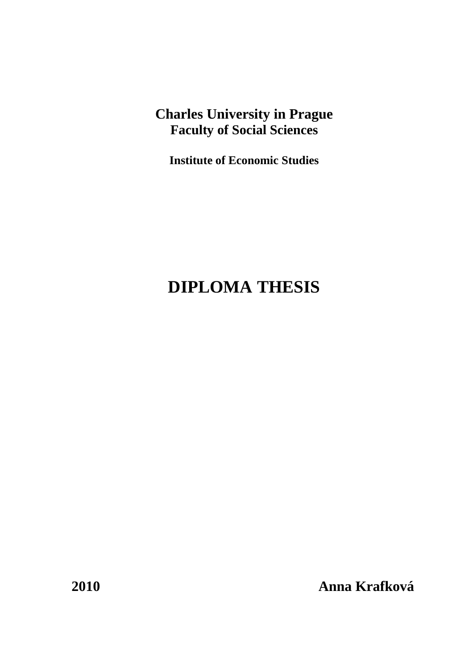# **Charles University in Prague Faculty of Social Sciences**

**Institute of Economic Studies** 

# **DIPLOMA THESIS**

**2010 Anna Krafková**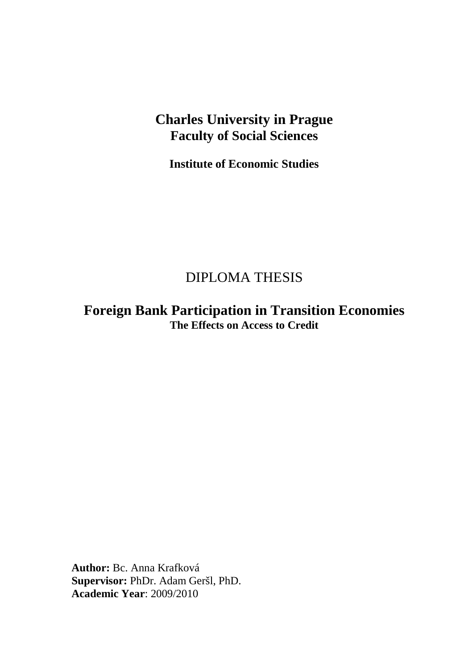# **Charles University in Prague Faculty of Social Sciences**

**Institute of Economic Studies** 

# DIPLOMA THESIS

**Foreign Bank Participation in Transition Economies The Effects on Access to Credit** 

**Author:** Bc. Anna Krafková **Supervisor:** PhDr. Adam Geršl, PhD. **Academic Year**: 2009/2010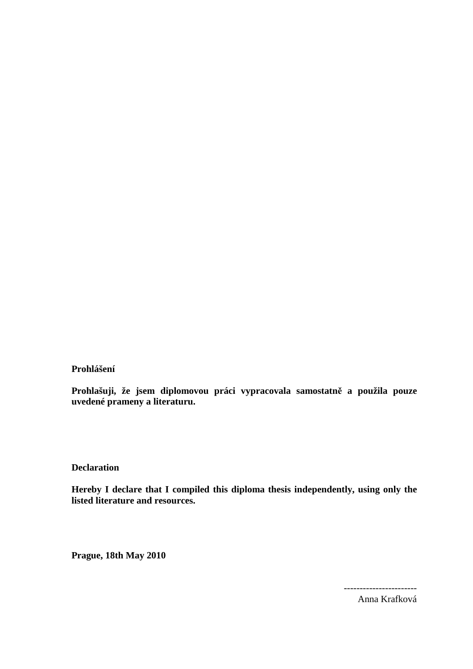**Prohlášení** 

**Prohlašuji, že jsem diplomovou práci vypracovala samostatně a použila pouze uvedené prameny a literaturu.** 

**Declaration** 

**Hereby I declare that I compiled this diploma thesis independently, using only the listed literature and resources.** 

**Prague, 18th May 2010** 

Anna Krafková

-----------------------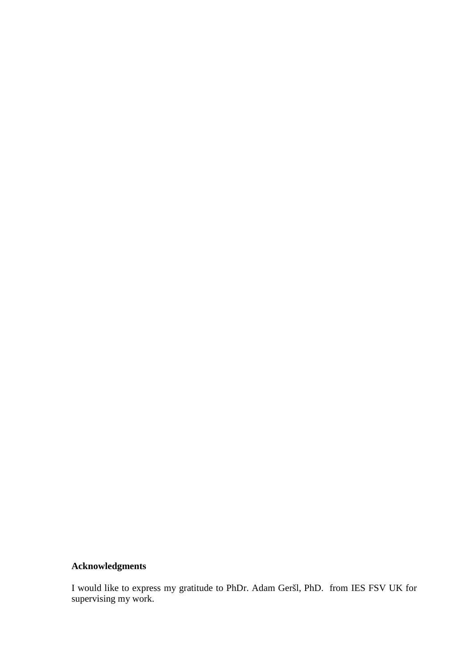## **Acknowledgments**

I would like to express my gratitude to PhDr. Adam Geršl, PhD. from IES FSV UK for supervising my work.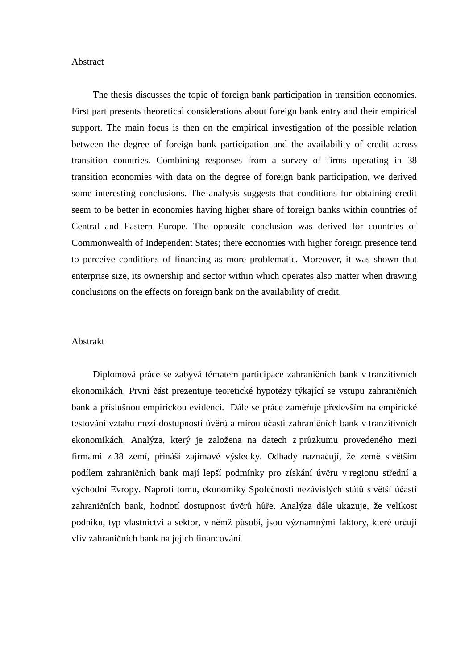#### Abstract

The thesis discusses the topic of foreign bank participation in transition economies. First part presents theoretical considerations about foreign bank entry and their empirical support. The main focus is then on the empirical investigation of the possible relation between the degree of foreign bank participation and the availability of credit across transition countries. Combining responses from a survey of firms operating in 38 transition economies with data on the degree of foreign bank participation, we derived some interesting conclusions. The analysis suggests that conditions for obtaining credit seem to be better in economies having higher share of foreign banks within countries of Central and Eastern Europe. The opposite conclusion was derived for countries of Commonwealth of Independent States; there economies with higher foreign presence tend to perceive conditions of financing as more problematic. Moreover, it was shown that enterprise size, its ownership and sector within which operates also matter when drawing conclusions on the effects on foreign bank on the availability of credit.

#### Abstrakt

Diplomová práce se zabývá tématem participace zahraničních bank v tranzitivních ekonomikách. První část prezentuje teoretické hypotézy týkající se vstupu zahraničních bank a příslušnou empirickou evidenci. Dále se práce zaměřuje především na empirické testování vztahu mezi dostupností úvěrů a mírou účasti zahraničních bank v tranzitivních ekonomikách. Analýza, který je založena na datech z průzkumu provedeného mezi firmami z 38 zemí, přináší zajímavé výsledky. Odhady naznačují, že země s větším podílem zahraničních bank mají lepší podmínky pro získání úvěru v regionu střední a východní Evropy. Naproti tomu, ekonomiky Společnosti nezávislých států s větší účastí zahraničních bank, hodnotí dostupnost úvěrů hůře. Analýza dále ukazuje, že velikost podniku, typ vlastnictví a sektor, v němž působí, jsou významnými faktory, které určují vliv zahraničních bank na jejich financování.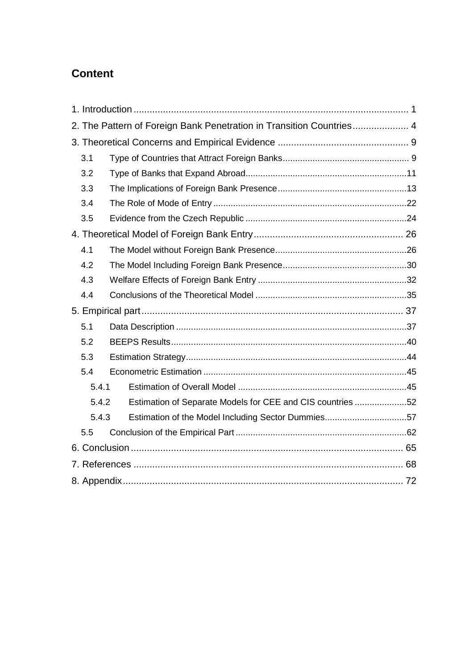# **Content**

| 2. The Pattern of Foreign Bank Penetration in Transition Countries 4 |  |
|----------------------------------------------------------------------|--|
|                                                                      |  |
| 3.1                                                                  |  |
| 3.2                                                                  |  |
| 3.3                                                                  |  |
| 3.4                                                                  |  |
| 3.5                                                                  |  |
|                                                                      |  |
| 4.1                                                                  |  |
| 4.2                                                                  |  |
| 4.3                                                                  |  |
| 4.4                                                                  |  |
|                                                                      |  |
| 5.1                                                                  |  |
| 5.2                                                                  |  |
| 5.3                                                                  |  |
| 5.4                                                                  |  |
| 5.4.1                                                                |  |
| Estimation of Separate Models for CEE and CIS countries 52<br>5.4.2  |  |
| 5.4.3<br>Estimation of the Model Including Sector Dummies57          |  |
| 5.5                                                                  |  |
|                                                                      |  |
|                                                                      |  |
|                                                                      |  |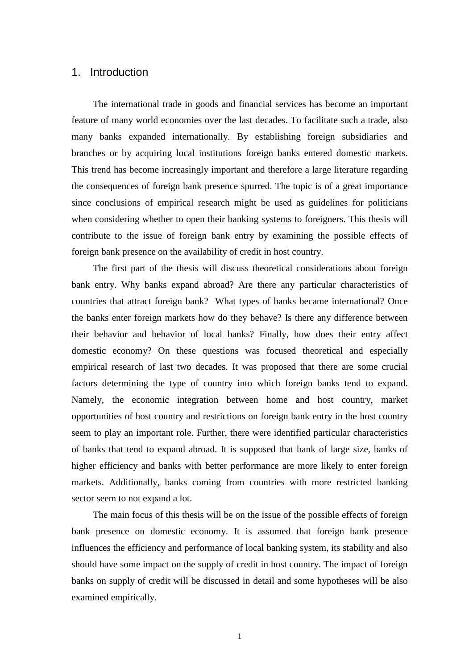### 1. Introduction

The international trade in goods and financial services has become an important feature of many world economies over the last decades. To facilitate such a trade, also many banks expanded internationally. By establishing foreign subsidiaries and branches or by acquiring local institutions foreign banks entered domestic markets. This trend has become increasingly important and therefore a large literature regarding the consequences of foreign bank presence spurred. The topic is of a great importance since conclusions of empirical research might be used as guidelines for politicians when considering whether to open their banking systems to foreigners. This thesis will contribute to the issue of foreign bank entry by examining the possible effects of foreign bank presence on the availability of credit in host country.

The first part of the thesis will discuss theoretical considerations about foreign bank entry. Why banks expand abroad? Are there any particular characteristics of countries that attract foreign bank? What types of banks became international? Once the banks enter foreign markets how do they behave? Is there any difference between their behavior and behavior of local banks? Finally, how does their entry affect domestic economy? On these questions was focused theoretical and especially empirical research of last two decades. It was proposed that there are some crucial factors determining the type of country into which foreign banks tend to expand. Namely, the economic integration between home and host country, market opportunities of host country and restrictions on foreign bank entry in the host country seem to play an important role. Further, there were identified particular characteristics of banks that tend to expand abroad. It is supposed that bank of large size, banks of higher efficiency and banks with better performance are more likely to enter foreign markets. Additionally, banks coming from countries with more restricted banking sector seem to not expand a lot.

The main focus of this thesis will be on the issue of the possible effects of foreign bank presence on domestic economy. It is assumed that foreign bank presence influences the efficiency and performance of local banking system, its stability and also should have some impact on the supply of credit in host country. The impact of foreign banks on supply of credit will be discussed in detail and some hypotheses will be also examined empirically.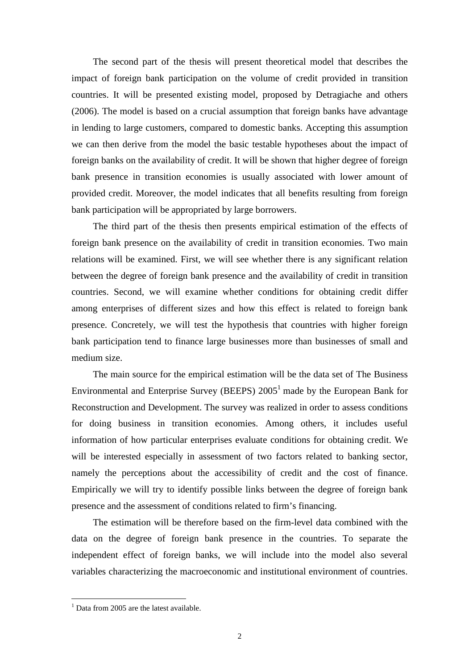The second part of the thesis will present theoretical model that describes the impact of foreign bank participation on the volume of credit provided in transition countries. It will be presented existing model, proposed by Detragiache and others (2006). The model is based on a crucial assumption that foreign banks have advantage in lending to large customers, compared to domestic banks. Accepting this assumption we can then derive from the model the basic testable hypotheses about the impact of foreign banks on the availability of credit. It will be shown that higher degree of foreign bank presence in transition economies is usually associated with lower amount of provided credit. Moreover, the model indicates that all benefits resulting from foreign bank participation will be appropriated by large borrowers.

The third part of the thesis then presents empirical estimation of the effects of foreign bank presence on the availability of credit in transition economies. Two main relations will be examined. First, we will see whether there is any significant relation between the degree of foreign bank presence and the availability of credit in transition countries. Second, we will examine whether conditions for obtaining credit differ among enterprises of different sizes and how this effect is related to foreign bank presence. Concretely, we will test the hypothesis that countries with higher foreign bank participation tend to finance large businesses more than businesses of small and medium size.

The main source for the empirical estimation will be the data set of The Business Environmental and Enterprise Survey (BEEPS)  $2005<sup>1</sup>$  made by the European Bank for Reconstruction and Development. The survey was realized in order to assess conditions for doing business in transition economies. Among others, it includes useful information of how particular enterprises evaluate conditions for obtaining credit. We will be interested especially in assessment of two factors related to banking sector, namely the perceptions about the accessibility of credit and the cost of finance. Empirically we will try to identify possible links between the degree of foreign bank presence and the assessment of conditions related to firm's financing.

The estimation will be therefore based on the firm-level data combined with the data on the degree of foreign bank presence in the countries. To separate the independent effect of foreign banks, we will include into the model also several variables characterizing the macroeconomic and institutional environment of countries.

 1 Data from 2005 are the latest available.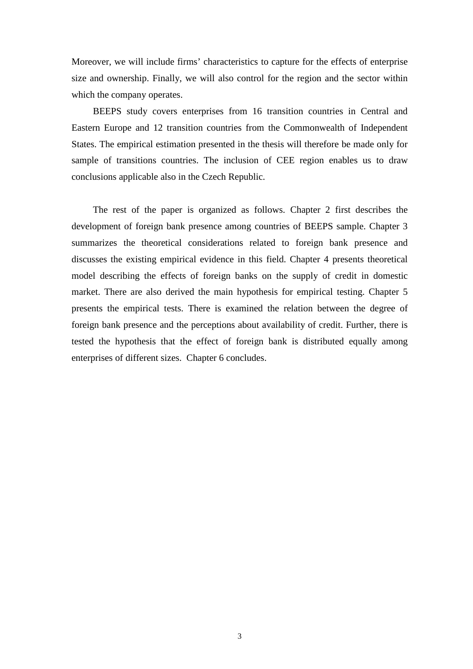Moreover, we will include firms' characteristics to capture for the effects of enterprise size and ownership. Finally, we will also control for the region and the sector within which the company operates.

BEEPS study covers enterprises from 16 transition countries in Central and Eastern Europe and 12 transition countries from the Commonwealth of Independent States. The empirical estimation presented in the thesis will therefore be made only for sample of transitions countries. The inclusion of CEE region enables us to draw conclusions applicable also in the Czech Republic.

The rest of the paper is organized as follows. Chapter 2 first describes the development of foreign bank presence among countries of BEEPS sample. Chapter 3 summarizes the theoretical considerations related to foreign bank presence and discusses the existing empirical evidence in this field. Chapter 4 presents theoretical model describing the effects of foreign banks on the supply of credit in domestic market. There are also derived the main hypothesis for empirical testing. Chapter 5 presents the empirical tests. There is examined the relation between the degree of foreign bank presence and the perceptions about availability of credit. Further, there is tested the hypothesis that the effect of foreign bank is distributed equally among enterprises of different sizes. Chapter 6 concludes.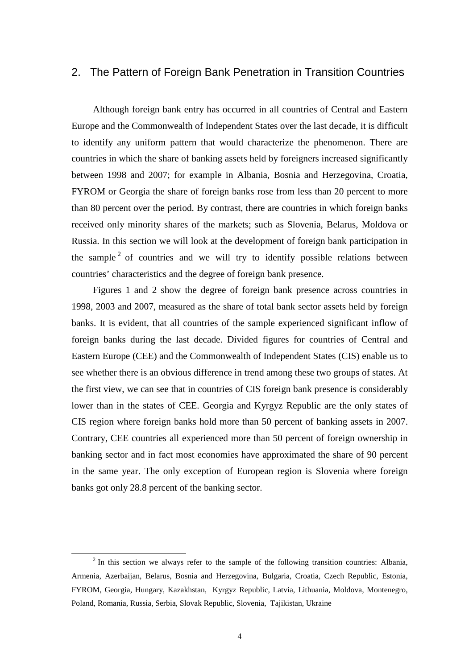### 2. The Pattern of Foreign Bank Penetration in Transition Countries

Although foreign bank entry has occurred in all countries of Central and Eastern Europe and the Commonwealth of Independent States over the last decade, it is difficult to identify any uniform pattern that would characterize the phenomenon. There are countries in which the share of banking assets held by foreigners increased significantly between 1998 and 2007; for example in Albania, Bosnia and Herzegovina, Croatia, FYROM or Georgia the share of foreign banks rose from less than 20 percent to more than 80 percent over the period. By contrast, there are countries in which foreign banks received only minority shares of the markets; such as Slovenia, Belarus, Moldova or Russia. In this section we will look at the development of foreign bank participation in the sample  $2$  of countries and we will try to identify possible relations between countries' characteristics and the degree of foreign bank presence.

Figures 1 and 2 show the degree of foreign bank presence across countries in 1998, 2003 and 2007, measured as the share of total bank sector assets held by foreign banks. It is evident, that all countries of the sample experienced significant inflow of foreign banks during the last decade. Divided figures for countries of Central and Eastern Europe (CEE) and the Commonwealth of Independent States (CIS) enable us to see whether there is an obvious difference in trend among these two groups of states. At the first view, we can see that in countries of CIS foreign bank presence is considerably lower than in the states of CEE. Georgia and Kyrgyz Republic are the only states of CIS region where foreign banks hold more than 50 percent of banking assets in 2007. Contrary, CEE countries all experienced more than 50 percent of foreign ownership in banking sector and in fact most economies have approximated the share of 90 percent in the same year. The only exception of European region is Slovenia where foreign banks got only 28.8 percent of the banking sector.

 $\overline{a}$ 

 $2^{2}$  In this section we always refer to the sample of the following transition countries: Albania, Armenia, Azerbaijan, Belarus, Bosnia and Herzegovina, Bulgaria, Croatia, Czech Republic, Estonia, FYROM, Georgia, Hungary, Kazakhstan, Kyrgyz Republic, Latvia, Lithuania, Moldova, Montenegro, Poland, Romania, Russia, Serbia, Slovak Republic, Slovenia, Tajikistan, Ukraine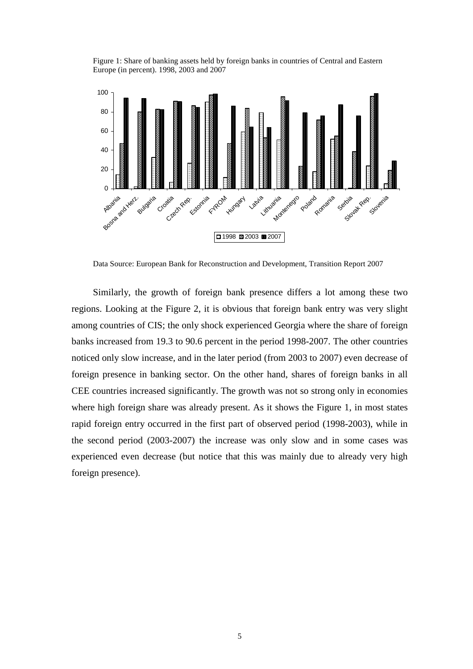Figure 1: Share of banking assets held by foreign banks in countries of Central and Eastern Europe (in percent). 1998, 2003 and 2007



Data Source: European Bank for Reconstruction and Development, Transition Report 2007

Similarly, the growth of foreign bank presence differs a lot among these two regions. Looking at the Figure 2, it is obvious that foreign bank entry was very slight among countries of CIS; the only shock experienced Georgia where the share of foreign banks increased from 19.3 to 90.6 percent in the period 1998-2007. The other countries noticed only slow increase, and in the later period (from 2003 to 2007) even decrease of foreign presence in banking sector. On the other hand, shares of foreign banks in all CEE countries increased significantly. The growth was not so strong only in economies where high foreign share was already present. As it shows the Figure 1, in most states rapid foreign entry occurred in the first part of observed period (1998-2003), while in the second period (2003-2007) the increase was only slow and in some cases was experienced even decrease (but notice that this was mainly due to already very high foreign presence).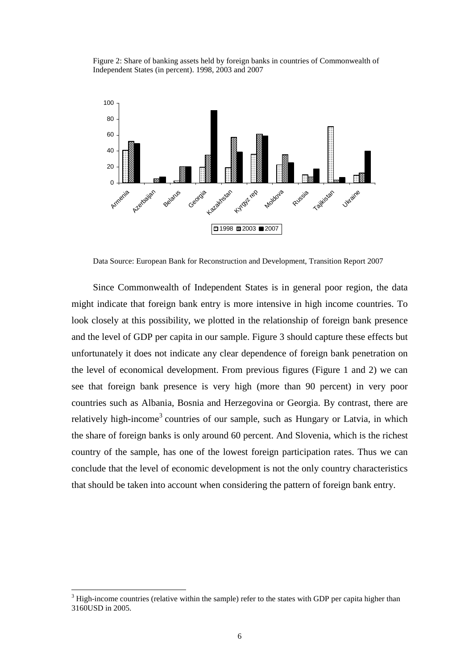Figure 2: Share of banking assets held by foreign banks in countries of Commonwealth of Independent States (in percent). 1998, 2003 and 2007



Data Source: European Bank for Reconstruction and Development, Transition Report 2007

Since Commonwealth of Independent States is in general poor region, the data might indicate that foreign bank entry is more intensive in high income countries. To look closely at this possibility, we plotted in the relationship of foreign bank presence and the level of GDP per capita in our sample. Figure 3 should capture these effects but unfortunately it does not indicate any clear dependence of foreign bank penetration on the level of economical development. From previous figures (Figure 1 and 2) we can see that foreign bank presence is very high (more than 90 percent) in very poor countries such as Albania, Bosnia and Herzegovina or Georgia. By contrast, there are relatively high-income<sup>3</sup> countries of our sample, such as Hungary or Latvia, in which the share of foreign banks is only around 60 percent. And Slovenia, which is the richest country of the sample, has one of the lowest foreign participation rates. Thus we can conclude that the level of economic development is not the only country characteristics that should be taken into account when considering the pattern of foreign bank entry.

 $\overline{a}$ 

 $3$  High-income countries (relative within the sample) refer to the states with GDP per capita higher than 3160USD in 2005.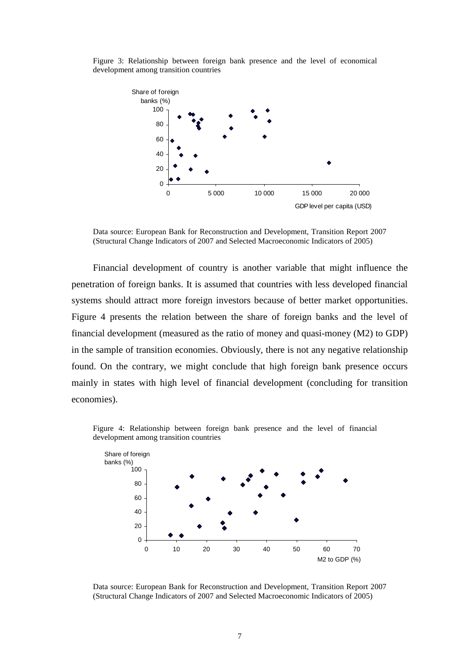Figure 3: Relationship between foreign bank presence and the level of economical development among transition countries



Data source: European Bank for Reconstruction and Development, Transition Report 2007 (Structural Change Indicators of 2007 and Selected Macroeconomic Indicators of 2005)

Financial development of country is another variable that might influence the penetration of foreign banks. It is assumed that countries with less developed financial systems should attract more foreign investors because of better market opportunities. Figure 4 presents the relation between the share of foreign banks and the level of financial development (measured as the ratio of money and quasi-money (M2) to GDP) in the sample of transition economies. Obviously, there is not any negative relationship found. On the contrary, we might conclude that high foreign bank presence occurs mainly in states with high level of financial development (concluding for transition economies).

Figure 4: Relationship between foreign bank presence and the level of financial development among transition countries



Data source: European Bank for Reconstruction and Development, Transition Report 2007 (Structural Change Indicators of 2007 and Selected Macroeconomic Indicators of 2005)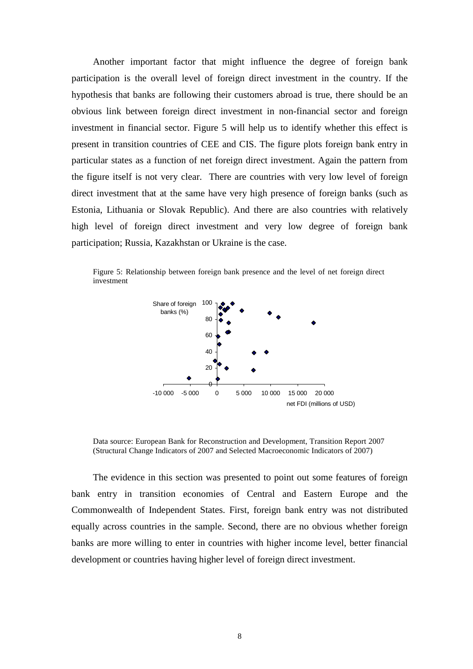Another important factor that might influence the degree of foreign bank participation is the overall level of foreign direct investment in the country. If the hypothesis that banks are following their customers abroad is true, there should be an obvious link between foreign direct investment in non-financial sector and foreign investment in financial sector. Figure 5 will help us to identify whether this effect is present in transition countries of CEE and CIS. The figure plots foreign bank entry in particular states as a function of net foreign direct investment. Again the pattern from the figure itself is not very clear. There are countries with very low level of foreign direct investment that at the same have very high presence of foreign banks (such as Estonia, Lithuania or Slovak Republic). And there are also countries with relatively high level of foreign direct investment and very low degree of foreign bank participation; Russia, Kazakhstan or Ukraine is the case.

Figure 5: Relationship between foreign bank presence and the level of net foreign direct investment



Data source: European Bank for Reconstruction and Development, Transition Report 2007 (Structural Change Indicators of 2007 and Selected Macroeconomic Indicators of 2007)

The evidence in this section was presented to point out some features of foreign bank entry in transition economies of Central and Eastern Europe and the Commonwealth of Independent States. First, foreign bank entry was not distributed equally across countries in the sample. Second, there are no obvious whether foreign banks are more willing to enter in countries with higher income level, better financial development or countries having higher level of foreign direct investment.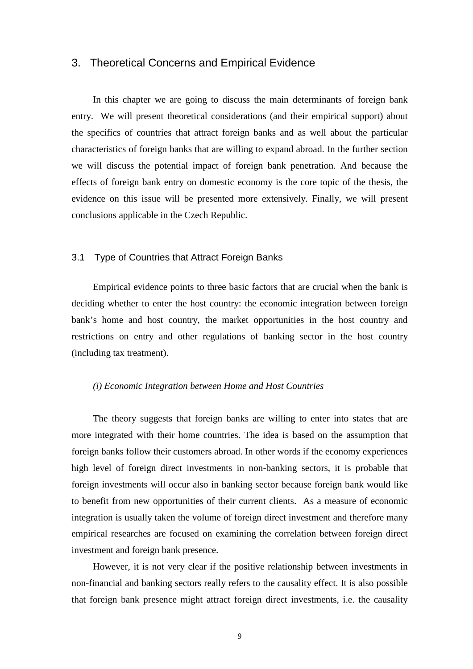### 3. Theoretical Concerns and Empirical Evidence

In this chapter we are going to discuss the main determinants of foreign bank entry. We will present theoretical considerations (and their empirical support) about the specifics of countries that attract foreign banks and as well about the particular characteristics of foreign banks that are willing to expand abroad. In the further section we will discuss the potential impact of foreign bank penetration. And because the effects of foreign bank entry on domestic economy is the core topic of the thesis, the evidence on this issue will be presented more extensively. Finally, we will present conclusions applicable in the Czech Republic.

#### 3.1 Type of Countries that Attract Foreign Banks

Empirical evidence points to three basic factors that are crucial when the bank is deciding whether to enter the host country: the economic integration between foreign bank's home and host country, the market opportunities in the host country and restrictions on entry and other regulations of banking sector in the host country (including tax treatment).

#### *(i) Economic Integration between Home and Host Countries*

The theory suggests that foreign banks are willing to enter into states that are more integrated with their home countries. The idea is based on the assumption that foreign banks follow their customers abroad. In other words if the economy experiences high level of foreign direct investments in non-banking sectors, it is probable that foreign investments will occur also in banking sector because foreign bank would like to benefit from new opportunities of their current clients. As a measure of economic integration is usually taken the volume of foreign direct investment and therefore many empirical researches are focused on examining the correlation between foreign direct investment and foreign bank presence.

However, it is not very clear if the positive relationship between investments in non-financial and banking sectors really refers to the causality effect. It is also possible that foreign bank presence might attract foreign direct investments, i.e. the causality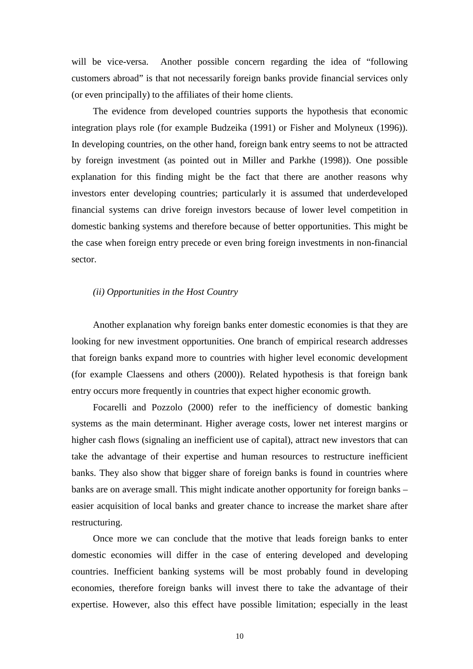will be vice-versa. Another possible concern regarding the idea of "following" customers abroad" is that not necessarily foreign banks provide financial services only (or even principally) to the affiliates of their home clients.

The evidence from developed countries supports the hypothesis that economic integration plays role (for example Budzeika (1991) or Fisher and Molyneux (1996)). In developing countries, on the other hand, foreign bank entry seems to not be attracted by foreign investment (as pointed out in Miller and Parkhe (1998)). One possible explanation for this finding might be the fact that there are another reasons why investors enter developing countries; particularly it is assumed that underdeveloped financial systems can drive foreign investors because of lower level competition in domestic banking systems and therefore because of better opportunities. This might be the case when foreign entry precede or even bring foreign investments in non-financial sector.

#### *(ii) Opportunities in the Host Country*

Another explanation why foreign banks enter domestic economies is that they are looking for new investment opportunities. One branch of empirical research addresses that foreign banks expand more to countries with higher level economic development (for example Claessens and others (2000)). Related hypothesis is that foreign bank entry occurs more frequently in countries that expect higher economic growth.

Focarelli and Pozzolo (2000) refer to the inefficiency of domestic banking systems as the main determinant. Higher average costs, lower net interest margins or higher cash flows (signaling an inefficient use of capital), attract new investors that can take the advantage of their expertise and human resources to restructure inefficient banks. They also show that bigger share of foreign banks is found in countries where banks are on average small. This might indicate another opportunity for foreign banks – easier acquisition of local banks and greater chance to increase the market share after restructuring.

Once more we can conclude that the motive that leads foreign banks to enter domestic economies will differ in the case of entering developed and developing countries. Inefficient banking systems will be most probably found in developing economies, therefore foreign banks will invest there to take the advantage of their expertise. However, also this effect have possible limitation; especially in the least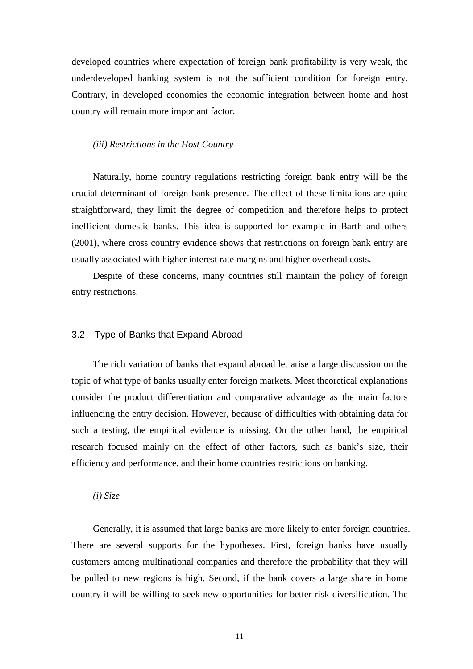developed countries where expectation of foreign bank profitability is very weak, the underdeveloped banking system is not the sufficient condition for foreign entry. Contrary, in developed economies the economic integration between home and host country will remain more important factor.

#### *(iii) Restrictions in the Host Country*

Naturally, home country regulations restricting foreign bank entry will be the crucial determinant of foreign bank presence. The effect of these limitations are quite straightforward, they limit the degree of competition and therefore helps to protect inefficient domestic banks. This idea is supported for example in Barth and others (2001), where cross country evidence shows that restrictions on foreign bank entry are usually associated with higher interest rate margins and higher overhead costs.

Despite of these concerns, many countries still maintain the policy of foreign entry restrictions.

#### 3.2 Type of Banks that Expand Abroad

The rich variation of banks that expand abroad let arise a large discussion on the topic of what type of banks usually enter foreign markets. Most theoretical explanations consider the product differentiation and comparative advantage as the main factors influencing the entry decision. However, because of difficulties with obtaining data for such a testing, the empirical evidence is missing. On the other hand, the empirical research focused mainly on the effect of other factors, such as bank's size, their efficiency and performance, and their home countries restrictions on banking.

*(i) Size* 

Generally, it is assumed that large banks are more likely to enter foreign countries. There are several supports for the hypotheses. First, foreign banks have usually customers among multinational companies and therefore the probability that they will be pulled to new regions is high. Second, if the bank covers a large share in home country it will be willing to seek new opportunities for better risk diversification. The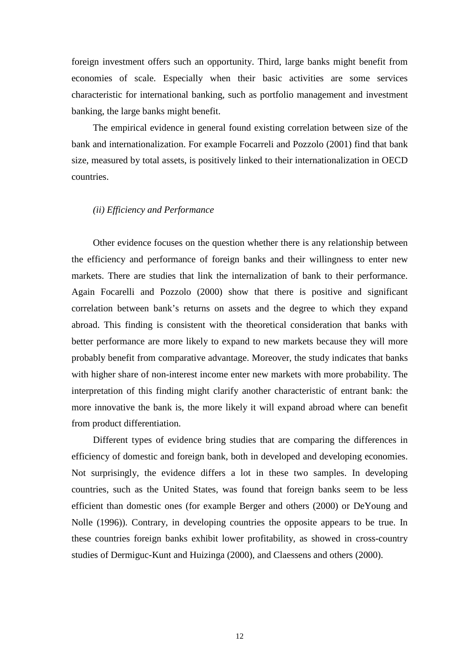foreign investment offers such an opportunity. Third, large banks might benefit from economies of scale. Especially when their basic activities are some services characteristic for international banking, such as portfolio management and investment banking, the large banks might benefit.

The empirical evidence in general found existing correlation between size of the bank and internationalization. For example Focarreli and Pozzolo (2001) find that bank size, measured by total assets, is positively linked to their internationalization in OECD countries.

#### *(ii) Efficiency and Performance*

Other evidence focuses on the question whether there is any relationship between the efficiency and performance of foreign banks and their willingness to enter new markets. There are studies that link the internalization of bank to their performance. Again Focarelli and Pozzolo (2000) show that there is positive and significant correlation between bank's returns on assets and the degree to which they expand abroad. This finding is consistent with the theoretical consideration that banks with better performance are more likely to expand to new markets because they will more probably benefit from comparative advantage. Moreover, the study indicates that banks with higher share of non-interest income enter new markets with more probability. The interpretation of this finding might clarify another characteristic of entrant bank: the more innovative the bank is, the more likely it will expand abroad where can benefit from product differentiation.

Different types of evidence bring studies that are comparing the differences in efficiency of domestic and foreign bank, both in developed and developing economies. Not surprisingly, the evidence differs a lot in these two samples. In developing countries, such as the United States, was found that foreign banks seem to be less efficient than domestic ones (for example Berger and others (2000) or DeYoung and Nolle (1996)). Contrary, in developing countries the opposite appears to be true. In these countries foreign banks exhibit lower profitability, as showed in cross-country studies of Dermiguc-Kunt and Huizinga (2000), and Claessens and others (2000).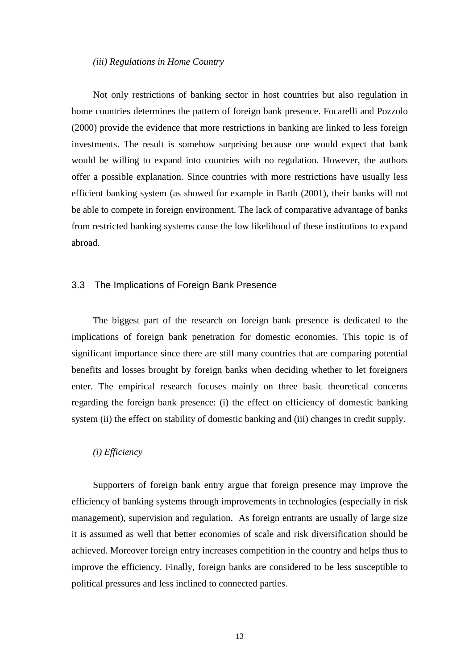#### *(iii) Regulations in Home Country*

Not only restrictions of banking sector in host countries but also regulation in home countries determines the pattern of foreign bank presence. Focarelli and Pozzolo (2000) provide the evidence that more restrictions in banking are linked to less foreign investments. The result is somehow surprising because one would expect that bank would be willing to expand into countries with no regulation. However, the authors offer a possible explanation. Since countries with more restrictions have usually less efficient banking system (as showed for example in Barth (2001), their banks will not be able to compete in foreign environment. The lack of comparative advantage of banks from restricted banking systems cause the low likelihood of these institutions to expand abroad.

#### 3.3 The Implications of Foreign Bank Presence

The biggest part of the research on foreign bank presence is dedicated to the implications of foreign bank penetration for domestic economies. This topic is of significant importance since there are still many countries that are comparing potential benefits and losses brought by foreign banks when deciding whether to let foreigners enter. The empirical research focuses mainly on three basic theoretical concerns regarding the foreign bank presence: (i) the effect on efficiency of domestic banking system (ii) the effect on stability of domestic banking and (iii) changes in credit supply.

#### *(i) Efficiency*

Supporters of foreign bank entry argue that foreign presence may improve the efficiency of banking systems through improvements in technologies (especially in risk management), supervision and regulation. As foreign entrants are usually of large size it is assumed as well that better economies of scale and risk diversification should be achieved. Moreover foreign entry increases competition in the country and helps thus to improve the efficiency. Finally, foreign banks are considered to be less susceptible to political pressures and less inclined to connected parties.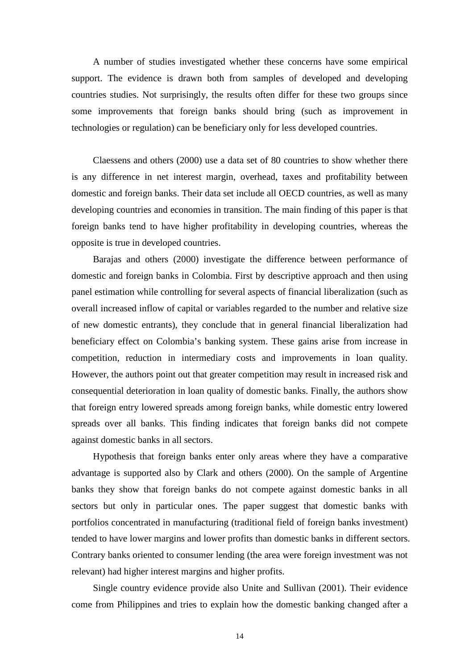A number of studies investigated whether these concerns have some empirical support. The evidence is drawn both from samples of developed and developing countries studies. Not surprisingly, the results often differ for these two groups since some improvements that foreign banks should bring (such as improvement in technologies or regulation) can be beneficiary only for less developed countries.

Claessens and others (2000) use a data set of 80 countries to show whether there is any difference in net interest margin, overhead, taxes and profitability between domestic and foreign banks. Their data set include all OECD countries, as well as many developing countries and economies in transition. The main finding of this paper is that foreign banks tend to have higher profitability in developing countries, whereas the opposite is true in developed countries.

Barajas and others (2000) investigate the difference between performance of domestic and foreign banks in Colombia. First by descriptive approach and then using panel estimation while controlling for several aspects of financial liberalization (such as overall increased inflow of capital or variables regarded to the number and relative size of new domestic entrants), they conclude that in general financial liberalization had beneficiary effect on Colombia's banking system. These gains arise from increase in competition, reduction in intermediary costs and improvements in loan quality. However, the authors point out that greater competition may result in increased risk and consequential deterioration in loan quality of domestic banks. Finally, the authors show that foreign entry lowered spreads among foreign banks, while domestic entry lowered spreads over all banks. This finding indicates that foreign banks did not compete against domestic banks in all sectors.

Hypothesis that foreign banks enter only areas where they have a comparative advantage is supported also by Clark and others (2000). On the sample of Argentine banks they show that foreign banks do not compete against domestic banks in all sectors but only in particular ones. The paper suggest that domestic banks with portfolios concentrated in manufacturing (traditional field of foreign banks investment) tended to have lower margins and lower profits than domestic banks in different sectors. Contrary banks oriented to consumer lending (the area were foreign investment was not relevant) had higher interest margins and higher profits.

Single country evidence provide also Unite and Sullivan (2001). Their evidence come from Philippines and tries to explain how the domestic banking changed after a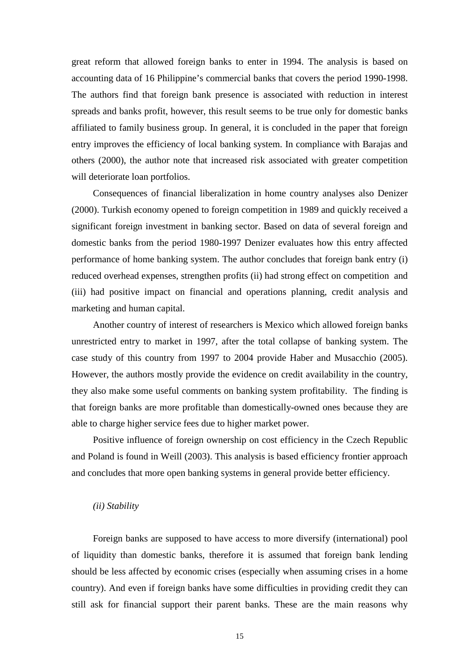great reform that allowed foreign banks to enter in 1994. The analysis is based on accounting data of 16 Philippine's commercial banks that covers the period 1990-1998. The authors find that foreign bank presence is associated with reduction in interest spreads and banks profit, however, this result seems to be true only for domestic banks affiliated to family business group. In general, it is concluded in the paper that foreign entry improves the efficiency of local banking system. In compliance with Barajas and others (2000), the author note that increased risk associated with greater competition will deteriorate loan portfolios.

Consequences of financial liberalization in home country analyses also Denizer (2000). Turkish economy opened to foreign competition in 1989 and quickly received a significant foreign investment in banking sector. Based on data of several foreign and domestic banks from the period 1980-1997 Denizer evaluates how this entry affected performance of home banking system. The author concludes that foreign bank entry (i) reduced overhead expenses, strengthen profits (ii) had strong effect on competition and (iii) had positive impact on financial and operations planning, credit analysis and marketing and human capital.

Another country of interest of researchers is Mexico which allowed foreign banks unrestricted entry to market in 1997, after the total collapse of banking system. The case study of this country from 1997 to 2004 provide Haber and Musacchio (2005). However, the authors mostly provide the evidence on credit availability in the country, they also make some useful comments on banking system profitability. The finding is that foreign banks are more profitable than domestically-owned ones because they are able to charge higher service fees due to higher market power.

Positive influence of foreign ownership on cost efficiency in the Czech Republic and Poland is found in Weill (2003). This analysis is based efficiency frontier approach and concludes that more open banking systems in general provide better efficiency.

#### *(ii) Stability*

Foreign banks are supposed to have access to more diversify (international) pool of liquidity than domestic banks, therefore it is assumed that foreign bank lending should be less affected by economic crises (especially when assuming crises in a home country). And even if foreign banks have some difficulties in providing credit they can still ask for financial support their parent banks. These are the main reasons why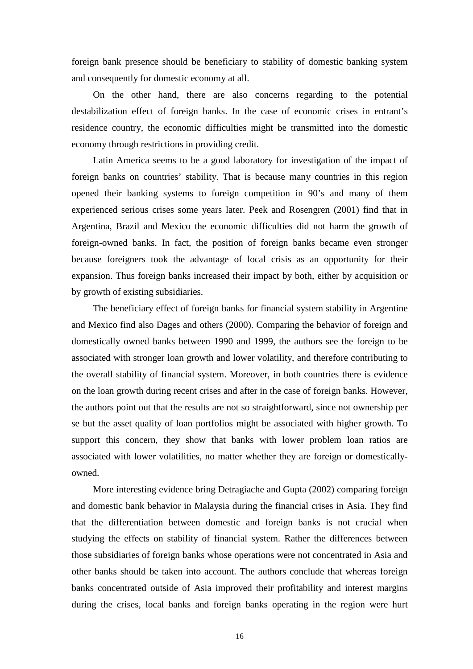foreign bank presence should be beneficiary to stability of domestic banking system and consequently for domestic economy at all.

On the other hand, there are also concerns regarding to the potential destabilization effect of foreign banks. In the case of economic crises in entrant's residence country, the economic difficulties might be transmitted into the domestic economy through restrictions in providing credit.

Latin America seems to be a good laboratory for investigation of the impact of foreign banks on countries' stability. That is because many countries in this region opened their banking systems to foreign competition in 90's and many of them experienced serious crises some years later. Peek and Rosengren (2001) find that in Argentina, Brazil and Mexico the economic difficulties did not harm the growth of foreign-owned banks. In fact, the position of foreign banks became even stronger because foreigners took the advantage of local crisis as an opportunity for their expansion. Thus foreign banks increased their impact by both, either by acquisition or by growth of existing subsidiaries.

The beneficiary effect of foreign banks for financial system stability in Argentine and Mexico find also Dages and others (2000). Comparing the behavior of foreign and domestically owned banks between 1990 and 1999, the authors see the foreign to be associated with stronger loan growth and lower volatility, and therefore contributing to the overall stability of financial system. Moreover, in both countries there is evidence on the loan growth during recent crises and after in the case of foreign banks. However, the authors point out that the results are not so straightforward, since not ownership per se but the asset quality of loan portfolios might be associated with higher growth. To support this concern, they show that banks with lower problem loan ratios are associated with lower volatilities, no matter whether they are foreign or domesticallyowned.

More interesting evidence bring Detragiache and Gupta (2002) comparing foreign and domestic bank behavior in Malaysia during the financial crises in Asia. They find that the differentiation between domestic and foreign banks is not crucial when studying the effects on stability of financial system. Rather the differences between those subsidiaries of foreign banks whose operations were not concentrated in Asia and other banks should be taken into account. The authors conclude that whereas foreign banks concentrated outside of Asia improved their profitability and interest margins during the crises, local banks and foreign banks operating in the region were hurt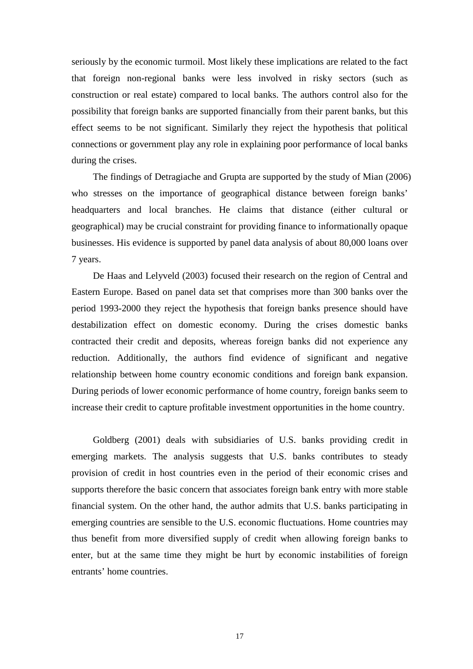seriously by the economic turmoil. Most likely these implications are related to the fact that foreign non-regional banks were less involved in risky sectors (such as construction or real estate) compared to local banks. The authors control also for the possibility that foreign banks are supported financially from their parent banks, but this effect seems to be not significant. Similarly they reject the hypothesis that political connections or government play any role in explaining poor performance of local banks during the crises.

The findings of Detragiache and Grupta are supported by the study of Mian (2006) who stresses on the importance of geographical distance between foreign banks' headquarters and local branches. He claims that distance (either cultural or geographical) may be crucial constraint for providing finance to informationally opaque businesses. His evidence is supported by panel data analysis of about 80,000 loans over 7 years.

De Haas and Lelyveld (2003) focused their research on the region of Central and Eastern Europe. Based on panel data set that comprises more than 300 banks over the period 1993-2000 they reject the hypothesis that foreign banks presence should have destabilization effect on domestic economy. During the crises domestic banks contracted their credit and deposits, whereas foreign banks did not experience any reduction. Additionally, the authors find evidence of significant and negative relationship between home country economic conditions and foreign bank expansion. During periods of lower economic performance of home country, foreign banks seem to increase their credit to capture profitable investment opportunities in the home country.

Goldberg (2001) deals with subsidiaries of U.S. banks providing credit in emerging markets. The analysis suggests that U.S. banks contributes to steady provision of credit in host countries even in the period of their economic crises and supports therefore the basic concern that associates foreign bank entry with more stable financial system. On the other hand, the author admits that U.S. banks participating in emerging countries are sensible to the U.S. economic fluctuations. Home countries may thus benefit from more diversified supply of credit when allowing foreign banks to enter, but at the same time they might be hurt by economic instabilities of foreign entrants' home countries.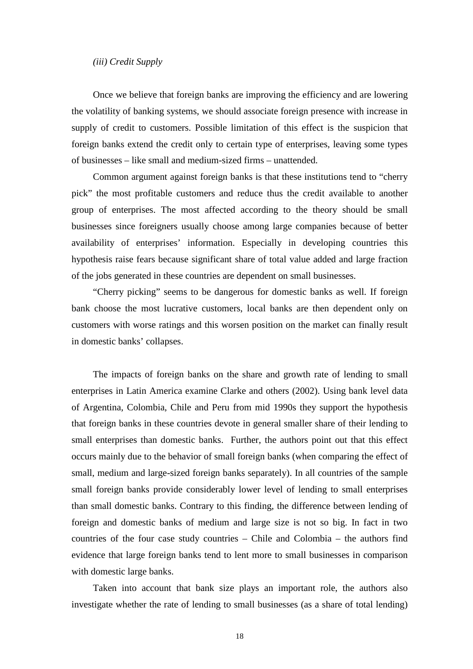#### *(iii) Credit Supply*

Once we believe that foreign banks are improving the efficiency and are lowering the volatility of banking systems, we should associate foreign presence with increase in supply of credit to customers. Possible limitation of this effect is the suspicion that foreign banks extend the credit only to certain type of enterprises, leaving some types of businesses – like small and medium-sized firms – unattended.

Common argument against foreign banks is that these institutions tend to "cherry pick" the most profitable customers and reduce thus the credit available to another group of enterprises. The most affected according to the theory should be small businesses since foreigners usually choose among large companies because of better availability of enterprises' information. Especially in developing countries this hypothesis raise fears because significant share of total value added and large fraction of the jobs generated in these countries are dependent on small businesses.

"Cherry picking" seems to be dangerous for domestic banks as well. If foreign bank choose the most lucrative customers, local banks are then dependent only on customers with worse ratings and this worsen position on the market can finally result in domestic banks' collapses.

The impacts of foreign banks on the share and growth rate of lending to small enterprises in Latin America examine Clarke and others (2002). Using bank level data of Argentina, Colombia, Chile and Peru from mid 1990s they support the hypothesis that foreign banks in these countries devote in general smaller share of their lending to small enterprises than domestic banks. Further, the authors point out that this effect occurs mainly due to the behavior of small foreign banks (when comparing the effect of small, medium and large-sized foreign banks separately). In all countries of the sample small foreign banks provide considerably lower level of lending to small enterprises than small domestic banks. Contrary to this finding, the difference between lending of foreign and domestic banks of medium and large size is not so big. In fact in two countries of the four case study countries – Chile and Colombia – the authors find evidence that large foreign banks tend to lent more to small businesses in comparison with domestic large banks.

Taken into account that bank size plays an important role, the authors also investigate whether the rate of lending to small businesses (as a share of total lending)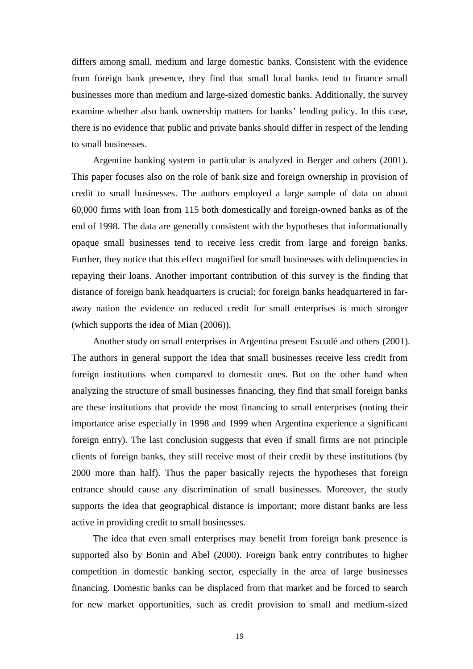differs among small, medium and large domestic banks. Consistent with the evidence from foreign bank presence, they find that small local banks tend to finance small businesses more than medium and large-sized domestic banks. Additionally, the survey examine whether also bank ownership matters for banks' lending policy. In this case, there is no evidence that public and private banks should differ in respect of the lending to small businesses.

Argentine banking system in particular is analyzed in Berger and others (2001). This paper focuses also on the role of bank size and foreign ownership in provision of credit to small businesses. The authors employed a large sample of data on about 60,000 firms with loan from 115 both domestically and foreign-owned banks as of the end of 1998. The data are generally consistent with the hypotheses that informationally opaque small businesses tend to receive less credit from large and foreign banks. Further, they notice that this effect magnified for small businesses with delinquencies in repaying their loans. Another important contribution of this survey is the finding that distance of foreign bank headquarters is crucial; for foreign banks headquartered in faraway nation the evidence on reduced credit for small enterprises is much stronger (which supports the idea of Mian (2006)).

Another study on small enterprises in Argentina present Escudé and others (2001). The authors in general support the idea that small businesses receive less credit from foreign institutions when compared to domestic ones. But on the other hand when analyzing the structure of small businesses financing, they find that small foreign banks are these institutions that provide the most financing to small enterprises (noting their importance arise especially in 1998 and 1999 when Argentina experience a significant foreign entry). The last conclusion suggests that even if small firms are not principle clients of foreign banks, they still receive most of their credit by these institutions (by 2000 more than half). Thus the paper basically rejects the hypotheses that foreign entrance should cause any discrimination of small businesses. Moreover, the study supports the idea that geographical distance is important; more distant banks are less active in providing credit to small businesses.

The idea that even small enterprises may benefit from foreign bank presence is supported also by Bonin and Abel (2000). Foreign bank entry contributes to higher competition in domestic banking sector, especially in the area of large businesses financing. Domestic banks can be displaced from that market and be forced to search for new market opportunities, such as credit provision to small and medium-sized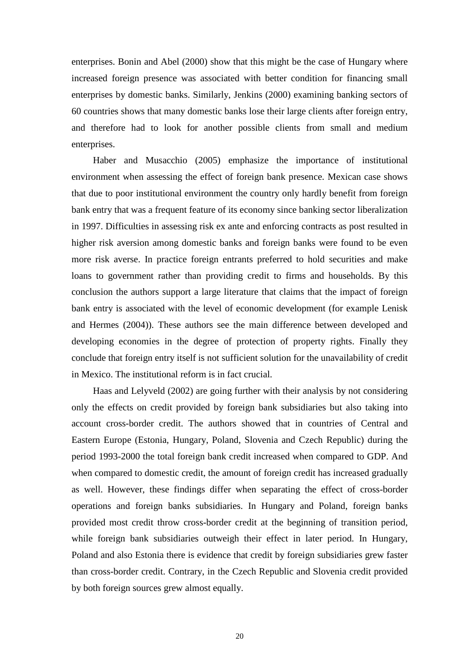enterprises. Bonin and Abel (2000) show that this might be the case of Hungary where increased foreign presence was associated with better condition for financing small enterprises by domestic banks. Similarly, Jenkins (2000) examining banking sectors of 60 countries shows that many domestic banks lose their large clients after foreign entry, and therefore had to look for another possible clients from small and medium enterprises.

Haber and Musacchio (2005) emphasize the importance of institutional environment when assessing the effect of foreign bank presence. Mexican case shows that due to poor institutional environment the country only hardly benefit from foreign bank entry that was a frequent feature of its economy since banking sector liberalization in 1997. Difficulties in assessing risk ex ante and enforcing contracts as post resulted in higher risk aversion among domestic banks and foreign banks were found to be even more risk averse. In practice foreign entrants preferred to hold securities and make loans to government rather than providing credit to firms and households. By this conclusion the authors support a large literature that claims that the impact of foreign bank entry is associated with the level of economic development (for example Lenisk and Hermes (2004)). These authors see the main difference between developed and developing economies in the degree of protection of property rights. Finally they conclude that foreign entry itself is not sufficient solution for the unavailability of credit in Mexico. The institutional reform is in fact crucial.

Haas and Lelyveld (2002) are going further with their analysis by not considering only the effects on credit provided by foreign bank subsidiaries but also taking into account cross-border credit. The authors showed that in countries of Central and Eastern Europe (Estonia, Hungary, Poland, Slovenia and Czech Republic) during the period 1993-2000 the total foreign bank credit increased when compared to GDP. And when compared to domestic credit, the amount of foreign credit has increased gradually as well. However, these findings differ when separating the effect of cross-border operations and foreign banks subsidiaries. In Hungary and Poland, foreign banks provided most credit throw cross-border credit at the beginning of transition period, while foreign bank subsidiaries outweigh their effect in later period. In Hungary, Poland and also Estonia there is evidence that credit by foreign subsidiaries grew faster than cross-border credit. Contrary, in the Czech Republic and Slovenia credit provided by both foreign sources grew almost equally.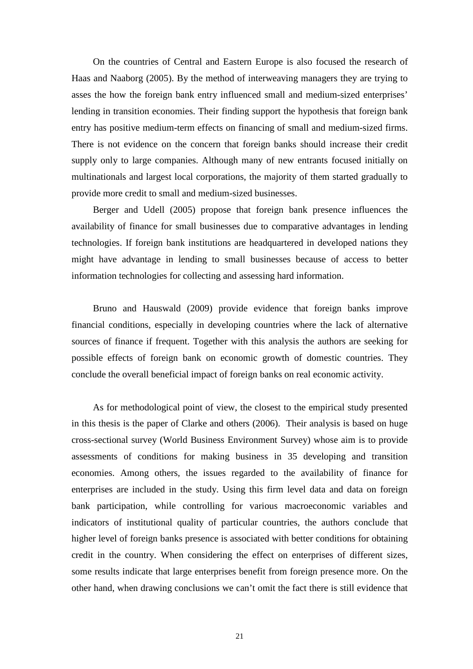On the countries of Central and Eastern Europe is also focused the research of Haas and Naaborg (2005). By the method of interweaving managers they are trying to asses the how the foreign bank entry influenced small and medium-sized enterprises' lending in transition economies. Their finding support the hypothesis that foreign bank entry has positive medium-term effects on financing of small and medium-sized firms. There is not evidence on the concern that foreign banks should increase their credit supply only to large companies. Although many of new entrants focused initially on multinationals and largest local corporations, the majority of them started gradually to provide more credit to small and medium-sized businesses.

Berger and Udell (2005) propose that foreign bank presence influences the availability of finance for small businesses due to comparative advantages in lending technologies. If foreign bank institutions are headquartered in developed nations they might have advantage in lending to small businesses because of access to better information technologies for collecting and assessing hard information.

Bruno and Hauswald (2009) provide evidence that foreign banks improve financial conditions, especially in developing countries where the lack of alternative sources of finance if frequent. Together with this analysis the authors are seeking for possible effects of foreign bank on economic growth of domestic countries. They conclude the overall beneficial impact of foreign banks on real economic activity.

As for methodological point of view, the closest to the empirical study presented in this thesis is the paper of Clarke and others (2006). Their analysis is based on huge cross-sectional survey (World Business Environment Survey) whose aim is to provide assessments of conditions for making business in 35 developing and transition economies. Among others, the issues regarded to the availability of finance for enterprises are included in the study. Using this firm level data and data on foreign bank participation, while controlling for various macroeconomic variables and indicators of institutional quality of particular countries, the authors conclude that higher level of foreign banks presence is associated with better conditions for obtaining credit in the country. When considering the effect on enterprises of different sizes, some results indicate that large enterprises benefit from foreign presence more. On the other hand, when drawing conclusions we can't omit the fact there is still evidence that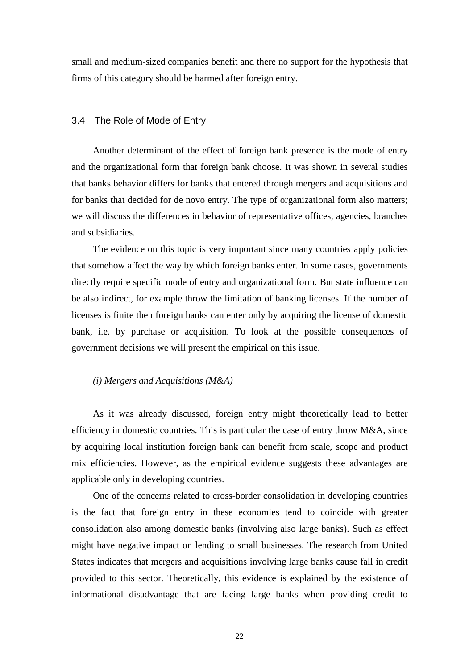small and medium-sized companies benefit and there no support for the hypothesis that firms of this category should be harmed after foreign entry.

#### 3.4 The Role of Mode of Entry

Another determinant of the effect of foreign bank presence is the mode of entry and the organizational form that foreign bank choose. It was shown in several studies that banks behavior differs for banks that entered through mergers and acquisitions and for banks that decided for de novo entry. The type of organizational form also matters; we will discuss the differences in behavior of representative offices, agencies, branches and subsidiaries.

The evidence on this topic is very important since many countries apply policies that somehow affect the way by which foreign banks enter. In some cases, governments directly require specific mode of entry and organizational form. But state influence can be also indirect, for example throw the limitation of banking licenses. If the number of licenses is finite then foreign banks can enter only by acquiring the license of domestic bank, i.e. by purchase or acquisition. To look at the possible consequences of government decisions we will present the empirical on this issue.

#### *(i) Mergers and Acquisitions (M&A)*

As it was already discussed, foreign entry might theoretically lead to better efficiency in domestic countries. This is particular the case of entry throw M&A, since by acquiring local institution foreign bank can benefit from scale, scope and product mix efficiencies. However, as the empirical evidence suggests these advantages are applicable only in developing countries.

One of the concerns related to cross-border consolidation in developing countries is the fact that foreign entry in these economies tend to coincide with greater consolidation also among domestic banks (involving also large banks). Such as effect might have negative impact on lending to small businesses. The research from United States indicates that mergers and acquisitions involving large banks cause fall in credit provided to this sector. Theoretically, this evidence is explained by the existence of informational disadvantage that are facing large banks when providing credit to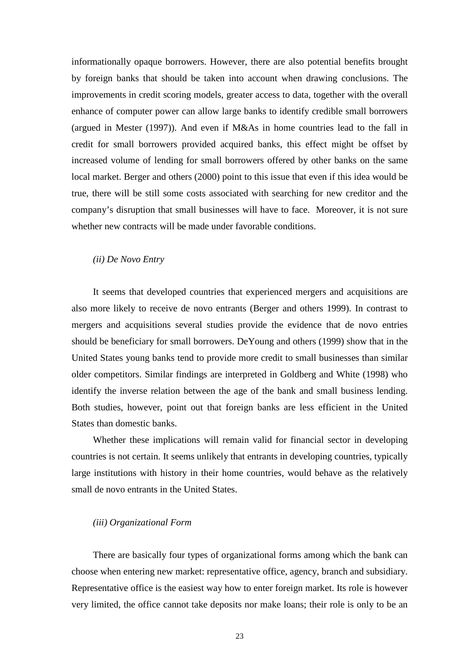informationally opaque borrowers. However, there are also potential benefits brought by foreign banks that should be taken into account when drawing conclusions. The improvements in credit scoring models, greater access to data, together with the overall enhance of computer power can allow large banks to identify credible small borrowers (argued in Mester (1997)). And even if M&As in home countries lead to the fall in credit for small borrowers provided acquired banks, this effect might be offset by increased volume of lending for small borrowers offered by other banks on the same local market. Berger and others (2000) point to this issue that even if this idea would be true, there will be still some costs associated with searching for new creditor and the company's disruption that small businesses will have to face. Moreover, it is not sure whether new contracts will be made under favorable conditions.

#### *(ii) De Novo Entry*

It seems that developed countries that experienced mergers and acquisitions are also more likely to receive de novo entrants (Berger and others 1999). In contrast to mergers and acquisitions several studies provide the evidence that de novo entries should be beneficiary for small borrowers. DeYoung and others (1999) show that in the United States young banks tend to provide more credit to small businesses than similar older competitors. Similar findings are interpreted in Goldberg and White (1998) who identify the inverse relation between the age of the bank and small business lending. Both studies, however, point out that foreign banks are less efficient in the United States than domestic banks.

Whether these implications will remain valid for financial sector in developing countries is not certain. It seems unlikely that entrants in developing countries, typically large institutions with history in their home countries, would behave as the relatively small de novo entrants in the United States.

#### *(iii) Organizational Form*

There are basically four types of organizational forms among which the bank can choose when entering new market: representative office, agency, branch and subsidiary. Representative office is the easiest way how to enter foreign market. Its role is however very limited, the office cannot take deposits nor make loans; their role is only to be an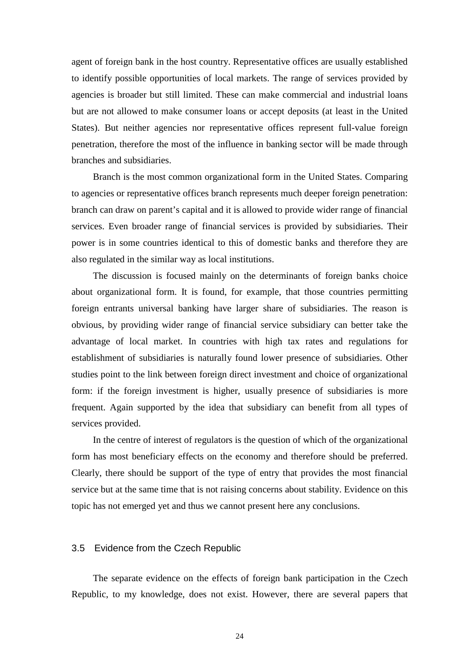agent of foreign bank in the host country. Representative offices are usually established to identify possible opportunities of local markets. The range of services provided by agencies is broader but still limited. These can make commercial and industrial loans but are not allowed to make consumer loans or accept deposits (at least in the United States). But neither agencies nor representative offices represent full-value foreign penetration, therefore the most of the influence in banking sector will be made through branches and subsidiaries.

Branch is the most common organizational form in the United States. Comparing to agencies or representative offices branch represents much deeper foreign penetration: branch can draw on parent's capital and it is allowed to provide wider range of financial services. Even broader range of financial services is provided by subsidiaries. Their power is in some countries identical to this of domestic banks and therefore they are also regulated in the similar way as local institutions.

The discussion is focused mainly on the determinants of foreign banks choice about organizational form. It is found, for example, that those countries permitting foreign entrants universal banking have larger share of subsidiaries. The reason is obvious, by providing wider range of financial service subsidiary can better take the advantage of local market. In countries with high tax rates and regulations for establishment of subsidiaries is naturally found lower presence of subsidiaries. Other studies point to the link between foreign direct investment and choice of organizational form: if the foreign investment is higher, usually presence of subsidiaries is more frequent. Again supported by the idea that subsidiary can benefit from all types of services provided.

In the centre of interest of regulators is the question of which of the organizational form has most beneficiary effects on the economy and therefore should be preferred. Clearly, there should be support of the type of entry that provides the most financial service but at the same time that is not raising concerns about stability. Evidence on this topic has not emerged yet and thus we cannot present here any conclusions.

#### 3.5 Evidence from the Czech Republic

The separate evidence on the effects of foreign bank participation in the Czech Republic, to my knowledge, does not exist. However, there are several papers that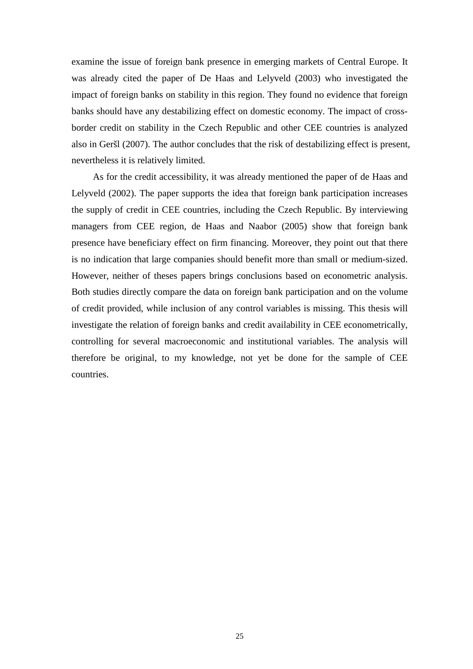examine the issue of foreign bank presence in emerging markets of Central Europe. It was already cited the paper of De Haas and Lelyveld (2003) who investigated the impact of foreign banks on stability in this region. They found no evidence that foreign banks should have any destabilizing effect on domestic economy. The impact of crossborder credit on stability in the Czech Republic and other CEE countries is analyzed also in Geršl (2007). The author concludes that the risk of destabilizing effect is present, nevertheless it is relatively limited.

As for the credit accessibility, it was already mentioned the paper of de Haas and Lelyveld (2002). The paper supports the idea that foreign bank participation increases the supply of credit in CEE countries, including the Czech Republic. By interviewing managers from CEE region, de Haas and Naabor (2005) show that foreign bank presence have beneficiary effect on firm financing. Moreover, they point out that there is no indication that large companies should benefit more than small or medium-sized. However, neither of theses papers brings conclusions based on econometric analysis. Both studies directly compare the data on foreign bank participation and on the volume of credit provided, while inclusion of any control variables is missing. This thesis will investigate the relation of foreign banks and credit availability in CEE econometrically, controlling for several macroeconomic and institutional variables. The analysis will therefore be original, to my knowledge, not yet be done for the sample of CEE countries.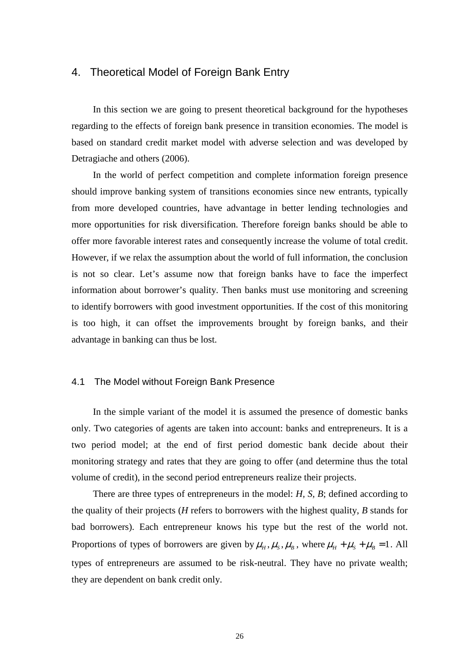### 4. Theoretical Model of Foreign Bank Entry

In this section we are going to present theoretical background for the hypotheses regarding to the effects of foreign bank presence in transition economies. The model is based on standard credit market model with adverse selection and was developed by Detragiache and others (2006).

In the world of perfect competition and complete information foreign presence should improve banking system of transitions economies since new entrants, typically from more developed countries, have advantage in better lending technologies and more opportunities for risk diversification. Therefore foreign banks should be able to offer more favorable interest rates and consequently increase the volume of total credit. However, if we relax the assumption about the world of full information, the conclusion is not so clear. Let's assume now that foreign banks have to face the imperfect information about borrower's quality. Then banks must use monitoring and screening to identify borrowers with good investment opportunities. If the cost of this monitoring is too high, it can offset the improvements brought by foreign banks, and their advantage in banking can thus be lost.

#### 4.1 The Model without Foreign Bank Presence

In the simple variant of the model it is assumed the presence of domestic banks only. Two categories of agents are taken into account: banks and entrepreneurs. It is a two period model; at the end of first period domestic bank decide about their monitoring strategy and rates that they are going to offer (and determine thus the total volume of credit), in the second period entrepreneurs realize their projects.

There are three types of entrepreneurs in the model: *H, S, B*; defined according to the quality of their projects (*H* refers to borrowers with the highest quality, *B* stands for bad borrowers). Each entrepreneur knows his type but the rest of the world not. Proportions of types of borrowers are given by  $\mu_H$ ,  $\mu_S$ ,  $\mu_B$ , where  $\mu_H + \mu_S + \mu_B = 1$ . All types of entrepreneurs are assumed to be risk-neutral. They have no private wealth; they are dependent on bank credit only.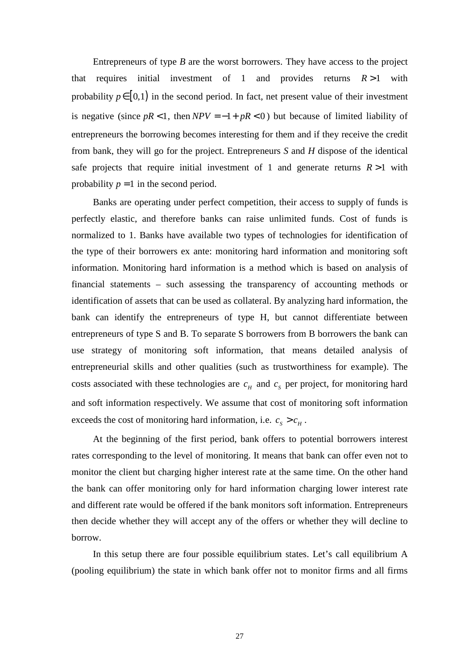Entrepreneurs of type *B* are the worst borrowers. They have access to the project that requires initial investment of 1 and provides returns *R* >1 with probability  $p \in [0,1)$  in the second period. In fact, net present value of their investment is negative (since  $pR < 1$ , then  $NPV = -1 + pR < 0$ ) but because of limited liability of entrepreneurs the borrowing becomes interesting for them and if they receive the credit from bank, they will go for the project. Entrepreneurs *S* and *H* dispose of the identical safe projects that require initial investment of 1 and generate returns  $R > 1$  with probability  $p = 1$  in the second period.

Banks are operating under perfect competition, their access to supply of funds is perfectly elastic, and therefore banks can raise unlimited funds. Cost of funds is normalized to 1. Banks have available two types of technologies for identification of the type of their borrowers ex ante: monitoring hard information and monitoring soft information. Monitoring hard information is a method which is based on analysis of financial statements – such assessing the transparency of accounting methods or identification of assets that can be used as collateral. By analyzing hard information, the bank can identify the entrepreneurs of type H, but cannot differentiate between entrepreneurs of type S and B. To separate S borrowers from B borrowers the bank can use strategy of monitoring soft information, that means detailed analysis of entrepreneurial skills and other qualities (such as trustworthiness for example). The costs associated with these technologies are  $c_H$  and  $c_S$  per project, for monitoring hard and soft information respectively. We assume that cost of monitoring soft information exceeds the cost of monitoring hard information, i.e.  $c_s > c_H$ .

At the beginning of the first period, bank offers to potential borrowers interest rates corresponding to the level of monitoring. It means that bank can offer even not to monitor the client but charging higher interest rate at the same time. On the other hand the bank can offer monitoring only for hard information charging lower interest rate and different rate would be offered if the bank monitors soft information. Entrepreneurs then decide whether they will accept any of the offers or whether they will decline to borrow.

In this setup there are four possible equilibrium states. Let's call equilibrium A (pooling equilibrium) the state in which bank offer not to monitor firms and all firms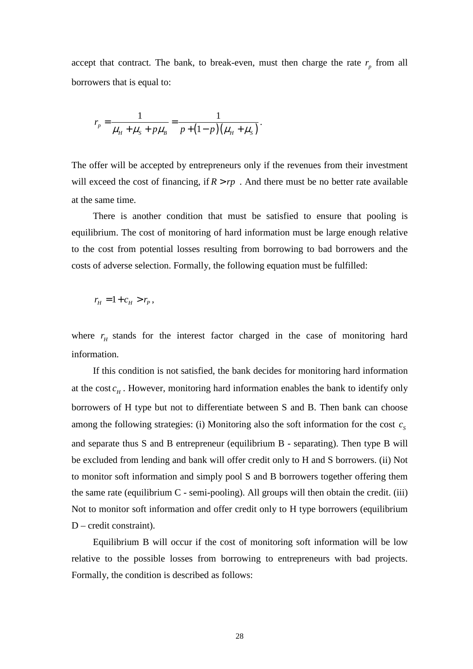accept that contract. The bank, to break-even, must then charge the rate  $r_p$  from all borrowers that is equal to:

$$
r_{p} = \frac{1}{\mu_{H} + \mu_{S} + p\mu_{B}} = \frac{1}{p + (1 - p)(\mu_{H} + \mu_{S})}.
$$

The offer will be accepted by entrepreneurs only if the revenues from their investment will exceed the cost of financing, if  $R > rp$ . And there must be no better rate available at the same time.

There is another condition that must be satisfied to ensure that pooling is equilibrium. The cost of monitoring of hard information must be large enough relative to the cost from potential losses resulting from borrowing to bad borrowers and the costs of adverse selection. Formally, the following equation must be fulfilled:

$$
r_{H}=1+c_{H}>r_{P},
$$

where  $r$ <sub>H</sub> stands for the interest factor charged in the case of monitoring hard information.

If this condition is not satisfied, the bank decides for monitoring hard information at the cost  $c_H$ . However, monitoring hard information enables the bank to identify only borrowers of H type but not to differentiate between S and B. Then bank can choose among the following strategies: (i) Monitoring also the soft information for the cost  $c_s$ and separate thus S and B entrepreneur (equilibrium B - separating). Then type B will be excluded from lending and bank will offer credit only to H and S borrowers. (ii) Not to monitor soft information and simply pool S and B borrowers together offering them the same rate (equilibrium  $C$  - semi-pooling). All groups will then obtain the credit. (iii) Not to monitor soft information and offer credit only to H type borrowers (equilibrium D – credit constraint).

Equilibrium B will occur if the cost of monitoring soft information will be low relative to the possible losses from borrowing to entrepreneurs with bad projects. Formally, the condition is described as follows: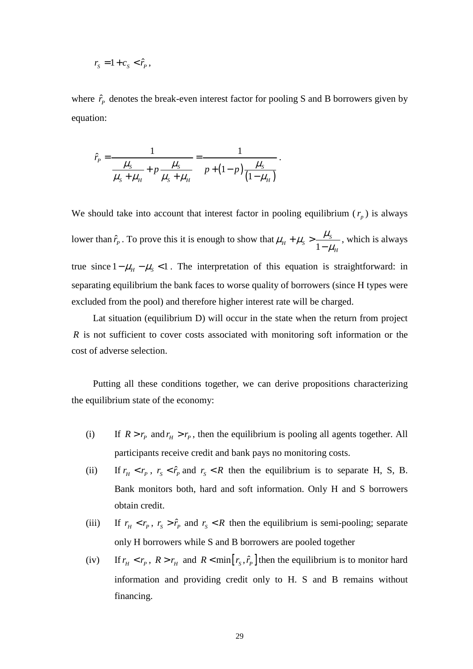$$
r_{\rm s}=1+c_{\rm s}<\hat{r}_{\rm p},
$$

where  $\hat{r}_p$  denotes the break-even interest factor for pooling S and B borrowers given by equation:

$$
\hat{r}_p = \frac{1}{\frac{\mu_s}{\mu_s + \mu_H} + p \frac{\mu_s}{\mu_s + \mu_H}} = \frac{1}{p + (1 - p) \frac{\mu_s}{(1 - \mu_H)}}.
$$

We should take into account that interest factor in pooling equilibrium  $(r_p)$  is always lower than  $\hat{r}_p$ . To prove this it is enough to show that 1  $H_{H} + \mu_{S} > \frac{\mu_{S}}{1 - \mu_{S}}$ *H*  $\mu_{\rm H}$  +  $\mu_{\rm s}$  >  $\frac{\mu_{\rm g}}{1}$  $\mu_{_{\rm i}}$  $+\mu_{s}$ − , which is always true since  $1 - \mu_H - \mu_S < 1$ . The interpretation of this equation is straightforward: in separating equilibrium the bank faces to worse quality of borrowers (since H types were excluded from the pool) and therefore higher interest rate will be charged.

Lat situation (equilibrium D) will occur in the state when the return from project *R* is not sufficient to cover costs associated with monitoring soft information or the cost of adverse selection.

Putting all these conditions together, we can derive propositions characterizing the equilibrium state of the economy:

- (i) If  $R > r_p$  and  $r_H > r_p$ , then the equilibrium is pooling all agents together. All participants receive credit and bank pays no monitoring costs.
- (ii) If  $r_H < r_P$ ,  $r_S < \hat{r}_P$  and  $r_S < R$  then the equilibrium is to separate H, S, B. Bank monitors both, hard and soft information. Only H and S borrowers obtain credit.
- (iii) If  $r_H < r_P$ ,  $r_S > \hat{r}_P$  and  $r_S < R$  then the equilibrium is semi-pooling; separate only H borrowers while S and B borrowers are pooled together
- (iv) If  $r_H < r_P$ ,  $R > r_H$  and  $R < \min[r_S, \hat{r}_P]$  then the equilibrium is to monitor hard information and providing credit only to H. S and B remains without financing.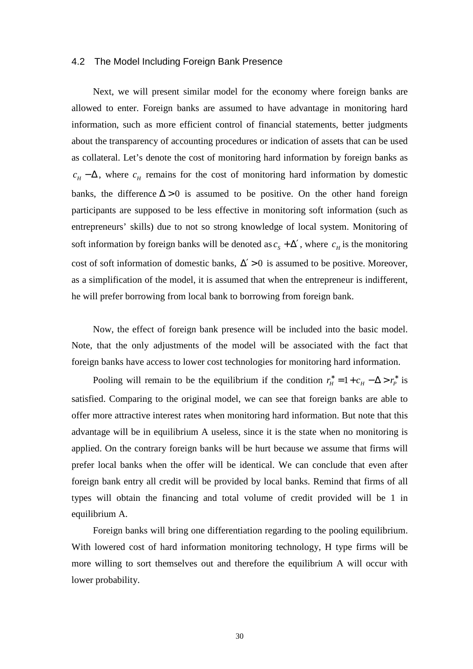#### 4.2 The Model Including Foreign Bank Presence

Next, we will present similar model for the economy where foreign banks are allowed to enter. Foreign banks are assumed to have advantage in monitoring hard information, such as more efficient control of financial statements, better judgments about the transparency of accounting procedures or indication of assets that can be used as collateral. Let's denote the cost of monitoring hard information by foreign banks as  $c_H - \Delta$ , where  $c_H$  remains for the cost of monitoring hard information by domestic banks, the difference  $\Delta > 0$  is assumed to be positive. On the other hand foreign participants are supposed to be less effective in monitoring soft information (such as entrepreneurs' skills) due to not so strong knowledge of local system. Monitoring of soft information by foreign banks will be denoted as  $c_s + \Delta'$ , where  $c_H$  is the monitoring cost of soft information of domestic banks,  $\Delta' > 0$  is assumed to be positive. Moreover, as a simplification of the model, it is assumed that when the entrepreneur is indifferent, he will prefer borrowing from local bank to borrowing from foreign bank.

Now, the effect of foreign bank presence will be included into the basic model. Note, that the only adjustments of the model will be associated with the fact that foreign banks have access to lower cost technologies for monitoring hard information.

Pooling will remain to be the equilibrium if the condition  $r_H^* = 1 + c_H - \Delta > r_P^*$  is satisfied. Comparing to the original model, we can see that foreign banks are able to offer more attractive interest rates when monitoring hard information. But note that this advantage will be in equilibrium A useless, since it is the state when no monitoring is applied. On the contrary foreign banks will be hurt because we assume that firms will prefer local banks when the offer will be identical. We can conclude that even after foreign bank entry all credit will be provided by local banks. Remind that firms of all types will obtain the financing and total volume of credit provided will be 1 in equilibrium A.

Foreign banks will bring one differentiation regarding to the pooling equilibrium. With lowered cost of hard information monitoring technology, H type firms will be more willing to sort themselves out and therefore the equilibrium A will occur with lower probability.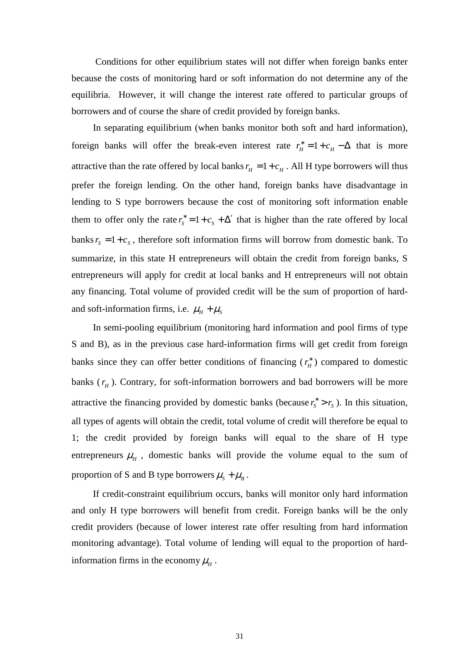Conditions for other equilibrium states will not differ when foreign banks enter because the costs of monitoring hard or soft information do not determine any of the equilibria. However, it will change the interest rate offered to particular groups of borrowers and of course the share of credit provided by foreign banks.

In separating equilibrium (when banks monitor both soft and hard information), foreign banks will offer the break-even interest rate  $r_H^* = 1 + c_H - \Delta$  that is more attractive than the rate offered by local banks  $r_H = 1 + c_H$ . All H type borrowers will thus prefer the foreign lending. On the other hand, foreign banks have disadvantage in lending to S type borrowers because the cost of monitoring soft information enable them to offer only the rate  $r_s^* = 1 + c_s + \Delta'$  that is higher than the rate offered by local banks  $r_s = 1 + c_s$ , therefore soft information firms will borrow from domestic bank. To summarize, in this state H entrepreneurs will obtain the credit from foreign banks, S entrepreneurs will apply for credit at local banks and H entrepreneurs will not obtain any financing. Total volume of provided credit will be the sum of proportion of hardand soft-information firms, i.e.  $\mu_H + \mu_S$ 

In semi-pooling equilibrium (monitoring hard information and pool firms of type S and B), as in the previous case hard-information firms will get credit from foreign banks since they can offer better conditions of financing  $(r<sub>H</sub><sup>*</sup>)$  compared to domestic banks  $(r<sub>H</sub>)$ . Contrary, for soft-information borrowers and bad borrowers will be more attractive the financing provided by domestic banks (because  $r_s^* > r_s$ ). In this situation, all types of agents will obtain the credit, total volume of credit will therefore be equal to 1; the credit provided by foreign banks will equal to the share of H type entrepreneurs  $\mu$ <sub>H</sub>, domestic banks will provide the volume equal to the sum of proportion of S and B type borrowers  $\mu_s + \mu_B$ .

If credit-constraint equilibrium occurs, banks will monitor only hard information and only H type borrowers will benefit from credit. Foreign banks will be the only credit providers (because of lower interest rate offer resulting from hard information monitoring advantage). Total volume of lending will equal to the proportion of hardinformation firms in the economy  $\mu_{H}$ .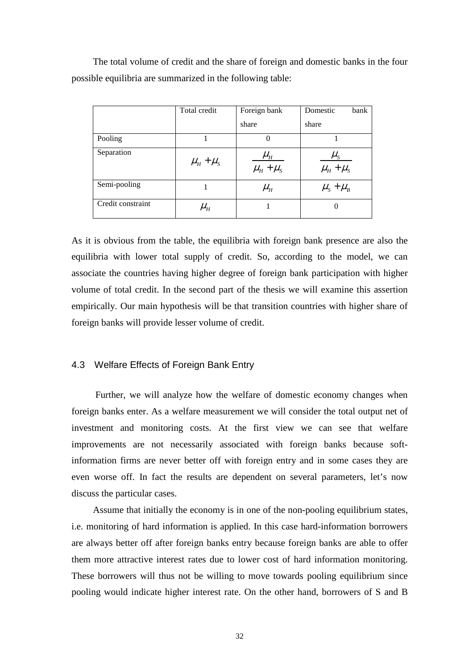The total volume of credit and the share of foreign and domestic banks in the four possible equilibria are summarized in the following table:

|                   | Total credit        | Foreign bank                                 | Domestic<br>bank                     |
|-------------------|---------------------|----------------------------------------------|--------------------------------------|
|                   |                     | share                                        | share                                |
| Pooling           |                     | $\theta$                                     |                                      |
| Separation        | $\mu_{H} + \mu_{S}$ | $\mu_{_H}$<br>$\overline{\mu_{H} + \mu_{S}}$ | $\mu_{\rm s}$<br>$\mu_{H} + \mu_{S}$ |
| Semi-pooling      |                     | $\mu_{_H}$                                   | $\mu_{S} + \mu_{B}$                  |
| Credit constraint | $\mu_{_H}$          |                                              | $\theta$                             |

As it is obvious from the table, the equilibria with foreign bank presence are also the equilibria with lower total supply of credit. So, according to the model, we can associate the countries having higher degree of foreign bank participation with higher volume of total credit. In the second part of the thesis we will examine this assertion empirically. Our main hypothesis will be that transition countries with higher share of foreign banks will provide lesser volume of credit.

## 4.3 Welfare Effects of Foreign Bank Entry

 Further, we will analyze how the welfare of domestic economy changes when foreign banks enter. As a welfare measurement we will consider the total output net of investment and monitoring costs. At the first view we can see that welfare improvements are not necessarily associated with foreign banks because softinformation firms are never better off with foreign entry and in some cases they are even worse off. In fact the results are dependent on several parameters, let's now discuss the particular cases.

Assume that initially the economy is in one of the non-pooling equilibrium states, i.e. monitoring of hard information is applied. In this case hard-information borrowers are always better off after foreign banks entry because foreign banks are able to offer them more attractive interest rates due to lower cost of hard information monitoring. These borrowers will thus not be willing to move towards pooling equilibrium since pooling would indicate higher interest rate. On the other hand, borrowers of S and B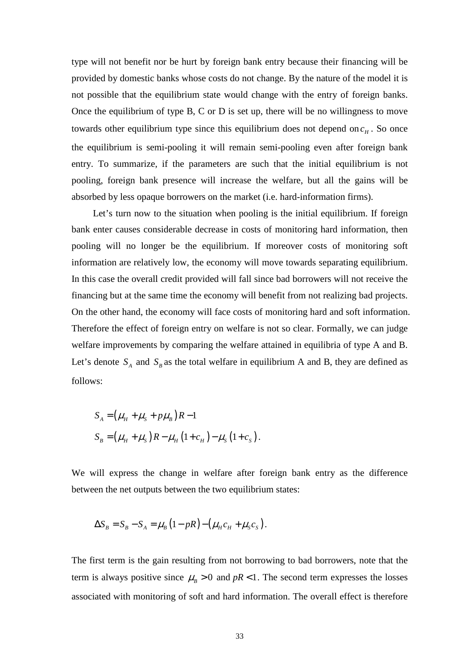type will not benefit nor be hurt by foreign bank entry because their financing will be provided by domestic banks whose costs do not change. By the nature of the model it is not possible that the equilibrium state would change with the entry of foreign banks. Once the equilibrium of type B, C or D is set up, there will be no willingness to move towards other equilibrium type since this equilibrium does not depend on  $c_H$ . So once the equilibrium is semi-pooling it will remain semi-pooling even after foreign bank entry. To summarize, if the parameters are such that the initial equilibrium is not pooling, foreign bank presence will increase the welfare, but all the gains will be absorbed by less opaque borrowers on the market (i.e. hard-information firms).

Let's turn now to the situation when pooling is the initial equilibrium. If foreign bank enter causes considerable decrease in costs of monitoring hard information, then pooling will no longer be the equilibrium. If moreover costs of monitoring soft information are relatively low, the economy will move towards separating equilibrium. In this case the overall credit provided will fall since bad borrowers will not receive the financing but at the same time the economy will benefit from not realizing bad projects. On the other hand, the economy will face costs of monitoring hard and soft information. Therefore the effect of foreign entry on welfare is not so clear. Formally, we can judge welfare improvements by comparing the welfare attained in equilibria of type A and B. Let's denote  $S_A$  and  $S_B$  as the total welfare in equilibrium A and B, they are defined as follows:

$$
S_A = (\mu_H + \mu_S + p\mu_B)R - 1
$$
  
\n
$$
S_B = (\mu_H + \mu_S)R - \mu_H (1 + c_H) - \mu_S (1 + c_S).
$$

We will express the change in welfare after foreign bank entry as the difference between the net outputs between the two equilibrium states:

$$
\Delta S_B = S_B - S_A = \mu_B \left( 1 - pR \right) - \left( \mu_H c_H + \mu_S c_S \right).
$$

The first term is the gain resulting from not borrowing to bad borrowers, note that the term is always positive since  $\mu$ <sub>R</sub> > 0 and  $pR$  < 1. The second term expresses the losses associated with monitoring of soft and hard information. The overall effect is therefore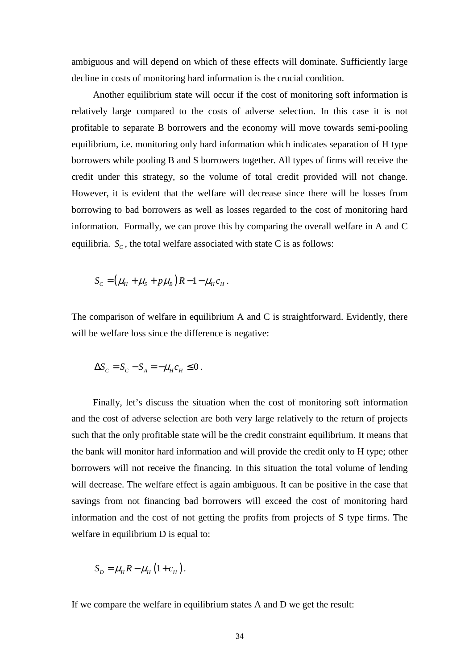ambiguous and will depend on which of these effects will dominate. Sufficiently large decline in costs of monitoring hard information is the crucial condition.

Another equilibrium state will occur if the cost of monitoring soft information is relatively large compared to the costs of adverse selection. In this case it is not profitable to separate B borrowers and the economy will move towards semi-pooling equilibrium, i.e. monitoring only hard information which indicates separation of H type borrowers while pooling B and S borrowers together. All types of firms will receive the credit under this strategy, so the volume of total credit provided will not change. However, it is evident that the welfare will decrease since there will be losses from borrowing to bad borrowers as well as losses regarded to the cost of monitoring hard information. Formally, we can prove this by comparing the overall welfare in A and C equilibria.  $S_c$ , the total welfare associated with state C is as follows:

$$
S_C = (\mu_H + \mu_S + p\mu_B)R - 1 - \mu_H c_H.
$$

The comparison of welfare in equilibrium A and C is straightforward. Evidently, there will be welfare loss since the difference is negative:

$$
\Delta S_C = S_C - S_A = -\mu_H c_H \le 0.
$$

Finally, let's discuss the situation when the cost of monitoring soft information and the cost of adverse selection are both very large relatively to the return of projects such that the only profitable state will be the credit constraint equilibrium. It means that the bank will monitor hard information and will provide the credit only to H type; other borrowers will not receive the financing. In this situation the total volume of lending will decrease. The welfare effect is again ambiguous. It can be positive in the case that savings from not financing bad borrowers will exceed the cost of monitoring hard information and the cost of not getting the profits from projects of S type firms. The welfare in equilibrium D is equal to:

$$
S_D = \mu_H R - \mu_H (1 + c_H).
$$

If we compare the welfare in equilibrium states A and D we get the result: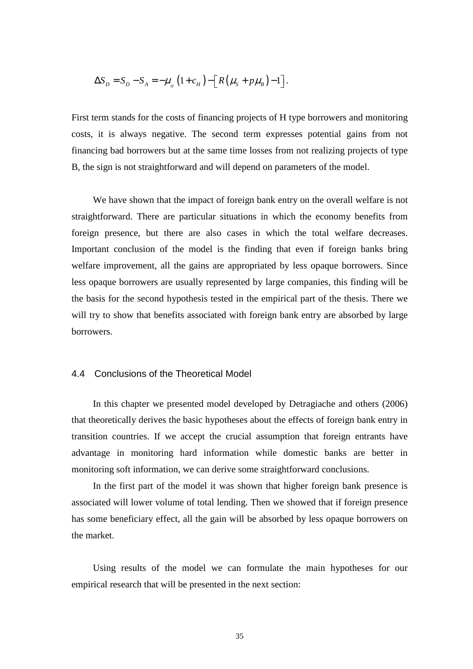$$
\Delta S_D = S_D - S_A = -\mu_{\scriptscriptstyle H} \left(1 + c_H\right) - \left[R\left(\mu_{\scriptscriptstyle S} + p\mu_{\scriptscriptstyle B}\right) - 1\right].
$$

First term stands for the costs of financing projects of H type borrowers and monitoring costs, it is always negative. The second term expresses potential gains from not financing bad borrowers but at the same time losses from not realizing projects of type B, the sign is not straightforward and will depend on parameters of the model.

We have shown that the impact of foreign bank entry on the overall welfare is not straightforward. There are particular situations in which the economy benefits from foreign presence, but there are also cases in which the total welfare decreases. Important conclusion of the model is the finding that even if foreign banks bring welfare improvement, all the gains are appropriated by less opaque borrowers. Since less opaque borrowers are usually represented by large companies, this finding will be the basis for the second hypothesis tested in the empirical part of the thesis. There we will try to show that benefits associated with foreign bank entry are absorbed by large borrowers.

# 4.4 Conclusions of the Theoretical Model

In this chapter we presented model developed by Detragiache and others (2006) that theoretically derives the basic hypotheses about the effects of foreign bank entry in transition countries. If we accept the crucial assumption that foreign entrants have advantage in monitoring hard information while domestic banks are better in monitoring soft information, we can derive some straightforward conclusions.

In the first part of the model it was shown that higher foreign bank presence is associated will lower volume of total lending. Then we showed that if foreign presence has some beneficiary effect, all the gain will be absorbed by less opaque borrowers on the market.

Using results of the model we can formulate the main hypotheses for our empirical research that will be presented in the next section: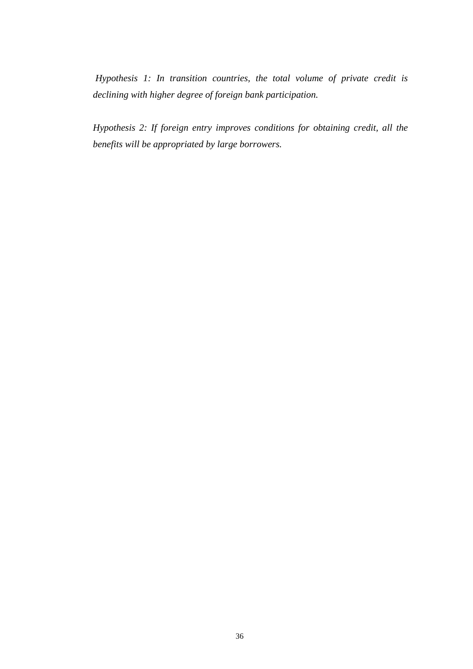*Hypothesis 1: In transition countries, the total volume of private credit is declining with higher degree of foreign bank participation.* 

*Hypothesis 2: If foreign entry improves conditions for obtaining credit, all the benefits will be appropriated by large borrowers.*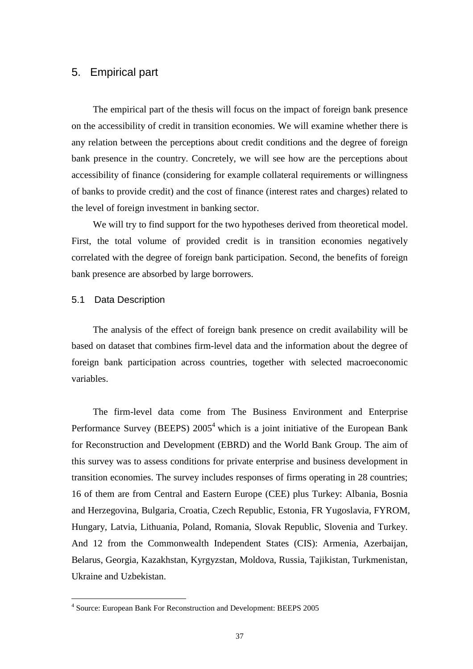# 5. Empirical part

The empirical part of the thesis will focus on the impact of foreign bank presence on the accessibility of credit in transition economies. We will examine whether there is any relation between the perceptions about credit conditions and the degree of foreign bank presence in the country. Concretely, we will see how are the perceptions about accessibility of finance (considering for example collateral requirements or willingness of banks to provide credit) and the cost of finance (interest rates and charges) related to the level of foreign investment in banking sector.

We will try to find support for the two hypotheses derived from theoretical model. First, the total volume of provided credit is in transition economies negatively correlated with the degree of foreign bank participation. Second, the benefits of foreign bank presence are absorbed by large borrowers.

# 5.1 Data Description

The analysis of the effect of foreign bank presence on credit availability will be based on dataset that combines firm-level data and the information about the degree of foreign bank participation across countries, together with selected macroeconomic variables.

The firm-level data come from The Business Environment and Enterprise Performance Survey (BEEPS) 2005<sup>4</sup> which is a joint initiative of the European Bank for Reconstruction and Development (EBRD) and the World Bank Group. The aim of this survey was to assess conditions for private enterprise and business development in transition economies. The survey includes responses of firms operating in 28 countries; 16 of them are from Central and Eastern Europe (CEE) plus Turkey: Albania, Bosnia and Herzegovina, Bulgaria, Croatia, Czech Republic, Estonia, FR Yugoslavia, FYROM, Hungary, Latvia, Lithuania, Poland, Romania, Slovak Republic, Slovenia and Turkey. And 12 from the Commonwealth Independent States (CIS): Armenia, Azerbaijan, Belarus, Georgia, Kazakhstan, Kyrgyzstan, Moldova, Russia, Tajikistan, Turkmenistan, Ukraine and Uzbekistan.

 4 Source: European Bank For Reconstruction and Development: BEEPS 2005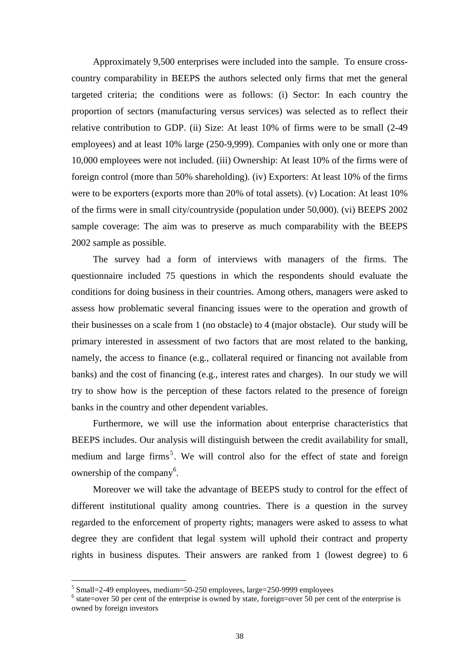Approximately 9,500 enterprises were included into the sample. To ensure crosscountry comparability in BEEPS the authors selected only firms that met the general targeted criteria; the conditions were as follows: (i) Sector: In each country the proportion of sectors (manufacturing versus services) was selected as to reflect their relative contribution to GDP. (ii) Size: At least 10% of firms were to be small (2-49 employees) and at least 10% large (250-9,999). Companies with only one or more than 10,000 employees were not included. (iii) Ownership: At least 10% of the firms were of foreign control (more than 50% shareholding). (iv) Exporters: At least 10% of the firms were to be exporters (exports more than 20% of total assets). (v) Location: At least 10% of the firms were in small city/countryside (population under 50,000). (vi) BEEPS 2002 sample coverage: The aim was to preserve as much comparability with the BEEPS 2002 sample as possible.

The survey had a form of interviews with managers of the firms. The questionnaire included 75 questions in which the respondents should evaluate the conditions for doing business in their countries. Among others, managers were asked to assess how problematic several financing issues were to the operation and growth of their businesses on a scale from 1 (no obstacle) to 4 (major obstacle). Our study will be primary interested in assessment of two factors that are most related to the banking, namely, the access to finance (e.g., collateral required or financing not available from banks) and the cost of financing (e.g., interest rates and charges). In our study we will try to show how is the perception of these factors related to the presence of foreign banks in the country and other dependent variables.

Furthermore, we will use the information about enterprise characteristics that BEEPS includes. Our analysis will distinguish between the credit availability for small, medium and large firms<sup>5</sup>. We will control also for the effect of state and foreign ownership of the company<sup>6</sup>.

Moreover we will take the advantage of BEEPS study to control for the effect of different institutional quality among countries. There is a question in the survey regarded to the enforcement of property rights; managers were asked to assess to what degree they are confident that legal system will uphold their contract and property rights in business disputes. Their answers are ranked from 1 (lowest degree) to 6

 $\overline{a}$ 

 $<sup>5</sup>$  Small=2-49 employees, medium=50-250 employees, large=250-9999 employees</sup>

 $<sup>6</sup>$  state=over 50 per cent of the enterprise is owned by state, foreign=over 50 per cent of the enterprise is</sup> owned by foreign investors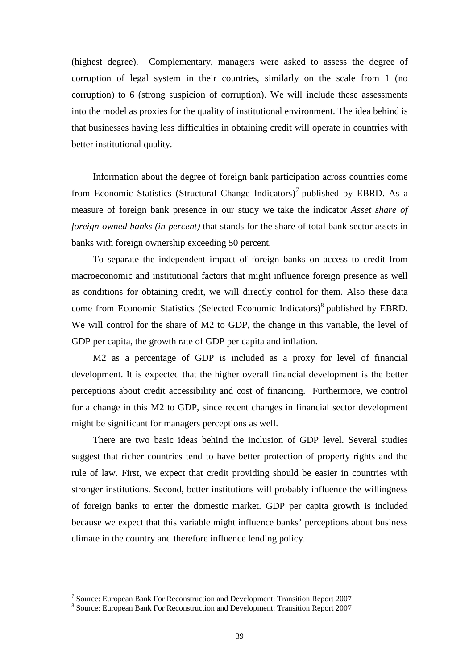(highest degree). Complementary, managers were asked to assess the degree of corruption of legal system in their countries, similarly on the scale from 1 (no corruption) to 6 (strong suspicion of corruption). We will include these assessments into the model as proxies for the quality of institutional environment. The idea behind is that businesses having less difficulties in obtaining credit will operate in countries with better institutional quality.

Information about the degree of foreign bank participation across countries come from Economic Statistics (Structural Change Indicators)<sup>7</sup> published by EBRD. As a measure of foreign bank presence in our study we take the indicator *Asset share of foreign-owned banks (in percent)* that stands for the share of total bank sector assets in banks with foreign ownership exceeding 50 percent.

To separate the independent impact of foreign banks on access to credit from macroeconomic and institutional factors that might influence foreign presence as well as conditions for obtaining credit, we will directly control for them. Also these data come from Economic Statistics (Selected Economic Indicators)<sup>8</sup> published by EBRD. We will control for the share of M2 to GDP, the change in this variable, the level of GDP per capita, the growth rate of GDP per capita and inflation.

M2 as a percentage of GDP is included as a proxy for level of financial development. It is expected that the higher overall financial development is the better perceptions about credit accessibility and cost of financing. Furthermore, we control for a change in this M2 to GDP, since recent changes in financial sector development might be significant for managers perceptions as well.

There are two basic ideas behind the inclusion of GDP level. Several studies suggest that richer countries tend to have better protection of property rights and the rule of law. First, we expect that credit providing should be easier in countries with stronger institutions. Second, better institutions will probably influence the willingness of foreign banks to enter the domestic market. GDP per capita growth is included because we expect that this variable might influence banks' perceptions about business climate in the country and therefore influence lending policy.

<sup>&</sup>lt;sup>7</sup> Source: European Bank For Reconstruction and Development: Transition Report 2007

<sup>&</sup>lt;sup>8</sup> Source: European Bank For Reconstruction and Development: Transition Report 2007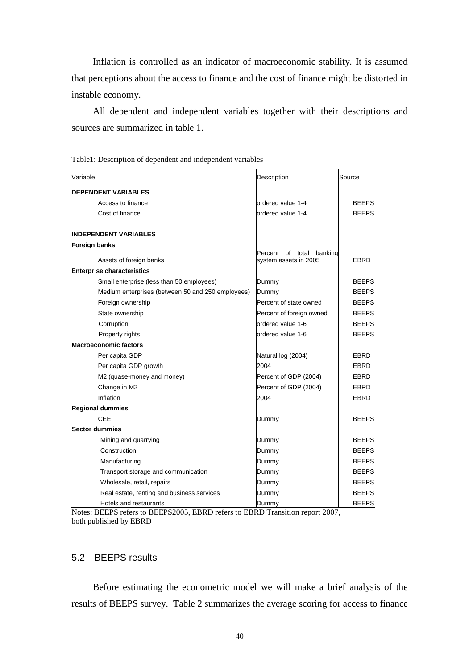Inflation is controlled as an indicator of macroeconomic stability. It is assumed that perceptions about the access to finance and the cost of finance might be distorted in instable economy.

All dependent and independent variables together with their descriptions and sources are summarized in table 1.

| Variable                                          | Description                                             | Source       |
|---------------------------------------------------|---------------------------------------------------------|--------------|
| <b>DEPENDENT VARIABLES</b>                        |                                                         |              |
| Access to finance                                 | ordered value 1-4                                       | <b>BEEPS</b> |
| Cost of finance                                   | ordered value 1-4                                       | <b>BEEPS</b> |
| <b>INDEPENDENT VARIABLES</b>                      |                                                         |              |
| Foreign banks                                     |                                                         |              |
| Assets of foreign banks                           | banking<br>Percent<br>of total<br>system assets in 2005 | <b>EBRD</b>  |
| <b>Enterprise characteristics</b>                 |                                                         |              |
| Small enterprise (less than 50 employees)         | Dummy                                                   | <b>BEEPS</b> |
| Medium enterprises (between 50 and 250 employees) | Dummy                                                   | <b>BEEPS</b> |
| Foreign ownership                                 | Percent of state owned                                  | <b>BEEPS</b> |
| State ownership                                   | Percent of foreign owned                                | <b>BEEPS</b> |
| Corruption                                        | ordered value 1-6                                       | <b>BEEPS</b> |
| Property rights                                   | ordered value 1-6                                       | <b>BEEPS</b> |
| <b>Macroeconomic factors</b>                      |                                                         |              |
| Per capita GDP                                    | Natural log (2004)                                      | EBRD         |
| Per capita GDP growth                             | 2004                                                    | EBRD         |
| M2 (quase-money and money)                        | Percent of GDP (2004)                                   | <b>EBRD</b>  |
| Change in M2                                      | Percent of GDP (2004)                                   | <b>EBRD</b>  |
| Inflation                                         | 2004                                                    | EBRD         |
| <b>Regional dummies</b>                           |                                                         |              |
| <b>CEE</b>                                        | Dummy                                                   | <b>BEEPS</b> |
| <b>Sector dummies</b>                             |                                                         |              |
| Mining and quarrying                              | Dummy                                                   | <b>BEEPS</b> |
| Construction                                      | Dummy                                                   | <b>BEEPS</b> |
| Manufacturing                                     | Dummy                                                   | <b>BEEPS</b> |
| Transport storage and communication               | Dummy                                                   | <b>BEEPS</b> |
| Wholesale, retail, repairs                        | Dummy                                                   | <b>BEEPS</b> |
| Real estate, renting and business services        | Dummy                                                   | <b>BEEPS</b> |
| Hotels and restaurants                            | Dummy                                                   | <b>BEEPS</b> |

Table1: Description of dependent and independent variables

Notes: BEEPS refers to BEEPS2005, EBRD refers to EBRD Transition report 2007, both published by EBRD

# 5.2 BEEPS results

Before estimating the econometric model we will make a brief analysis of the results of BEEPS survey. Table 2 summarizes the average scoring for access to finance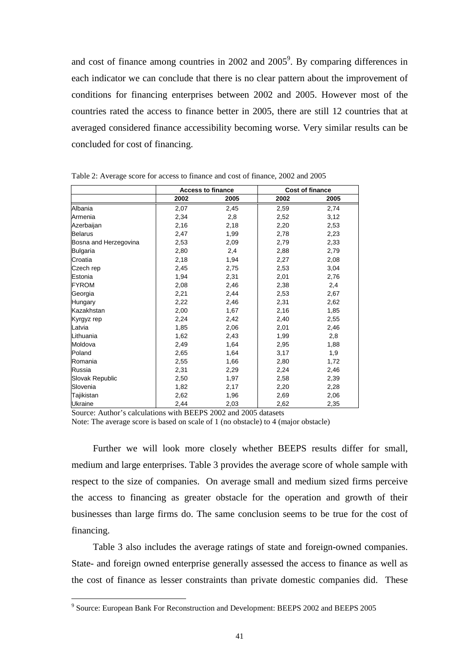and cost of finance among countries in 2002 and 2005<sup>9</sup>. By comparing differences in each indicator we can conclude that there is no clear pattern about the improvement of conditions for financing enterprises between 2002 and 2005. However most of the countries rated the access to finance better in 2005, there are still 12 countries that at averaged considered finance accessibility becoming worse. Very similar results can be concluded for cost of financing.

|                       |      | <b>Access to finance</b> |      | <b>Cost of finance</b> |
|-----------------------|------|--------------------------|------|------------------------|
|                       | 2002 | 2005                     | 2002 | 2005                   |
| Albania               | 2,07 | 2,45                     | 2,59 | 2,74                   |
| Armenia               | 2,34 | 2,8                      | 2,52 | 3,12                   |
| Azerbaijan            | 2,16 | 2,18                     | 2,20 | 2,53                   |
| <b>Belarus</b>        | 2,47 | 1,99                     | 2,78 | 2,23                   |
| Bosna and Herzegovina | 2,53 | 2,09                     | 2,79 | 2,33                   |
| <b>Bulgaria</b>       | 2,80 | 2,4                      | 2,88 | 2,79                   |
| Croatia               | 2,18 | 1,94                     | 2,27 | 2,08                   |
| Czech rep             | 2,45 | 2,75                     | 2,53 | 3,04                   |
| Estonia               | 1,94 | 2,31                     | 2,01 | 2,76                   |
| <b>FYROM</b>          | 2,08 | 2,46                     | 2,38 | 2,4                    |
| Georgia               | 2,21 | 2,44                     | 2,53 | 2,67                   |
| Hungary               | 2,22 | 2,46                     | 2,31 | 2,62                   |
| Kazakhstan            | 2,00 | 1,67                     | 2,16 | 1,85                   |
| Kyrgyz rep            | 2,24 | 2,42                     | 2,40 | 2,55                   |
| Latvia                | 1,85 | 2,06                     | 2,01 | 2,46                   |
| Lithuania             | 1,62 | 2,43                     | 1,99 | 2,8                    |
| Moldova               | 2,49 | 1,64                     | 2,95 | 1,88                   |
| Poland                | 2,65 | 1,64                     | 3,17 | 1,9                    |
| Romania               | 2,55 | 1,66                     | 2,80 | 1,72                   |
| Russia                | 2,31 | 2,29                     | 2,24 | 2,46                   |
| Slovak Republic       | 2,50 | 1,97                     | 2,58 | 2,39                   |
| Slovenia              | 1,82 | 2,17                     | 2,20 | 2,28                   |
| Tajikistan            | 2,62 | 1,96                     | 2,69 | 2,06                   |
| <b>Ukraine</b>        | 2,44 | 2,03                     | 2,62 | 2,35                   |

Table 2: Average score for access to finance and cost of finance, 2002 and 2005

Source: Author's calculations with BEEPS 2002 and 2005 datasets

Note: The average score is based on scale of 1 (no obstacle) to 4 (major obstacle)

Further we will look more closely whether BEEPS results differ for small, medium and large enterprises. Table 3 provides the average score of whole sample with respect to the size of companies. On average small and medium sized firms perceive the access to financing as greater obstacle for the operation and growth of their businesses than large firms do. The same conclusion seems to be true for the cost of financing.

Table 3 also includes the average ratings of state and foreign-owned companies. State- and foreign owned enterprise generally assessed the access to finance as well as the cost of finance as lesser constraints than private domestic companies did. These

 9 Source: European Bank For Reconstruction and Development: BEEPS 2002 and BEEPS 2005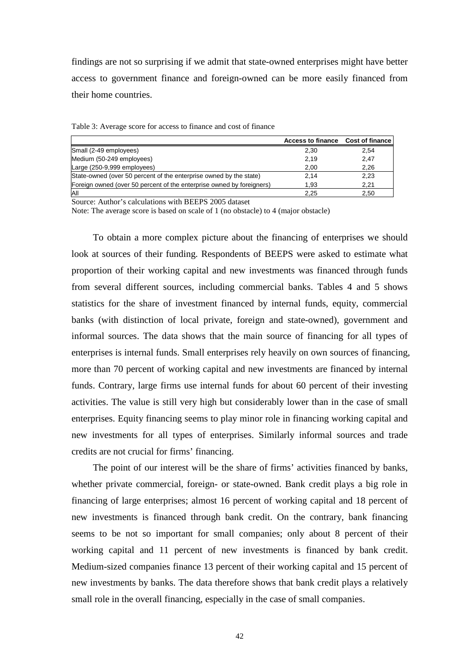findings are not so surprising if we admit that state-owned enterprises might have better access to government finance and foreign-owned can be more easily financed from their home countries.

|                                                                       | Access to finance Cost of finance |      |
|-----------------------------------------------------------------------|-----------------------------------|------|
| Small (2-49 employees)                                                | 2.30                              | 2.54 |
| Medium (50-249 employees)                                             | 2.19                              | 2.47 |
| Large (250-9,999 employees)                                           | 2,00                              | 2,26 |
| State-owned (over 50 percent of the enterprise owned by the state)    | 2.14                              | 2,23 |
| Foreign owned (over 50 percent of the enterprise owned by foreigners) | 1.93                              | 2.21 |
| All                                                                   | 2.25                              | 2.50 |

Table 3: Average score for access to finance and cost of finance

Source: Author's calculations with BEEPS 2005 dataset

Note: The average score is based on scale of 1 (no obstacle) to 4 (major obstacle)

To obtain a more complex picture about the financing of enterprises we should look at sources of their funding. Respondents of BEEPS were asked to estimate what proportion of their working capital and new investments was financed through funds from several different sources, including commercial banks. Tables 4 and 5 shows statistics for the share of investment financed by internal funds, equity, commercial banks (with distinction of local private, foreign and state-owned), government and informal sources. The data shows that the main source of financing for all types of enterprises is internal funds. Small enterprises rely heavily on own sources of financing, more than 70 percent of working capital and new investments are financed by internal funds. Contrary, large firms use internal funds for about 60 percent of their investing activities. The value is still very high but considerably lower than in the case of small enterprises. Equity financing seems to play minor role in financing working capital and new investments for all types of enterprises. Similarly informal sources and trade credits are not crucial for firms' financing.

The point of our interest will be the share of firms' activities financed by banks, whether private commercial, foreign- or state-owned. Bank credit plays a big role in financing of large enterprises; almost 16 percent of working capital and 18 percent of new investments is financed through bank credit. On the contrary, bank financing seems to be not so important for small companies; only about 8 percent of their working capital and 11 percent of new investments is financed by bank credit. Medium-sized companies finance 13 percent of their working capital and 15 percent of new investments by banks. The data therefore shows that bank credit plays a relatively small role in the overall financing, especially in the case of small companies.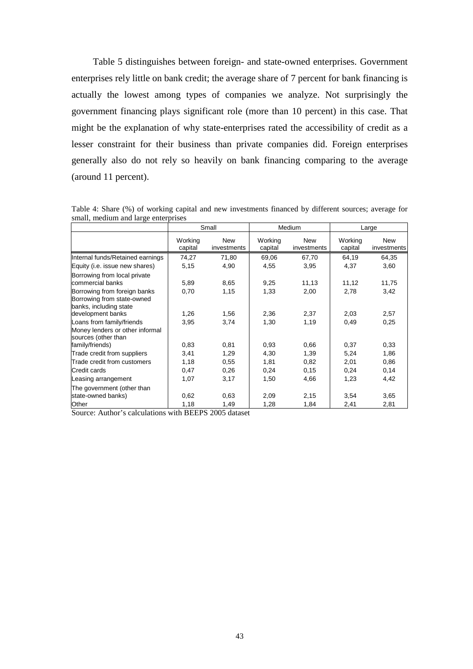Table 5 distinguishes between foreign- and state-owned enterprises. Government enterprises rely little on bank credit; the average share of 7 percent for bank financing is actually the lowest among types of companies we analyze. Not surprisingly the government financing plays significant role (more than 10 percent) in this case. That might be the explanation of why state-enterprises rated the accessibility of credit as a lesser constraint for their business than private companies did. Foreign enterprises generally also do not rely so heavily on bank financing comparing to the average (around 11 percent).

|                                                                                      |                    | Small                     |                    | Medium<br>Large    |                    |                           |
|--------------------------------------------------------------------------------------|--------------------|---------------------------|--------------------|--------------------|--------------------|---------------------------|
|                                                                                      | Working<br>capital | <b>New</b><br>investments | Working<br>capital | New<br>investments | Working<br>capital | <b>New</b><br>investments |
| Internal funds/Retained earnings                                                     | 74,27              | 71,80                     | 69,06              | 67,70              | 64,19              | 64,35                     |
| Equity (i.e. issue new shares)                                                       | 5,15               | 4,90                      | 4,55               | 3,95               | 4,37               | 3,60                      |
| Borrowing from local private<br>commercial banks                                     | 5,89               | 8,65                      | 9,25               | 11,13              | 11,12              | 11,75                     |
| Borrowing from foreign banks<br>Borrowing from state-owned<br>banks, including state | 0,70               | 1,15                      | 1,33               | 2,00               | 2,78               | 3,42                      |
| development banks                                                                    | 1,26               | 1,56                      | 2,36               | 2,37               | 2,03               | 2,57                      |
| Loans from family/friends<br>Money lenders or other informal<br>sources (other than  | 3,95               | 3,74                      | 1,30               | 1,19               | 0,49               | 0,25                      |
| family/friends)                                                                      | 0,83               | 0,81                      | 0,93               | 0,66               | 0,37               | 0,33                      |
| Trade credit from suppliers                                                          | 3,41               | 1,29                      | 4,30               | 1,39               | 5,24               | 1,86                      |
| Trade credit from customers                                                          | 1,18               | 0,55                      | 1,81               | 0,82               | 2,01               | 0,86                      |
| Credit cards                                                                         | 0,47               | 0,26                      | 0,24               | 0, 15              | 0,24               | 0,14                      |
| Leasing arrangement                                                                  | 1,07               | 3,17                      | 1,50               | 4,66               | 1,23               | 4,42                      |
| The government (other than<br>state-owned banks)                                     | 0,62               | 0.63                      | 2,09               | 2,15               | 3,54               | 3,65                      |
| Other                                                                                | 1,18               | 1,49                      | 1,28               | 1,84               | 2,41               | 2,81                      |

Table 4: Share (%) of working capital and new investments financed by different sources; average for small, medium and large enterprises

Source: Author's calculations with BEEPS 2005 dataset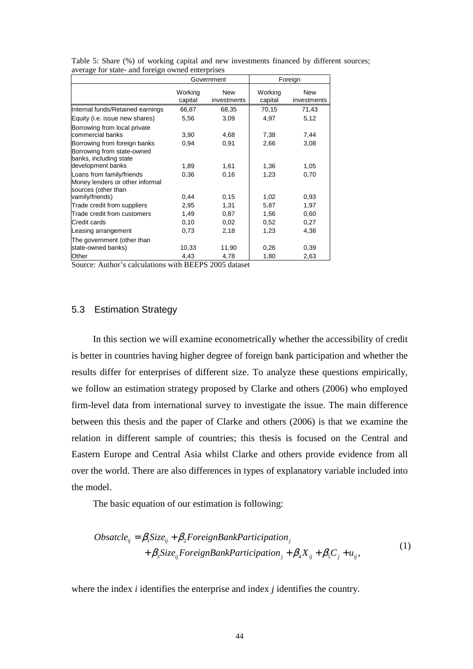|                                                                                      |                    | Government         |                    | Foreign                   |
|--------------------------------------------------------------------------------------|--------------------|--------------------|--------------------|---------------------------|
|                                                                                      | Working<br>capital | New<br>investments | Working<br>capital | <b>New</b><br>investments |
| Internal funds/Retained earnings                                                     | 66,87              | 68,35              | 70,15              | 71,43                     |
| Equity (i.e. issue new shares)                                                       | 5,56               | 3,09               | 4,97               | 5,12                      |
| Borrowing from local private<br>commercial banks                                     | 3,90               | 4,68               | 7,38               | 7,44                      |
| Borrowing from foreign banks<br>Borrowing from state-owned<br>banks, including state | 0,94               | 0,91               | 2,66               | 3,08                      |
| development banks                                                                    | 1,89               | 1,61               | 1,36               | 1,05                      |
| Loans from family/friends<br>Money lenders or other informal<br>sources (other than  | 0,36               | 0,16               | 1,23               | 0,70                      |
| vamily/friends)                                                                      | 0,44               | 0,15               | 1,02               | 0,93                      |
| Trade credit from suppliers                                                          | 2,95               | 1,31               | 5,87               | 1,97                      |
| Trade credit from customers                                                          | 1,49               | 0,87               | 1,56               | 0,60                      |
| Credit cards                                                                         | 0,10               | 0,02               | 0,52               | 0,27                      |
| Leasing arrangement                                                                  | 0,73               | 2,18               | 1,23               | 4,38                      |
| The government (other than<br>state-owned banks)                                     | 10,33              | 11,90              | 0,26               | 0,39                      |
| Other                                                                                | 4,43               | 4,78               | 1,80               | 2,63                      |

Table 5: Share (%) of working capital and new investments financed by different sources; average for state- and foreign owned enterprises

Source: Author's calculations with BEEPS 2005 dataset

### 5.3 Estimation Strategy

In this section we will examine econometrically whether the accessibility of credit is better in countries having higher degree of foreign bank participation and whether the results differ for enterprises of different size. To analyze these questions empirically, we follow an estimation strategy proposed by Clarke and others (2006) who employed firm-level data from international survey to investigate the issue. The main difference between this thesis and the paper of Clarke and others (2006) is that we examine the relation in different sample of countries; this thesis is focused on the Central and Eastern Europe and Central Asia whilst Clarke and others provide evidence from all over the world. There are also differences in types of explanatory variable included into the model.

The basic equation of our estimation is following:

$$
Obsatcle_{ij} = \beta_1 Size_{ij} + \beta_2 ForeignBankPartition_j
$$
  
+  $\beta_3 Size_{ij} ForeignBankPartition_j + \beta_4 X_{ij} + \beta_5 C_j + u_{ij}$ , (1)

where the index *i* identifies the enterprise and index *j* identifies the country.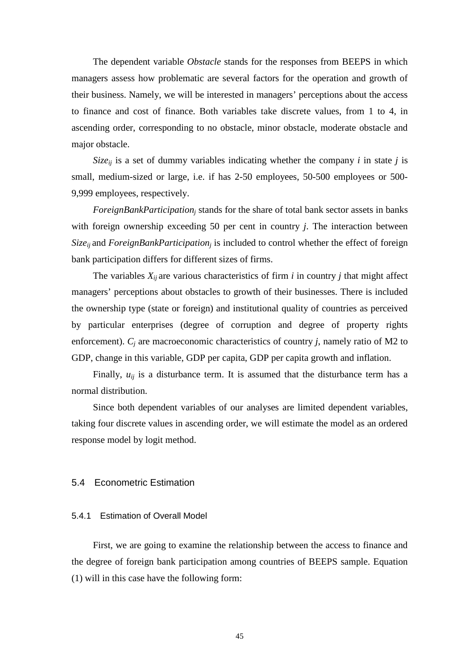The dependent variable *Obstacle* stands for the responses from BEEPS in which managers assess how problematic are several factors for the operation and growth of their business. Namely, we will be interested in managers' perceptions about the access to finance and cost of finance. Both variables take discrete values, from 1 to 4, in ascending order, corresponding to no obstacle, minor obstacle, moderate obstacle and major obstacle.

*Size<sub>ij</sub>* is a set of dummy variables indicating whether the company *i* in state *j* is small, medium-sized or large, i.e. if has 2-50 employees, 50-500 employees or 500- 9,999 employees, respectively.

*ForeignBankParticipation<sup>j</sup>* stands for the share of total bank sector assets in banks with foreign ownership exceeding 50 per cent in country *j*. The interaction between *Sizeij* and *ForeignBankParticipation<sup>j</sup>* is included to control whether the effect of foreign bank participation differs for different sizes of firms.

The variables  $X_{ii}$  are various characteristics of firm *i* in country *j* that might affect managers' perceptions about obstacles to growth of their businesses. There is included the ownership type (state or foreign) and institutional quality of countries as perceived by particular enterprises (degree of corruption and degree of property rights enforcement). *C<sup>j</sup>* are macroeconomic characteristics of country *j*, namely ratio of M2 to GDP, change in this variable, GDP per capita, GDP per capita growth and inflation.

Finally,  $u_{ij}$  is a disturbance term. It is assumed that the disturbance term has a normal distribution.

Since both dependent variables of our analyses are limited dependent variables, taking four discrete values in ascending order, we will estimate the model as an ordered response model by logit method.

# 5.4 Econometric Estimation

#### 5.4.1 Estimation of Overall Model

First, we are going to examine the relationship between the access to finance and the degree of foreign bank participation among countries of BEEPS sample. Equation (1) will in this case have the following form: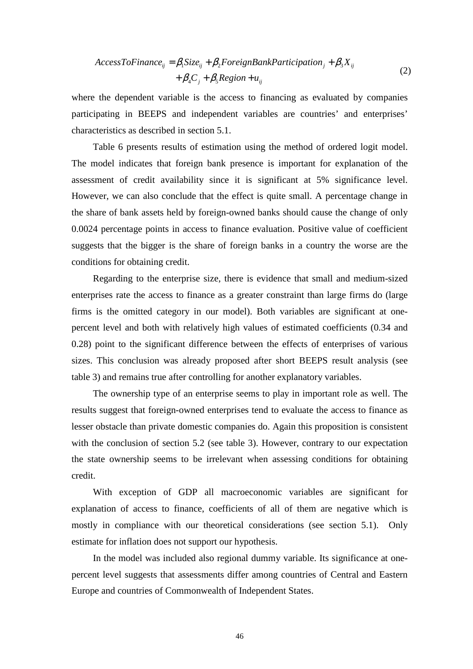$$
AccessToFinance_{ij} = \beta_1 Size_{ij} + \beta_2 ForeignBankPartition_j + \beta_3 X_{ij}
$$
  
+  $\beta_4 C_j + \beta_5 Region + u_{ij}$  (2)

where the dependent variable is the access to financing as evaluated by companies participating in BEEPS and independent variables are countries' and enterprises' characteristics as described in section 5.1.

Table 6 presents results of estimation using the method of ordered logit model. The model indicates that foreign bank presence is important for explanation of the assessment of credit availability since it is significant at 5% significance level. However, we can also conclude that the effect is quite small. A percentage change in the share of bank assets held by foreign-owned banks should cause the change of only 0.0024 percentage points in access to finance evaluation. Positive value of coefficient suggests that the bigger is the share of foreign banks in a country the worse are the conditions for obtaining credit.

Regarding to the enterprise size, there is evidence that small and medium-sized enterprises rate the access to finance as a greater constraint than large firms do (large firms is the omitted category in our model). Both variables are significant at onepercent level and both with relatively high values of estimated coefficients (0.34 and 0.28) point to the significant difference between the effects of enterprises of various sizes. This conclusion was already proposed after short BEEPS result analysis (see table 3) and remains true after controlling for another explanatory variables.

The ownership type of an enterprise seems to play in important role as well. The results suggest that foreign-owned enterprises tend to evaluate the access to finance as lesser obstacle than private domestic companies do. Again this proposition is consistent with the conclusion of section 5.2 (see table 3). However, contrary to our expectation the state ownership seems to be irrelevant when assessing conditions for obtaining credit.

With exception of GDP all macroeconomic variables are significant for explanation of access to finance, coefficients of all of them are negative which is mostly in compliance with our theoretical considerations (see section 5.1). Only estimate for inflation does not support our hypothesis.

In the model was included also regional dummy variable. Its significance at onepercent level suggests that assessments differ among countries of Central and Eastern Europe and countries of Commonwealth of Independent States.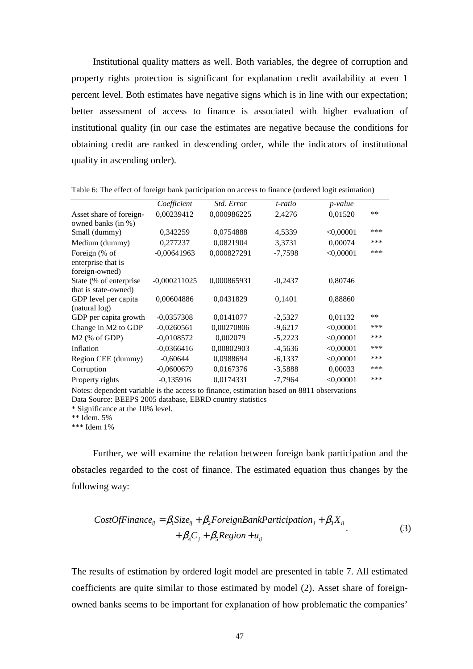Institutional quality matters as well. Both variables, the degree of corruption and property rights protection is significant for explanation credit availability at even 1 percent level. Both estimates have negative signs which is in line with our expectation; better assessment of access to finance is associated with higher evaluation of institutional quality (in our case the estimates are negative because the conditions for obtaining credit are ranked in descending order, while the indicators of institutional quality in ascending order).

|                                                       | Coefficient    | Std. Error  | t-ratio   | <i>p</i> -value |       |
|-------------------------------------------------------|----------------|-------------|-----------|-----------------|-------|
| Asset share of foreign-<br>owned banks (in %)         | 0,00239412     | 0,000986225 | 2,4276    | 0,01520         | $***$ |
| Small (dummy)                                         | 0,342259       | 0,0754888   | 4,5339    | < 0,00001       | ***   |
| Medium (dummy)                                        | 0,277237       | 0,0821904   | 3,3731    | 0,00074         | ***   |
| Foreign (% of<br>enterprise that is<br>foreign-owned) | $-0,00641963$  | 0,000827291 | $-7,7598$ | < 0,00001       | ***   |
| State (% of enterprise<br>that is state-owned)        | $-0,000211025$ | 0,000865931 | $-0,2437$ | 0,80746         |       |
| GDP level per capita<br>(natural log)                 | 0,00604886     | 0,0431829   | 0,1401    | 0,88860         |       |
| GDP per capita growth                                 | $-0,0357308$   | 0,0141077   | $-2,5327$ | 0,01132         | **    |
| Change in M2 to GDP                                   | $-0,0260561$   | 0,00270806  | $-9,6217$ | < 0,00001       | ***   |
| $M2$ (% of GDP)                                       | $-0,0108572$   | 0,002079    | $-5,2223$ | < 0,00001       | ***   |
| Inflation                                             | $-0.0366416$   | 0,00802903  | $-4,5636$ | < 0,00001       | ***   |
| Region CEE (dummy)                                    | $-0,60644$     | 0,0988694   | $-6,1337$ | < 0,00001       | ***   |
| Corruption                                            | $-0,0600679$   | 0,0167376   | $-3,5888$ | 0,00033         | ***   |
| Property rights                                       | $-0,135916$    | 0,0174331   | $-7,7964$ | < 0,00001       | ***   |

Table 6: The effect of foreign bank participation on access to finance (ordered logit estimation)

Notes: dependent variable is the access to finance, estimation based on 8811 observations Data Source: BEEPS 2005 database, EBRD country statistics

\* Significance at the 10% level.

\*\* Idem. 5%

\*\*\* Idem 1%

Further, we will examine the relation between foreign bank participation and the obstacles regarded to the cost of finance. The estimated equation thus changes by the following way:

$$
CostOfFinance_{ij} = \beta_1 Size_{ij} + \beta_2 ForeignBankPartition_j + \beta_3 X_{ij}
$$
  
+  $\beta_4 C_j + \beta_5 Region + u_{ij}$  (3)

The results of estimation by ordered logit model are presented in table 7. All estimated coefficients are quite similar to those estimated by model (2). Asset share of foreignowned banks seems to be important for explanation of how problematic the companies'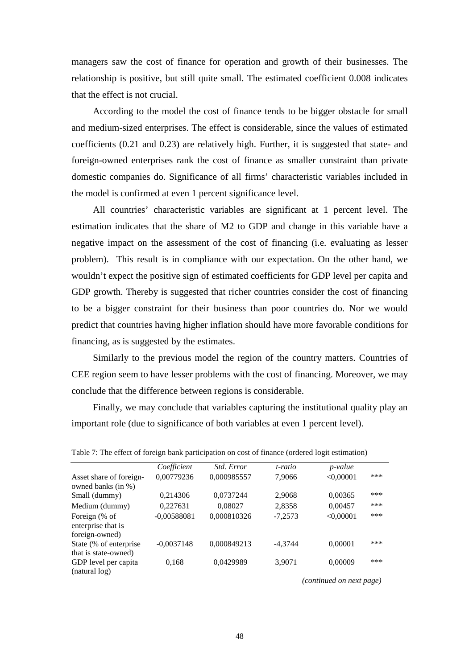managers saw the cost of finance for operation and growth of their businesses. The relationship is positive, but still quite small. The estimated coefficient 0.008 indicates that the effect is not crucial.

According to the model the cost of finance tends to be bigger obstacle for small and medium-sized enterprises. The effect is considerable, since the values of estimated coefficients (0.21 and 0.23) are relatively high. Further, it is suggested that state- and foreign-owned enterprises rank the cost of finance as smaller constraint than private domestic companies do. Significance of all firms' characteristic variables included in the model is confirmed at even 1 percent significance level.

All countries' characteristic variables are significant at 1 percent level. The estimation indicates that the share of M2 to GDP and change in this variable have a negative impact on the assessment of the cost of financing (i.e. evaluating as lesser problem). This result is in compliance with our expectation. On the other hand, we wouldn't expect the positive sign of estimated coefficients for GDP level per capita and GDP growth. Thereby is suggested that richer countries consider the cost of financing to be a bigger constraint for their business than poor countries do. Nor we would predict that countries having higher inflation should have more favorable conditions for financing, as is suggested by the estimates.

Similarly to the previous model the region of the country matters. Countries of CEE region seem to have lesser problems with the cost of financing. Moreover, we may conclude that the difference between regions is considerable.

Finally, we may conclude that variables capturing the institutional quality play an important role (due to significance of both variables at even 1 percent level).

|                                                       | Coefficient   | <i>Std. Error</i> | t-ratio   | <i>p</i> -value |     |
|-------------------------------------------------------|---------------|-------------------|-----------|-----------------|-----|
| Asset share of foreign-<br>owned banks (in %)         | 0,00779236    | 0,000985557       | 7,9066    | < 0,00001       | *** |
| Small (dummy)                                         | 0,214306      | 0,0737244         | 2,9068    | 0,00365         | *** |
| Medium (dummy)                                        | 0,227631      | 0,08027           | 2,8358    | 0,00457         | *** |
| Foreign (% of<br>enterprise that is<br>foreign-owned) | $-0,00588081$ | 0,000810326       | $-7,2573$ | < 0,00001       | *** |
| State (% of enterprise<br>that is state-owned)        | $-0,0037148$  | 0,000849213       | $-4,3744$ | 0,00001         | *** |
| GDP level per capita<br>(natural log)                 | 0,168         | 0,0429989         | 3,9071    | 0,00009         | *** |

Table 7: The effect of foreign bank participation on cost of finance (ordered logit estimation)

 *(continued on next page)*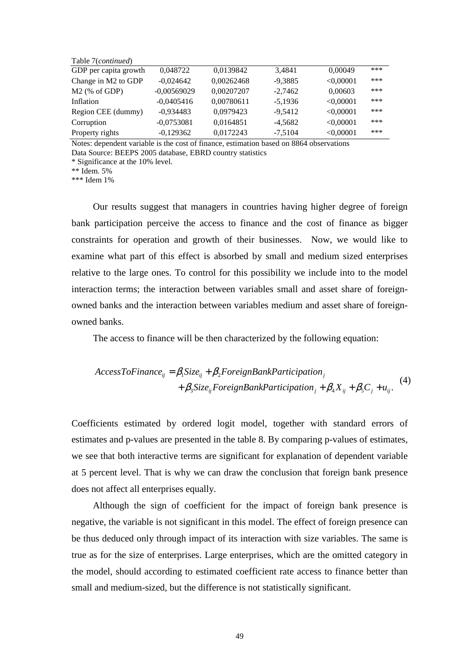Table 7(*continued*)

| GDP per capita growth | 0.048722      | 0,0139842  | 3.4841    | 0,00049   | *** |
|-----------------------|---------------|------------|-----------|-----------|-----|
| Change in M2 to GDP   | $-0.024642$   | 0,00262468 | $-9,3885$ | < 0,00001 | *** |
| $M2$ (% of GDP)       | $-0,00569029$ | 0,00207207 | $-2.7462$ | 0,00603   | *** |
| Inflation             | $-0.0405416$  | 0,00780611 | $-5.1936$ | < 0.00001 | *** |
| Region CEE (dummy)    | $-0.934483$   | 0.0979423  | $-9.5412$ | < 0.00001 | *** |
| Corruption            | $-0.0753081$  | 0,0164851  | $-4,5682$ | < 0,00001 | *** |
| Property rights       | $-0,129362$   | 0,0172243  | $-7,5104$ | < 0,00001 | *** |
|                       |               |            |           |           |     |

Notes: dependent variable is the cost of finance, estimation based on 8864 observations Data Source: BEEPS 2005 database, EBRD country statistics

\* Significance at the 10% level.

\*\* Idem. 5%

\*\*\* Idem 1%

Our results suggest that managers in countries having higher degree of foreign bank participation perceive the access to finance and the cost of finance as bigger constraints for operation and growth of their businesses. Now, we would like to examine what part of this effect is absorbed by small and medium sized enterprises relative to the large ones. To control for this possibility we include into to the model interaction terms; the interaction between variables small and asset share of foreignowned banks and the interaction between variables medium and asset share of foreignowned banks.

The access to finance will be then characterized by the following equation:

$$
AccessToFinance_{ij} = \beta_1 Size_{ij} + \beta_2 ForeignBankPartition_j
$$
  
+  $\beta_3 Size_{ij} ForeignBankPartition_j + \beta_4 X_{ij} + \beta_5 C_j + u_{ij}$ . (4)

Coefficients estimated by ordered logit model, together with standard errors of estimates and p-values are presented in the table 8. By comparing p-values of estimates, we see that both interactive terms are significant for explanation of dependent variable at 5 percent level. That is why we can draw the conclusion that foreign bank presence does not affect all enterprises equally.

Although the sign of coefficient for the impact of foreign bank presence is negative, the variable is not significant in this model. The effect of foreign presence can be thus deduced only through impact of its interaction with size variables. The same is true as for the size of enterprises. Large enterprises, which are the omitted category in the model, should according to estimated coefficient rate access to finance better than small and medium-sized, but the difference is not statistically significant.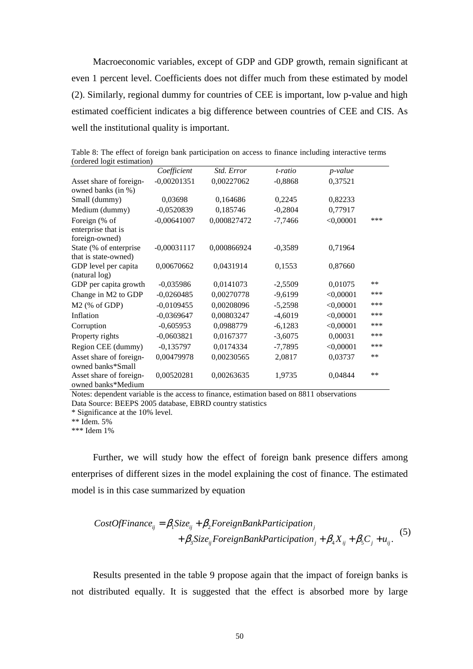Macroeconomic variables, except of GDP and GDP growth, remain significant at even 1 percent level. Coefficients does not differ much from these estimated by model (2). Similarly, regional dummy for countries of CEE is important, low p-value and high estimated coefficient indicates a big difference between countries of CEE and CIS. As well the institutional quality is important.

| (ordered logit estimation) |               |             |           |             |       |
|----------------------------|---------------|-------------|-----------|-------------|-------|
|                            | Coefficient   | Std. Error  | t-ratio   | p-value     |       |
| Asset share of foreign-    | $-0,00201351$ | 0,00227062  | $-0,8868$ | 0,37521     |       |
| owned banks (in %)         |               |             |           |             |       |
| Small (dummy)              | 0,03698       | 0,164686    | 0,2245    | 0,82233     |       |
| Medium (dummy)             | $-0,0520839$  | 0,185746    | $-0,2804$ | 0,77917     |       |
| Foreign (% of              | $-0,00641007$ | 0,000827472 | $-7,7466$ | $<$ 0,00001 | ***   |
| enterprise that is         |               |             |           |             |       |
| foreign-owned)             |               |             |           |             |       |
| State (% of enterprise     | $-0,00031117$ | 0,000866924 | $-0,3589$ | 0,71964     |       |
| that is state-owned)       |               |             |           |             |       |
| GDP level per capita       | 0,00670662    | 0,0431914   | 0,1553    | 0,87660     |       |
| (natural log)              |               |             |           |             |       |
| GDP per capita growth      | $-0,035986$   | 0,0141073   | $-2,5509$ | 0,01075     | $***$ |
| Change in M2 to GDP        | $-0,0260485$  | 0,00270778  | $-9,6199$ | < 0,00001   | ***   |
| $M2$ (% of GDP)            | $-0,0109455$  | 0,00208096  | $-5,2598$ | < 0,00001   | ***   |
| Inflation                  | $-0,0369647$  | 0,00803247  | $-4,6019$ | < 0,00001   | ***   |
| Corruption                 | $-0,605953$   | 0,0988779   | $-6,1283$ | < 0,00001   | ***   |
| Property rights            | $-0,0603821$  | 0,0167377   | $-3,6075$ | 0,00031     | ***   |
| Region CEE (dummy)         | $-0,135797$   | 0,0174334   | $-7,7895$ | $<$ 0,00001 | ***   |
| Asset share of foreign-    | 0,00479978    | 0,00230565  | 2,0817    | 0,03737     | $***$ |
| owned banks*Small          |               |             |           |             |       |
| Asset share of foreign-    | 0,00520281    | 0,00263635  | 1,9735    | 0,04844     | $***$ |
| owned banks*Medium         |               |             |           |             |       |

Table 8: The effect of foreign bank participation on access to finance including interactive terms (ordered logit estimation)

Notes: dependent variable is the access to finance, estimation based on 8811 observations Data Source: BEEPS 2005 database, EBRD country statistics

\* Significance at the 10% level.

\*\* Idem. 5%

\*\*\* Idem 1%

Further, we will study how the effect of foreign bank presence differs among enterprises of different sizes in the model explaining the cost of finance. The estimated model is in this case summarized by equation

$$
CostOfFinance_{ij} = \beta_1 Size_{ij} + \beta_2 ForeignBankPartition_j
$$
  
+  $\beta_3 Size_{ij} ForeignBankPartition_j + \beta_4 X_{ij} + \beta_5 C_j + u_{ij}$ . (5)

Results presented in the table 9 propose again that the impact of foreign banks is not distributed equally. It is suggested that the effect is absorbed more by large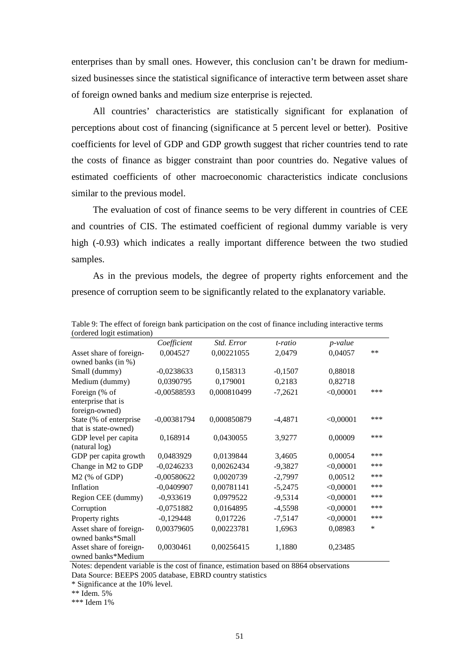enterprises than by small ones. However, this conclusion can't be drawn for mediumsized businesses since the statistical significance of interactive term between asset share of foreign owned banks and medium size enterprise is rejected.

All countries' characteristics are statistically significant for explanation of perceptions about cost of financing (significance at 5 percent level or better). Positive coefficients for level of GDP and GDP growth suggest that richer countries tend to rate the costs of finance as bigger constraint than poor countries do. Negative values of estimated coefficients of other macroeconomic characteristics indicate conclusions similar to the previous model.

The evaluation of cost of finance seems to be very different in countries of CEE and countries of CIS. The estimated coefficient of regional dummy variable is very high (-0.93) which indicates a really important difference between the two studied samples.

As in the previous models, the degree of property rights enforcement and the presence of corruption seem to be significantly related to the explanatory variable.

| (ordered logit estimation) |               |             |           |             |      |
|----------------------------|---------------|-------------|-----------|-------------|------|
|                            | Coefficient   | Std. Error  | t-ratio   | p-value     |      |
| Asset share of foreign-    | 0,004527      | 0,00221055  | 2,0479    | 0,04057     | $**$ |
| owned banks (in %)         |               |             |           |             |      |
| Small (dummy)              | $-0,0238633$  | 0,158313    | $-0,1507$ | 0,88018     |      |
| Medium (dummy)             | 0,0390795     | 0,179001    | 0,2183    | 0,82718     |      |
| Foreign (% of              | $-0,00588593$ | 0,000810499 | $-7,2621$ | $<$ 0,00001 | ***  |
| enterprise that is         |               |             |           |             |      |
| foreign-owned)             |               |             |           |             |      |
| State (% of enterprise     | $-0,00381794$ | 0,000850879 | $-4,4871$ | < 0,00001   | ***  |
| that is state-owned)       |               |             |           |             |      |
| GDP level per capita       | 0,168914      | 0,0430055   | 3,9277    | 0,00009     | ***  |
| (natural log)              |               |             |           |             |      |
| GDP per capita growth      | 0,0483929     | 0,0139844   | 3,4605    | 0,00054     | ***  |
| Change in M2 to GDP        | $-0,0246233$  | 0,00262434  | $-9,3827$ | < 0,00001   | ***  |
| M2 (% of GDP)              | $-0,00580622$ | 0,0020739   | $-2,7997$ | 0,00512     | ***  |
| Inflation                  | $-0,0409907$  | 0,00781141  | $-5,2475$ | < 0,00001   | ***  |
| Region CEE (dummy)         | $-0,933619$   | 0,0979522   | $-9,5314$ | < 0,00001   | ***  |
| Corruption                 | $-0,0751882$  | 0,0164895   | $-4,5598$ | $<$ 0,00001 | ***  |
| Property rights            | $-0,129448$   | 0,017226    | $-7,5147$ | $<$ 0,00001 | ***  |
| Asset share of foreign-    | 0,00379605    | 0,00223781  | 1,6963    | 0,08983     | *    |
| owned banks*Small          |               |             |           |             |      |
| Asset share of foreign-    | 0,0030461     | 0,00256415  | 1,1880    | 0,23485     |      |
| owned banks*Medium         |               |             |           |             |      |

Table 9: The effect of foreign bank participation on the cost of finance including interactive terms  $(ordgrad 10<sup>st</sup>)$ 

Notes: dependent variable is the cost of finance, estimation based on 8864 observations Data Source: BEEPS 2005 database, EBRD country statistics

\* Significance at the 10% level.

\*\* Idem. 5%

\*\*\* Idem 1%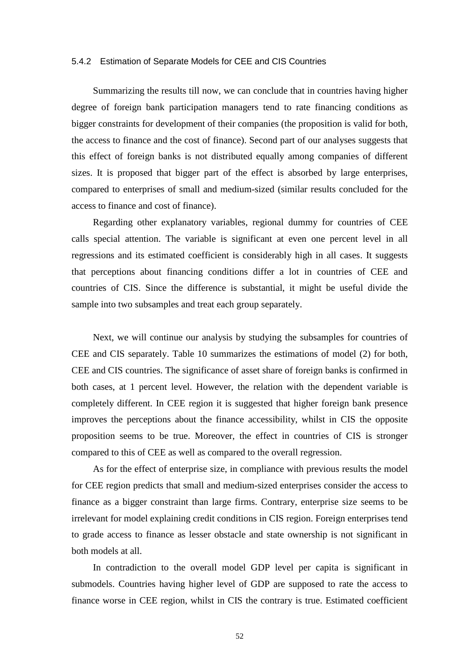#### 5.4.2 Estimation of Separate Models for CEE and CIS Countries

Summarizing the results till now, we can conclude that in countries having higher degree of foreign bank participation managers tend to rate financing conditions as bigger constraints for development of their companies (the proposition is valid for both, the access to finance and the cost of finance). Second part of our analyses suggests that this effect of foreign banks is not distributed equally among companies of different sizes. It is proposed that bigger part of the effect is absorbed by large enterprises, compared to enterprises of small and medium-sized (similar results concluded for the access to finance and cost of finance).

Regarding other explanatory variables, regional dummy for countries of CEE calls special attention. The variable is significant at even one percent level in all regressions and its estimated coefficient is considerably high in all cases. It suggests that perceptions about financing conditions differ a lot in countries of CEE and countries of CIS. Since the difference is substantial, it might be useful divide the sample into two subsamples and treat each group separately.

Next, we will continue our analysis by studying the subsamples for countries of CEE and CIS separately. Table 10 summarizes the estimations of model (2) for both, CEE and CIS countries. The significance of asset share of foreign banks is confirmed in both cases, at 1 percent level. However, the relation with the dependent variable is completely different. In CEE region it is suggested that higher foreign bank presence improves the perceptions about the finance accessibility, whilst in CIS the opposite proposition seems to be true. Moreover, the effect in countries of CIS is stronger compared to this of CEE as well as compared to the overall regression.

As for the effect of enterprise size, in compliance with previous results the model for CEE region predicts that small and medium-sized enterprises consider the access to finance as a bigger constraint than large firms. Contrary, enterprise size seems to be irrelevant for model explaining credit conditions in CIS region. Foreign enterprises tend to grade access to finance as lesser obstacle and state ownership is not significant in both models at all.

In contradiction to the overall model GDP level per capita is significant in submodels. Countries having higher level of GDP are supposed to rate the access to finance worse in CEE region, whilst in CIS the contrary is true. Estimated coefficient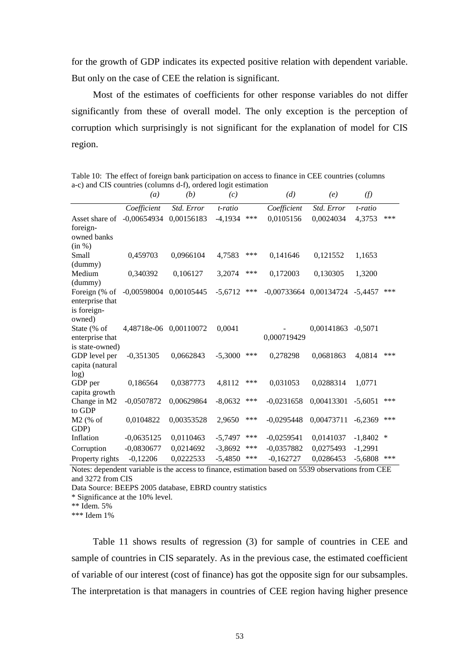for the growth of GDP indicates its expected positive relation with dependent variable. But only on the case of CEE the relation is significant.

Most of the estimates of coefficients for other response variables do not differ significantly from these of overall model. The only exception is the perception of corruption which surprisingly is not significant for the explanation of model for CIS region.

Table 10: The effect of foreign bank participation on access to finance in CEE countries (columns a-c) and CIS countries (columns d-f), ordered logit estimation

|                                  | $\left(a\right)$           | (b)        | (c)       |     | (d)          | (e)                                  | (f)       |     |
|----------------------------------|----------------------------|------------|-----------|-----|--------------|--------------------------------------|-----------|-----|
|                                  | Coefficient                | Std. Error | t-ratio   |     | Coefficient  | Std. Error                           | t-ratio   |     |
| Asset share of                   | $-0.00654934$ $0.00156183$ |            | $-4.1934$ | *** | 0.0105156    | 0,0024034                            | 4,3753    | *** |
| foreign-                         |                            |            |           |     |              |                                      |           |     |
| owned banks                      |                            |            |           |     |              |                                      |           |     |
| (in %)                           |                            |            |           |     |              |                                      |           |     |
| Small                            | 0,459703                   | 0,0966104  | 4,7583    | *** | 0,141646     | 0,121552                             | 1,1653    |     |
| (dummy)                          |                            |            |           |     |              |                                      |           |     |
| Medium                           | 0,340392                   | 0,106127   | 3,2074    | *** | 0,172003     | 0,130305                             | 1,3200    |     |
| (dummy)                          |                            |            |           |     |              |                                      |           |     |
| Foreign (% of                    | $-0,00598004$              | 0,00105445 | $-5,6712$ | *** |              | $-0,00733664$ $0,00134724$ $-5,4457$ |           | *** |
| enterprise that                  |                            |            |           |     |              |                                      |           |     |
| is foreign-                      |                            |            |           |     |              |                                      |           |     |
| owned)                           |                            |            |           |     |              |                                      |           |     |
| State (% of                      | 4,48718e-06 0,00110072     |            | 0,0041    |     |              | 0,00141863                           | $-0.5071$ |     |
| enterprise that                  |                            |            |           |     | 0,000719429  |                                      |           |     |
| is state-owned)<br>GDP level per | $-0,351305$                | 0,0662843  | $-5,3000$ | *** | 0,278298     | 0,0681863                            | 4,0814    | *** |
| capita (natural                  |                            |            |           |     |              |                                      |           |     |
| log)                             |                            |            |           |     |              |                                      |           |     |
| GDP per                          | 0,186564                   | 0,0387773  | 4,8112    | *** | 0,031053     | 0,0288314                            | 1,0771    |     |
| capita growth                    |                            |            |           |     |              |                                      |           |     |
| Change in M2                     | $-0,0507872$               | 0,00629864 | $-8,0632$ | *** | $-0.0231658$ | 0,00413301                           | $-5,6051$ | *** |
| to GDP                           |                            |            |           |     |              |                                      |           |     |
| $M2$ (% of                       | 0,0104822                  | 0,00353528 | 2,9650    | *** | $-0,0295448$ | 0,00473711                           | $-6,2369$ | *** |
| GDP)                             |                            |            |           |     |              |                                      |           |     |
| Inflation                        | $-0,0635125$               | 0,0110463  | $-5,7497$ | *** | $-0,0259541$ | 0,0141037                            | $-1,8402$ | ∗   |
| Corruption                       | $-0,0830677$               | 0,0214692  | $-3,8692$ | *** | $-0,0357882$ | 0,0275493                            | $-1,2991$ |     |
| Property rights                  | $-0,12206$                 | 0,0222533  | $-5,4850$ | *** | $-0,162727$  | 0,0286453                            | $-5,6808$ | *** |

Notes: dependent variable is the access to finance, estimation based on 5539 observations from CEE and 3272 from CIS

Data Source: BEEPS 2005 database, EBRD country statistics

\* Significance at the 10% level.

\*\* Idem. 5%

\*\*\* Idem 1%

Table 11 shows results of regression (3) for sample of countries in CEE and sample of countries in CIS separately. As in the previous case, the estimated coefficient of variable of our interest (cost of finance) has got the opposite sign for our subsamples. The interpretation is that managers in countries of CEE region having higher presence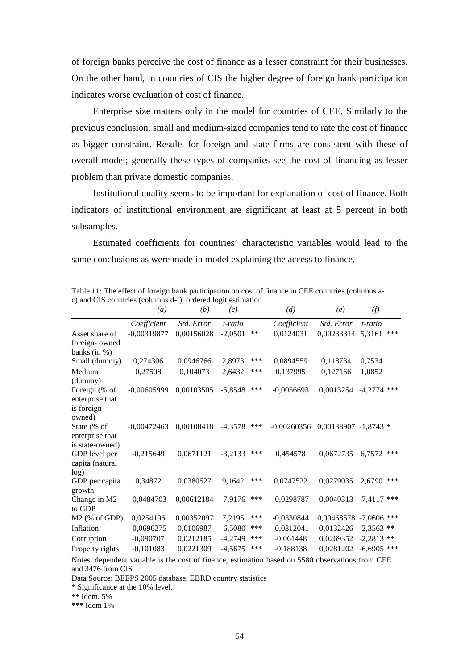of foreign banks perceive the cost of finance as a lesser constraint for their businesses. On the other hand, in countries of CIS the higher degree of foreign bank participation indicates worse evaluation of cost of finance.

Enterprise size matters only in the model for countries of CEE. Similarly to the previous conclusion, small and medium-sized companies tend to rate the cost of finance as bigger constraint. Results for foreign and state firms are consistent with these of overall model; generally these types of companies see the cost of financing as lesser problem than private domestic companies.

Institutional quality seems to be important for explanation of cost of finance. Both indicators of institutional environment are significant at least at 5 percent in both subsamples.

Estimated coefficients for countries' characteristic variables would lead to the same conclusions as were made in model explaining the access to finance.

|                                                           | (a)           | (b)        | (c)       |      | (d)           | (e)                  | (f)                       |
|-----------------------------------------------------------|---------------|------------|-----------|------|---------------|----------------------|---------------------------|
|                                                           | Coefficient   | Std. Error | t-ratio   |      | Coefficient   | Std. Error           | $t$ - $ratio$             |
| Asset share of                                            | $-0,00319877$ | 0,00156028 | $-2,0501$ | $**$ | 0,0124031     | 0,00233314           | ***<br>5,3161             |
| foreign-owned                                             |               |            |           |      |               |                      |                           |
| banks (in $%$ )                                           |               |            |           |      |               |                      |                           |
| Small (dummy)                                             | 0,274306      | 0,0946766  | 2,8973    | ***  | 0,0894559     | 0,118734             | 0,7534                    |
| Medium<br>(dummy)                                         | 0,27508       | 0,104073   | 2,6432    | ***  | 0,137995      | 0,127166             | 1,0852                    |
| Foreign (% of<br>enterprise that<br>is foreign-<br>owned) | $-0,00605999$ | 0,00103505 | $-5,8548$ | ***  | $-0,0056693$  | 0,0013254            | $-4,2774$ ***             |
| State (% of<br>enterprise that<br>is state-owned)         | $-0.00472463$ | 0,00108418 | $-4,3578$ | ***  | $-0,00260356$ | 0,00138907 -1,8743 * |                           |
| GDP level per<br>capita (natural<br>log)                  | $-0,215649$   | 0,0671121  | $-3,2133$ | ***  | 0,454578      | 0,0672735            | ***<br>6,7572             |
| GDP per capita<br>growth                                  | 0,34872       | 0,0380527  | 9.1642    | ***  | 0,0747522     | 0,0279035            | ***<br>2,6790             |
| Change in M2<br>to GDP                                    | $-0,0484703$  | 0,00612184 | $-7,9176$ | ***  | $-0,0298787$  |                      | $0,0040313$ -7,4117 ***   |
| $M2$ (% of GDP)                                           | 0,0254196     | 0,00352097 | 7,2195    | ***  | $-0,0330844$  |                      | $0,00468578 - 7,0606$ *** |
| Inflation                                                 | $-0,0696275$  | 0,0106987  | $-6,5080$ | ***  | $-0,0312041$  | 0,0132426            | $-2,3563$ **              |
| Corruption                                                | $-0,090707$   | 0,0212185  | $-4,2749$ | ***  | $-0,061448$   | 0,0269352            | $-2,2813$ **              |
| Property rights                                           | $-0,101083$   | 0,0221309  | $-4,5675$ | ***  | $-0,188138$   | 0,0281202            | $-6,6905$ ***             |

Table 11: The effect of foreign bank participation on cost of finance in CEE countries (columns ac) and CIS countries (columns d-f), ordered logit estimation

Notes: dependent variable is the cost of finance, estimation based on 5580 observations from CEE and 3476 from CIS

Data Source: BEEPS 2005 database, EBRD country statistics

\* Significance at the 10% level.

\*\* Idem. 5%

\*\*\* Idem 1%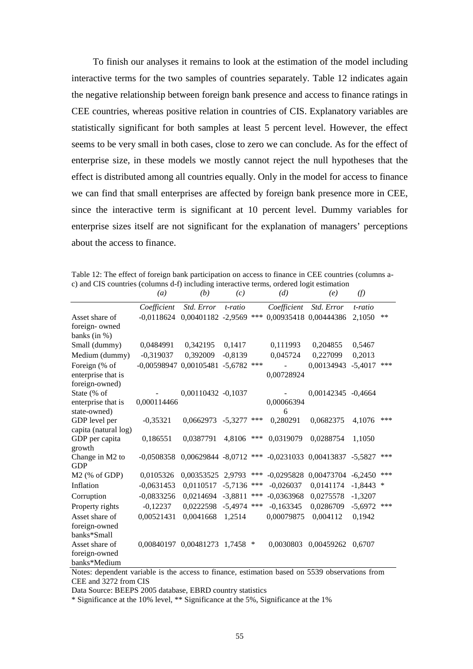To finish our analyses it remains to look at the estimation of the model including interactive terms for the two samples of countries separately. Table 12 indicates again the negative relationship between foreign bank presence and access to finance ratings in CEE countries, whereas positive relation in countries of CIS. Explanatory variables are statistically significant for both samples at least 5 percent level. However, the effect seems to be very small in both cases, close to zero we can conclude. As for the effect of enterprise size, in these models we mostly cannot reject the null hypotheses that the effect is distributed among all countries equally. Only in the model for access to finance we can find that small enterprises are affected by foreign bank presence more in CEE, since the interactive term is significant at 10 percent level. Dummy variables for enterprise sizes itself are not significant for the explanation of managers' perceptions about the access to finance.

|  |  |  |                                                                                          |  | Table 12: The effect of foreign bank participation on access to finance in CEE countries (columns a- |
|--|--|--|------------------------------------------------------------------------------------------|--|------------------------------------------------------------------------------------------------------|
|  |  |  | c) and CIS countries (columns d-f) including interactive terms, ordered logit estimation |  |                                                                                                      |

|                                | (a)                                                     | (b)                            | (c)       |                            | (d)                              | (e)                   | (f)          |        |
|--------------------------------|---------------------------------------------------------|--------------------------------|-----------|----------------------------|----------------------------------|-----------------------|--------------|--------|
|                                | Coefficient                                             | Std. Error                     | t-ratio   |                            | Coefficient                      | Std. Error            | t-ratio      |        |
| Asset share of                 | $-0,0118624$                                            | 0,00401182 -2,9569             |           | ***                        |                                  | 0,00935418 0,00444386 | 2,1050       | **     |
| foreign-owned                  |                                                         |                                |           |                            |                                  |                       |              |        |
| banks (in $%$ )                |                                                         |                                |           |                            |                                  |                       |              |        |
| Small (dummy)                  | 0,0484991                                               | 0,342195                       | 0,1417    |                            | 0,111993                         | 0,204855              | 0,5467       |        |
| Medium (dummy)                 | $-0,319037$                                             | 0,392009                       | $-0,8139$ |                            | 0,045724                         | 0,227099              | 0,2013       |        |
| Foreign (% of                  | -0,00598947 0,00105481                                  |                                | $-5,6782$ | ***                        |                                  | 0,00134943            | $-5,4017$    | ***    |
| enterprise that is             |                                                         |                                |           |                            | 0,00728924                       |                       |              |        |
| foreign-owned)                 |                                                         |                                |           |                            |                                  |                       |              |        |
| State (% of                    |                                                         | 0,00110432 -0,1037             |           |                            |                                  | 0,00142345 -0,4664    |              |        |
| enterprise that is             | 0,000114466                                             |                                |           |                            | 0,00066394                       |                       |              |        |
| state-owned)                   |                                                         |                                |           |                            | 6                                |                       |              |        |
| GDP level per                  | $-0,35321$                                              | 0,0662973                      | $-5.3277$ | ***                        | 0,280291                         | 0,0682375             | 4,1076       | ***    |
| capita (natural log)           |                                                         |                                |           |                            |                                  |                       |              |        |
| GDP per capita                 | 0,186551                                                | 0,0387791                      | 4,8106    | ***                        | 0,0319079                        | 0,0288754             | 1,1050       |        |
| growth                         | $-0.0508358$                                            |                                |           |                            | $-0,0231033$                     |                       |              | ***    |
| Change in M2 to<br><b>GDP</b>  |                                                         | $0,00629844 - 8,0712$ ***      |           |                            |                                  | 0,00413837 -5,5827    |              |        |
| M2 (% of GDP)                  | 0,0105326                                               | 0,00353525                     | 2,9793    | ***                        | $-0,0295828$                     | 0,00473704            | $-6,2450$    | ***    |
| Inflation                      | $-0,0631453$                                            | 0,0110517                      | $-5,7136$ | ***                        | $-0,026037$                      | 0,0141174             | $-1,8443$    | $\ast$ |
|                                |                                                         |                                |           | ***                        |                                  |                       |              |        |
| Corruption                     | $-0,0833256$                                            | 0,0214694                      | $-3,8811$ |                            | $-0,0363968$                     | 0,0275578             | $-1,3207$    |        |
| Property rights                | $-0,12237$                                              | 0,0222598                      | $-5,4974$ | ***                        | $-0,163345$                      | 0,0286709             | $-5,6972$    | ***    |
| Asset share of                 | 0,00521431                                              | 0,0041668                      | 1,2514    |                            | 0,00079875                       | 0,004112              | 0,1942       |        |
| foreign-owned                  |                                                         |                                |           |                            |                                  |                       |              |        |
| banks*Small                    |                                                         |                                |           |                            |                                  |                       |              |        |
| Asset share of                 |                                                         | 0,00840197 0,00481273 1,7458 * |           |                            | 0,0030803                        | 0,00459262 0,6707     |              |        |
| foreign-owned                  |                                                         |                                |           |                            |                                  |                       |              |        |
| banks*Medium<br>$\blacksquare$ | $\cdot$ $\cdot$ $\cdot$ $\cdot$ $\cdot$ $\cdot$ $\cdot$ | $\mathbf{C}^*$                 |           | $\cdot$ .<br>$\sim$ $\sim$ | $\blacksquare$<br>$\blacksquare$ | $FFAO = 1$            | $\mathbf{r}$ |        |

Notes: dependent variable is the access to finance, estimation based on 5539 observations from CEE and 3272 from CIS

Data Source: BEEPS 2005 database, EBRD country statistics

\* Significance at the 10% level, \*\* Significance at the 5%, Significance at the 1%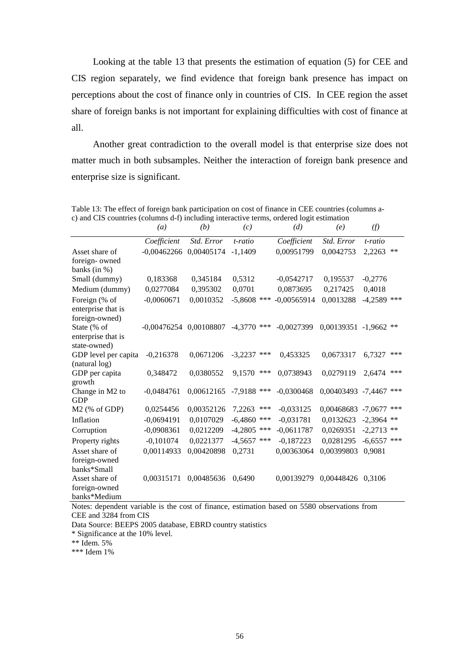Looking at the table 13 that presents the estimation of equation (5) for CEE and CIS region separately, we find evidence that foreign bank presence has impact on perceptions about the cost of finance only in countries of CIS. In CEE region the asset share of foreign banks is not important for explaining difficulties with cost of finance at all.

Another great contradiction to the overall model is that enterprise size does not matter much in both subsamples. Neither the interaction of foreign bank presence and enterprise size is significant.

|                                     | $\left(a\right)$           | (b)        | (c)              | (d)           | (e)                      | (f)           |       |
|-------------------------------------|----------------------------|------------|------------------|---------------|--------------------------|---------------|-------|
|                                     | Coefficient                | Std. Error | t-ratio          | Coefficient   | Std. Error               | t-ratio       |       |
| Asset share of                      | $-0,00462266$ $0,00405174$ |            | $-1.1409$        | 0,00951799    | 0,0042753                | 2,2263        | $***$ |
| foreign- owned                      |                            |            |                  |               |                          |               |       |
| banks (in $%$ )                     |                            |            |                  |               |                          |               |       |
| Small (dummy)                       | 0,183368                   | 0,345184   | 0,5312           | $-0,0542717$  | 0,195537                 | $-0,2776$     |       |
| Medium (dummy)                      | 0,0277084                  | 0,395302   | 0,0701           | 0,0873695     | 0,217425                 | 0,4018        |       |
| Foreign (% of<br>enterprise that is | $-0,0060671$               | 0,0010352  | $-5,8608$ ***    | $-0,00565914$ | 0,0013288                | $-4,2589$ *** |       |
| foreign-owned)<br>State (% of       | -0,00476254 0,00108807     |            | $-4.3770$ ***    | $-0,0027399$  | $0,00139351 - 1,9662$ ** |               |       |
| enterprise that is<br>state-owned)  |                            |            |                  |               |                          |               |       |
| GDP level per capita                | $-0,216378$                | 0,0671206  | $-3,2237$<br>*** | 0,453325      | 0,0673317                | 6,7327        | ***   |
| (natural log)                       |                            |            |                  |               |                          |               |       |
| GDP per capita                      | 0,348472                   | 0,0380552  | ***<br>9,1570    | 0,0738943     | 0,0279119                | 2,6474        | ***   |
| growth                              |                            |            |                  |               |                          |               | ***   |
| Change in M2 to<br><b>GDP</b>       | $-0,0484761$               | 0,00612165 | $-7,9188$ ***    | $-0,0300468$  | 0,00403493 -7,4467       |               |       |
| $M2$ (% of GDP)                     | 0,0254456                  | 0,00352126 | 7,2263<br>***    | $-0,033125$   | 0,00468683               | $-7,0677$     | ***   |
| Inflation                           | $-0,0694191$               | 0,0107029  | $-6,4860$<br>*** | $-0,031781$   | 0,0132623                | $-2,3964$ **  |       |
| Corruption                          | $-0,0908361$               | 0,0212209  | $-4,2805$ ***    | $-0,0611787$  | 0,0269351                | $-2,2713$     | $***$ |
| Property rights                     | $-0,101074$                | 0,0221377  | $-4,5657$ ***    | $-0,187223$   | 0,0281295                | $-6,6557$     | $***$ |
| Asset share of                      | 0,00114933                 | 0,00420898 | 0,2731           | 0,00363064    | 0,00399803               | 0,9081        |       |
| foreign-owned<br>banks*Small        |                            |            |                  |               |                          |               |       |
| Asset share of                      | 0,00315171                 | 0,00485636 | 0,6490           | 0.00139279    | 0,00448426 0,3106        |               |       |
| foreign-owned                       |                            |            |                  |               |                          |               |       |
| banks*Medium                        |                            |            |                  |               |                          |               |       |

Table 13: The effect of foreign bank participation on cost of finance in CEE countries (columns ac) and CIS countries (columns d-f) including interactive terms, ordered logit estimation

Notes: dependent variable is the cost of finance, estimation based on 5580 observations from CEE and 3284 from CIS

Data Source: BEEPS 2005 database, EBRD country statistics

\* Significance at the 10% level.

\*\* Idem. 5%

\*\*\* Idem 1%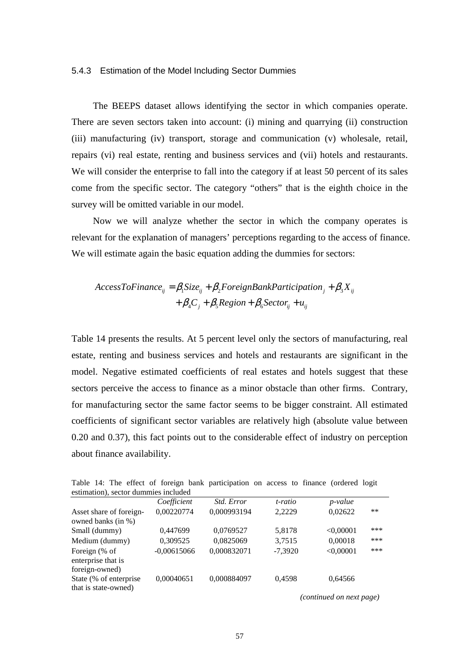#### 5.4.3 Estimation of the Model Including Sector Dummies

The BEEPS dataset allows identifying the sector in which companies operate. There are seven sectors taken into account: (i) mining and quarrying (ii) construction (iii) manufacturing (iv) transport, storage and communication (v) wholesale, retail, repairs (vi) real estate, renting and business services and (vii) hotels and restaurants. We will consider the enterprise to fall into the category if at least 50 percent of its sales come from the specific sector. The category "others" that is the eighth choice in the survey will be omitted variable in our model.

Now we will analyze whether the sector in which the company operates is relevant for the explanation of managers' perceptions regarding to the access of finance. We will estimate again the basic equation adding the dummies for sectors:

$$
AccessToFinance_{ij} = \beta_1 Size_{ij} + \beta_2 ForeignBankPartition_j + \beta_3 X_{ij}
$$

$$
+ \beta_4 C_j + \beta_5 Region + \beta_6 Sector_{ij} + u_{ij}
$$

Table 14 presents the results. At 5 percent level only the sectors of manufacturing, real estate, renting and business services and hotels and restaurants are significant in the model. Negative estimated coefficients of real estates and hotels suggest that these sectors perceive the access to finance as a minor obstacle than other firms. Contrary, for manufacturing sector the same factor seems to be bigger constraint. All estimated coefficients of significant sector variables are relatively high (absolute value between 0.20 and 0.37), this fact points out to the considerable effect of industry on perception about finance availability.

| estimation), sector dummies included                  |               |                   |           |                 |       |
|-------------------------------------------------------|---------------|-------------------|-----------|-----------------|-------|
|                                                       | Coefficient   | <i>Std. Error</i> | t-ratio   | <i>p</i> -value |       |
| Asset share of foreign-<br>owned banks (in %)         | 0,00220774    | 0,000993194       | 2,2229    | 0,02622         | $***$ |
| Small (dummy)                                         | 0,447699      | 0,0769527         | 5,8178    | < 0.00001       | ***   |
| Medium (dummy)                                        | 0,309525      | 0,0825069         | 3,7515    | 0,00018         | ***   |
| Foreign (% of<br>enterprise that is<br>foreign-owned) | $-0,00615066$ | 0,000832071       | $-7,3920$ | < 0,00001       | ***   |
| State (% of enterprise<br>that is state-owned)        | 0,00040651    | 0,000884097       | 0,4598    | 0,64566         |       |

Table 14: The effect of foreign bank participation on access to finance (ordered logit

 *(continued on next page)*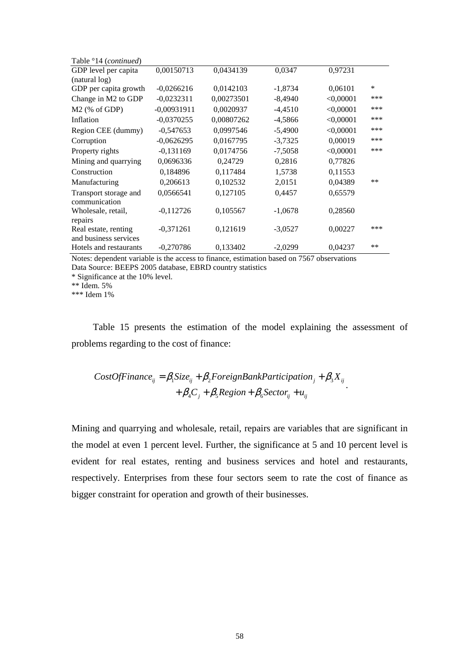| *     |
|-------|
| ***   |
| ***   |
| ***   |
| ***   |
| ***   |
| ***   |
|       |
|       |
| $***$ |
|       |
|       |
|       |
|       |
| ***   |
|       |
| $***$ |
|       |

Notes: dependent variable is the access to finance, estimation based on 7567 observations Data Source: BEEPS 2005 database, EBRD country statistics

\* Significance at the 10% level.

\*\* Idem. 5%

\*\*\* Idem 1%

Table 15 presents the estimation of the model explaining the assessment of problems regarding to the cost of finance:

 $CostOfFinance_{ij} = \beta_1 Size_{ij} + \beta_2 ForeignBankPartition_j + \beta_3 X_{ij}$  $+\beta_4 C_j + \beta_5 Region + \beta_6 Sector_{ij} + u_{ij}$ .

Mining and quarrying and wholesale, retail, repairs are variables that are significant in the model at even 1 percent level. Further, the significance at 5 and 10 percent level is evident for real estates, renting and business services and hotel and restaurants, respectively. Enterprises from these four sectors seem to rate the cost of finance as bigger constraint for operation and growth of their businesses.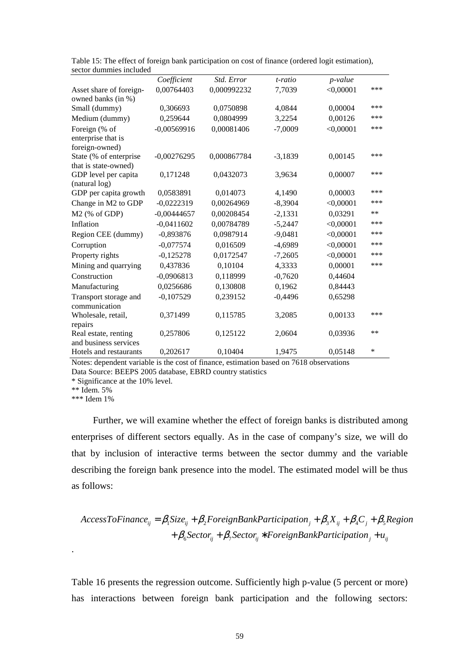|                                                 | Coefficient   | Std. Error  | t-ratio   | <i>p</i> -value |       |
|-------------------------------------------------|---------------|-------------|-----------|-----------------|-------|
| Asset share of foreign-                         | 0,00764403    | 0,000992232 | 7,7039    | < 0,00001       | ***   |
| owned banks (in %)                              |               |             |           |                 |       |
| Small (dummy)                                   | 0,306693      | 0,0750898   | 4,0844    | 0,00004         | ***   |
| Medium (dummy)                                  | 0,259644      | 0,0804999   | 3,2254    | 0,00126         | ***   |
| Foreign (% of                                   | $-0,00569916$ | 0,00081406  | $-7,0009$ | < 0,00001       | ***   |
| enterprise that is                              |               |             |           |                 |       |
| foreign-owned)                                  |               |             |           |                 |       |
| State (% of enterprise                          | $-0,00276295$ | 0,000867784 | $-3,1839$ | 0,00145         | ***   |
| that is state-owned)                            |               |             |           |                 | ***   |
| GDP level per capita<br>(natural log)           | 0,171248      | 0,0432073   | 3,9634    | 0,00007         |       |
| GDP per capita growth                           | 0,0583891     | 0,014073    | 4,1490    | 0,00003         | ***   |
| Change in M2 to GDP                             | $-0,0222319$  | 0,00264969  | $-8,3904$ | < 0,00001       | ***   |
| $M2$ (% of GDP)                                 | $-0,00444657$ | 0,00208454  | $-2,1331$ | 0,03291         | **    |
| Inflation                                       | $-0,0411602$  | 0,00784789  | $-5,2447$ | < 0,00001       | ***   |
|                                                 | $-0,893876$   | 0,0987914   | $-9,0481$ | < 0,00001       | ***   |
| Region CEE (dummy)                              |               |             |           |                 | ***   |
| Corruption                                      | $-0,077574$   | 0,016509    | $-4,6989$ | < 0,00001       | ***   |
| Property rights                                 | $-0,125278$   | 0,0172547   | $-7,2605$ | < 0,00001       |       |
| Mining and quarrying                            | 0,437836      | 0,10104     | 4,3333    | 0,00001         | ***   |
| Construction                                    | $-0,0906813$  | 0,118999    | $-0,7620$ | 0,44604         |       |
| Manufacturing                                   | 0,0256686     | 0,130808    | 0,1962    | 0,84443         |       |
| Transport storage and                           | $-0,107529$   | 0,239152    | $-0,4496$ | 0,65298         |       |
| communication                                   |               |             |           |                 |       |
| Wholesale, retail,                              | 0,371499      | 0,115785    | 3,2085    | 0,00133         | ***   |
| repairs                                         |               |             |           |                 | $***$ |
| Real estate, renting                            | 0,257806      | 0,125122    | 2,0604    | 0,03936         |       |
| and business services<br>Hotels and restaurants |               |             |           |                 | *     |
|                                                 | 0,202617      | 0,10404     | 1,9475    | 0,05148         |       |

Table 15: The effect of foreign bank participation on cost of finance (ordered logit estimation), sector dummies included

Notes: dependent variable is the cost of finance, estimation based on 7618 observations Data Source: BEEPS 2005 database, EBRD country statistics

\* Significance at the 10% level.

\*\* Idem. 5%

\*\*\* Idem 1%

.

Further, we will examine whether the effect of foreign banks is distributed among enterprises of different sectors equally. As in the case of company's size, we will do that by inclusion of interactive terms between the sector dummy and the variable describing the foreign bank presence into the model. The estimated model will be thus as follows:

$$
AccessToFinance_{ij} = \beta_1 Size_{ij} + \beta_2 ForeignBankPartition_j + \beta_3 X_{ij} + \beta_4 C_j + \beta_5 Region + \beta_6 Sector_{ij} + \beta_7 Sector_{ij} * Foreign BankPartition_j + u_{ij}
$$

Table 16 presents the regression outcome. Sufficiently high p-value (5 percent or more) has interactions between foreign bank participation and the following sectors: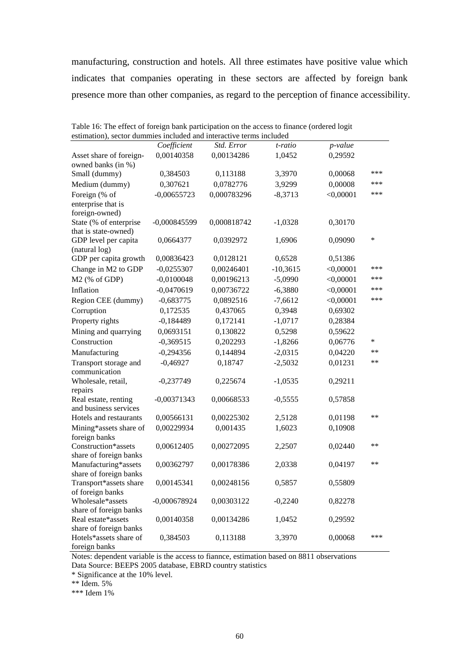manufacturing, construction and hotels. All three estimates have positive value which indicates that companies operating in these sectors are affected by foreign bank presence more than other companies, as regard to the perception of finance accessibility.

| estimation), sector dummies included and interactive terms included |                |             |            |             |        |
|---------------------------------------------------------------------|----------------|-------------|------------|-------------|--------|
|                                                                     | Coefficient    | Std. Error  | t-ratio    | p-value     |        |
| Asset share of foreign-                                             | 0,00140358     | 0,00134286  | 1,0452     | 0,29592     |        |
| owned banks (in %)<br>Small (dummy)                                 | 0,384503       | 0,113188    | 3,3970     | 0,00068     | ***    |
|                                                                     | 0,307621       | 0,0782776   | 3,9299     | 0,00008     | ***    |
| Medium (dummy)                                                      |                |             |            |             | ***    |
| Foreign (% of<br>enterprise that is                                 | $-0,00655723$  | 0,000783296 | $-8,3713$  | < 0,00001   |        |
| foreign-owned)                                                      |                |             |            |             |        |
| State (% of enterprise                                              | $-0,000845599$ | 0,000818742 | $-1,0328$  | 0,30170     |        |
| that is state-owned)                                                |                |             |            |             |        |
| GDP level per capita                                                | 0,0664377      | 0,0392972   | 1,6906     | 0,09090     | $\ast$ |
| (natural log)                                                       |                |             |            |             |        |
| GDP per capita growth                                               | 0,00836423     | 0,0128121   | 0,6528     | 0,51386     |        |
| Change in M2 to GDP                                                 | $-0,0255307$   | 0,00246401  | $-10,3615$ | < 0,00001   | ***    |
| M2 (% of GDP)                                                       | $-0,0100048$   | 0,00196213  | $-5,0990$  | $<$ 0,00001 | ***    |
| Inflation                                                           | $-0,0470619$   | 0,00736722  | $-6,3880$  | $<$ 0,00001 | ***    |
| Region CEE (dummy)                                                  | $-0,683775$    | 0,0892516   | $-7,6612$  | $<$ 0,00001 | ***    |
| Corruption                                                          | 0,172535       | 0,437065    | 0,3948     | 0,69302     |        |
| Property rights                                                     | $-0,184489$    | 0,172141    | $-1,0717$  | 0,28384     |        |
| Mining and quarrying                                                | 0,0693151      | 0,130822    | 0,5298     | 0,59622     |        |
| Construction                                                        | $-0,369515$    | 0,202293    | $-1,8266$  | 0,06776     | *      |
| Manufacturing                                                       | $-0,294356$    | 0,144894    | $-2,0315$  | 0,04220     | $**$   |
| Transport storage and                                               | $-0,46927$     | 0,18747     | $-2,5032$  | 0,01231     | $**$   |
| communication                                                       |                |             |            |             |        |
| Wholesale, retail,                                                  | $-0,237749$    | 0,225674    | $-1,0535$  | 0,29211     |        |
| repairs                                                             |                |             |            |             |        |
| Real estate, renting                                                | $-0,00371343$  | 0,00668533  | $-0,5555$  | 0,57858     |        |
| and business services                                               |                |             |            |             |        |
| Hotels and restaurants                                              | 0,00566131     | 0,00225302  | 2,5128     | 0,01198     | $***$  |
| Mining*assets share of                                              | 0,00229934     | 0,001435    | 1,6023     | 0,10908     |        |
| foreign banks<br>Construction*assets                                |                |             |            |             | **     |
| share of foreign banks                                              | 0,00612405     | 0,00272095  | 2,2507     | 0,02440     |        |
| Manufacturing*assets                                                | 0,00362797     | 0,00178386  | 2,0338     | 0,04197     | $**$   |
| share of foreign banks                                              |                |             |            |             |        |
| Transport*assets share                                              | 0,00145341     | 0,00248156  | 0,5857     | 0,55809     |        |
| of foreign banks                                                    |                |             |            |             |        |
| Wholesale*assets                                                    | $-0,000678924$ | 0,00303122  | $-0,2240$  | 0,82278     |        |
| share of foreign banks                                              |                |             |            |             |        |
| Real estate*assets                                                  | 0,00140358     | 0,00134286  | 1,0452     | 0,29592     |        |
| share of foreign banks                                              |                |             |            |             | ***    |
| Hotels*assets share of                                              | 0,384503       | 0,113188    | 3,3970     | 0,00068     |        |
| foreign banks                                                       |                |             |            |             |        |

Table 16: The effect of foreign bank participation on the access to finance (ordered logit estimation), sector dummies included and interactive terms included

Notes: dependent variable is the access to fiannce, estimation based on 8811 observations Data Source: BEEPS 2005 database, EBRD country statistics

\* Significance at the 10% level.

\*\* Idem. 5%

\*\*\* Idem 1%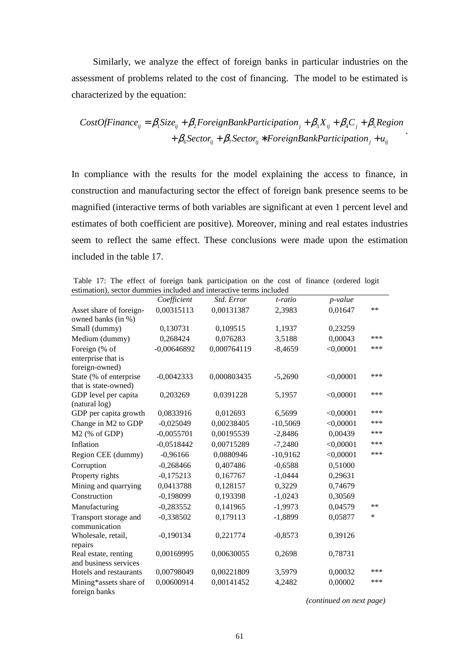Similarly, we analyze the effect of foreign banks in particular industries on the assessment of problems related to the cost of financing. The model to be estimated is characterized by the equation:

$$
CostOfFinance_{ij} = \beta_1 Size_{ij} + \beta_2 ForeignBankPartition_j + \beta_3 X_{ij} + \beta_4 C_j + \beta_5 Region + \beta_6 Sector_{ij} + \beta_7 Sector_{ij} * Foreign BankPartition_j + u_{ij}
$$

In compliance with the results for the model explaining the access to finance, in construction and manufacturing sector the effect of foreign bank presence seems to be magnified (interactive terms of both variables are significant at even 1 percent level and estimates of both coefficient are positive). Moreover, mining and real estates industries seem to reflect the same effect. These conclusions were made upon the estimation included in the table 17.

 Table 17: The effect of foreign bank participation on the cost of finance (ordered logit estimation), sector dummies included and interactive terms included

|                                                 | Coefficient   | Std. Error  | t-ratio    | p-value     |        |
|-------------------------------------------------|---------------|-------------|------------|-------------|--------|
| Asset share of foreign-                         | 0,00315113    | 0,00131387  | 2,3983     | 0,01647     | $**$   |
| owned banks (in %)                              |               |             |            |             |        |
| Small (dummy)                                   | 0,130731      | 0,109515    | 1,1937     | 0,23259     |        |
| Medium (dummy)                                  | 0,268424      | 0,076283    | 3,5188     | 0,00043     | ***    |
| Foreign (% of                                   | $-0,00646892$ | 0,000764119 | $-8,4659$  | < 0,00001   | ***    |
| enterprise that is                              |               |             |            |             |        |
| foreign-owned)                                  |               |             |            |             |        |
| State (% of enterprise                          | $-0,0042333$  | 0,000803435 | $-5,2690$  | $<$ 0,00001 | ***    |
| that is state-owned)                            |               |             |            |             | ***    |
| GDP level per capita<br>(natural log)           | 0,203269      | 0,0391228   | 5,1957     | $<$ 0,00001 |        |
| GDP per capita growth                           | 0,0833916     | 0,012693    | 6,5699     | $<$ 0,00001 | ***    |
| Change in M2 to GDP                             | $-0,025049$   | 0,00238405  | $-10,5069$ | < 0,00001   | ***    |
| M2 (% of GDP)                                   | $-0,0055701$  | 0,00195539  | $-2,8486$  | 0,00439     | ***    |
| Inflation                                       | $-0,0518442$  | 0,00715289  | $-7,2480$  | < 0,00001   | ***    |
|                                                 |               |             |            |             | ***    |
| Region CEE (dummy)                              | $-0,96166$    | 0,0880946   | $-10,9162$ | $<$ 0,00001 |        |
| Corruption                                      | $-0,268466$   | 0,407486    | $-0,6588$  | 0,51000     |        |
| Property rights                                 | $-0,175213$   | 0,167767    | $-1,0444$  | 0,29631     |        |
| Mining and quarrying                            | 0,0413788     | 0,128157    | 0,3229     | 0,74679     |        |
| Construction                                    | $-0,198099$   | 0,193398    | $-1,0243$  | 0,30569     |        |
| Manufacturing                                   | $-0,283552$   | 0,141965    | $-1,9973$  | 0,04579     | $***$  |
| Transport storage and                           | $-0,338502$   | 0,179113    | $-1,8899$  | 0,05877     | $\ast$ |
| communication                                   |               |             |            |             |        |
| Wholesale, retail,                              | $-0,190134$   | 0,221774    | $-0,8573$  | 0,39126     |        |
| repairs                                         |               |             |            |             |        |
| Real estate, renting                            | 0,00169995    | 0,00630055  | 0,2698     | 0,78731     |        |
| and business services<br>Hotels and restaurants |               |             |            |             | ***    |
|                                                 | 0,00798049    | 0,00221809  | 3,5979     | 0,00032     | ***    |
| Mining*assets share of                          | 0,00600914    | 0,00141452  | 4,2482     | 0,00002     |        |
| foreign banks                                   |               |             |            |             |        |

 *(continued on next page)*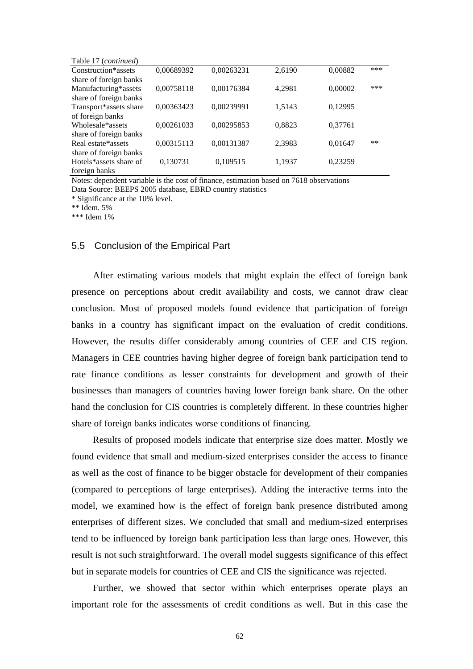| Table 17 ( <i>continued</i> ) |            |            |        |         |       |
|-------------------------------|------------|------------|--------|---------|-------|
| Construction*assets           | 0,00689392 | 0,00263231 | 2,6190 | 0,00882 | ***   |
| share of foreign banks        |            |            |        |         |       |
| Manufacturing*assets          | 0,00758118 | 0,00176384 | 4,2981 | 0,00002 | ***   |
| share of foreign banks        |            |            |        |         |       |
| Transport*assets share        | 0,00363423 | 0,00239991 | 1,5143 | 0,12995 |       |
| of foreign banks              |            |            |        |         |       |
| Wholesale*assets              | 0,00261033 | 0,00295853 | 0,8823 | 0.37761 |       |
| share of foreign banks        |            |            |        |         |       |
| Real estate*assets            | 0,00315113 | 0,00131387 | 2,3983 | 0,01647 | $***$ |
| share of foreign banks        |            |            |        |         |       |
| Hotels*assets share of        | 0,130731   | 0,109515   | 1,1937 | 0,23259 |       |
| foreign banks                 |            |            |        |         |       |

Notes: dependent variable is the cost of finance, estimation based on 7618 observations Data Source: BEEPS 2005 database, EBRD country statistics

\* Significance at the 10% level.

\*\* Idem. 5%

\*\*\* Idem 1%

### 5.5 Conclusion of the Empirical Part

After estimating various models that might explain the effect of foreign bank presence on perceptions about credit availability and costs, we cannot draw clear conclusion. Most of proposed models found evidence that participation of foreign banks in a country has significant impact on the evaluation of credit conditions. However, the results differ considerably among countries of CEE and CIS region. Managers in CEE countries having higher degree of foreign bank participation tend to rate finance conditions as lesser constraints for development and growth of their businesses than managers of countries having lower foreign bank share. On the other hand the conclusion for CIS countries is completely different. In these countries higher share of foreign banks indicates worse conditions of financing.

Results of proposed models indicate that enterprise size does matter. Mostly we found evidence that small and medium-sized enterprises consider the access to finance as well as the cost of finance to be bigger obstacle for development of their companies (compared to perceptions of large enterprises). Adding the interactive terms into the model, we examined how is the effect of foreign bank presence distributed among enterprises of different sizes. We concluded that small and medium-sized enterprises tend to be influenced by foreign bank participation less than large ones. However, this result is not such straightforward. The overall model suggests significance of this effect but in separate models for countries of CEE and CIS the significance was rejected.

Further, we showed that sector within which enterprises operate plays an important role for the assessments of credit conditions as well. But in this case the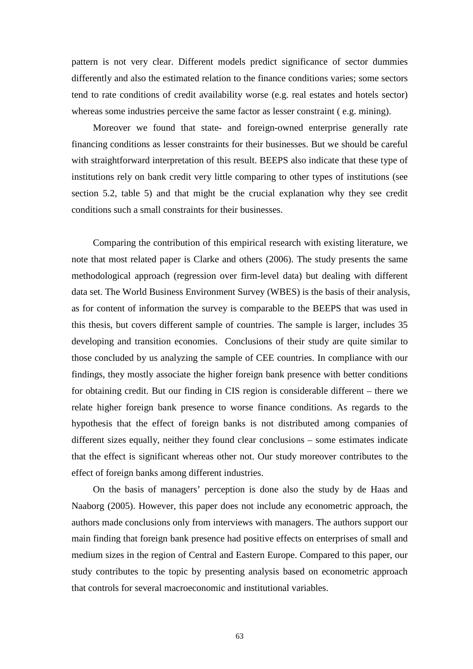pattern is not very clear. Different models predict significance of sector dummies differently and also the estimated relation to the finance conditions varies; some sectors tend to rate conditions of credit availability worse (e.g. real estates and hotels sector) whereas some industries perceive the same factor as lesser constraint ( e.g. mining).

Moreover we found that state- and foreign-owned enterprise generally rate financing conditions as lesser constraints for their businesses. But we should be careful with straightforward interpretation of this result. BEEPS also indicate that these type of institutions rely on bank credit very little comparing to other types of institutions (see section 5.2, table 5) and that might be the crucial explanation why they see credit conditions such a small constraints for their businesses.

Comparing the contribution of this empirical research with existing literature, we note that most related paper is Clarke and others (2006). The study presents the same methodological approach (regression over firm-level data) but dealing with different data set. The World Business Environment Survey (WBES) is the basis of their analysis, as for content of information the survey is comparable to the BEEPS that was used in this thesis, but covers different sample of countries. The sample is larger, includes 35 developing and transition economies. Conclusions of their study are quite similar to those concluded by us analyzing the sample of CEE countries. In compliance with our findings, they mostly associate the higher foreign bank presence with better conditions for obtaining credit. But our finding in CIS region is considerable different – there we relate higher foreign bank presence to worse finance conditions. As regards to the hypothesis that the effect of foreign banks is not distributed among companies of different sizes equally, neither they found clear conclusions – some estimates indicate that the effect is significant whereas other not. Our study moreover contributes to the effect of foreign banks among different industries.

On the basis of managers' perception is done also the study by de Haas and Naaborg (2005). However, this paper does not include any econometric approach, the authors made conclusions only from interviews with managers. The authors support our main finding that foreign bank presence had positive effects on enterprises of small and medium sizes in the region of Central and Eastern Europe. Compared to this paper, our study contributes to the topic by presenting analysis based on econometric approach that controls for several macroeconomic and institutional variables.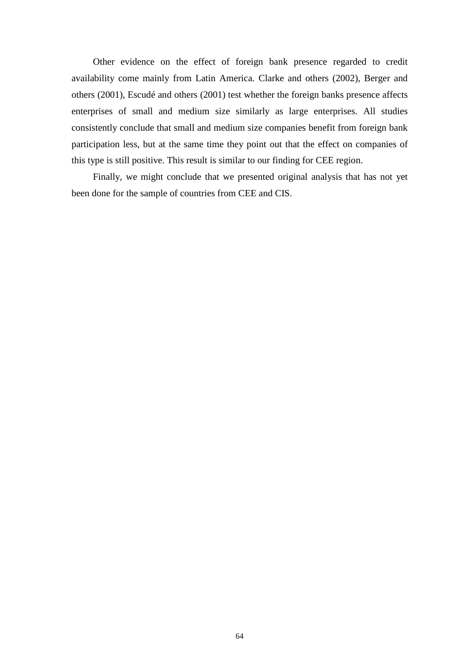Other evidence on the effect of foreign bank presence regarded to credit availability come mainly from Latin America. Clarke and others (2002), Berger and others (2001), Escudé and others (2001) test whether the foreign banks presence affects enterprises of small and medium size similarly as large enterprises. All studies consistently conclude that small and medium size companies benefit from foreign bank participation less, but at the same time they point out that the effect on companies of this type is still positive. This result is similar to our finding for CEE region.

Finally, we might conclude that we presented original analysis that has not yet been done for the sample of countries from CEE and CIS.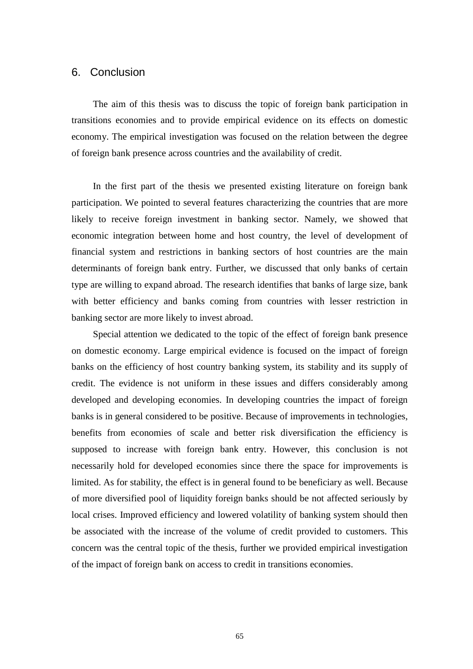# 6. Conclusion

The aim of this thesis was to discuss the topic of foreign bank participation in transitions economies and to provide empirical evidence on its effects on domestic economy. The empirical investigation was focused on the relation between the degree of foreign bank presence across countries and the availability of credit.

In the first part of the thesis we presented existing literature on foreign bank participation. We pointed to several features characterizing the countries that are more likely to receive foreign investment in banking sector. Namely, we showed that economic integration between home and host country, the level of development of financial system and restrictions in banking sectors of host countries are the main determinants of foreign bank entry. Further, we discussed that only banks of certain type are willing to expand abroad. The research identifies that banks of large size, bank with better efficiency and banks coming from countries with lesser restriction in banking sector are more likely to invest abroad.

Special attention we dedicated to the topic of the effect of foreign bank presence on domestic economy. Large empirical evidence is focused on the impact of foreign banks on the efficiency of host country banking system, its stability and its supply of credit. The evidence is not uniform in these issues and differs considerably among developed and developing economies. In developing countries the impact of foreign banks is in general considered to be positive. Because of improvements in technologies, benefits from economies of scale and better risk diversification the efficiency is supposed to increase with foreign bank entry. However, this conclusion is not necessarily hold for developed economies since there the space for improvements is limited. As for stability, the effect is in general found to be beneficiary as well. Because of more diversified pool of liquidity foreign banks should be not affected seriously by local crises. Improved efficiency and lowered volatility of banking system should then be associated with the increase of the volume of credit provided to customers. This concern was the central topic of the thesis, further we provided empirical investigation of the impact of foreign bank on access to credit in transitions economies.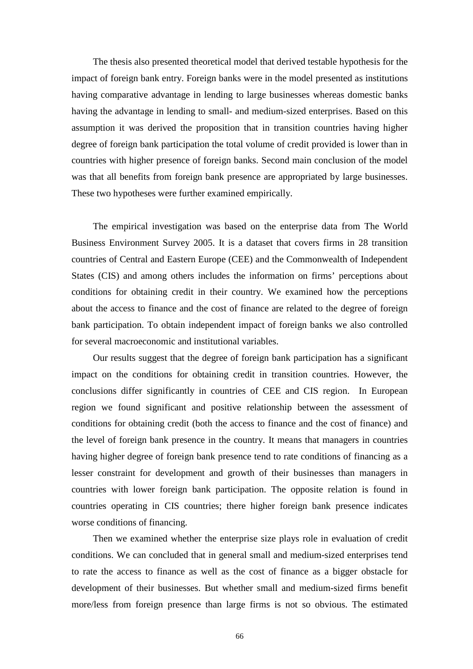The thesis also presented theoretical model that derived testable hypothesis for the impact of foreign bank entry. Foreign banks were in the model presented as institutions having comparative advantage in lending to large businesses whereas domestic banks having the advantage in lending to small- and medium-sized enterprises. Based on this assumption it was derived the proposition that in transition countries having higher degree of foreign bank participation the total volume of credit provided is lower than in countries with higher presence of foreign banks. Second main conclusion of the model was that all benefits from foreign bank presence are appropriated by large businesses. These two hypotheses were further examined empirically.

The empirical investigation was based on the enterprise data from The World Business Environment Survey 2005. It is a dataset that covers firms in 28 transition countries of Central and Eastern Europe (CEE) and the Commonwealth of Independent States (CIS) and among others includes the information on firms' perceptions about conditions for obtaining credit in their country. We examined how the perceptions about the access to finance and the cost of finance are related to the degree of foreign bank participation. To obtain independent impact of foreign banks we also controlled for several macroeconomic and institutional variables.

Our results suggest that the degree of foreign bank participation has a significant impact on the conditions for obtaining credit in transition countries. However, the conclusions differ significantly in countries of CEE and CIS region. In European region we found significant and positive relationship between the assessment of conditions for obtaining credit (both the access to finance and the cost of finance) and the level of foreign bank presence in the country. It means that managers in countries having higher degree of foreign bank presence tend to rate conditions of financing as a lesser constraint for development and growth of their businesses than managers in countries with lower foreign bank participation. The opposite relation is found in countries operating in CIS countries; there higher foreign bank presence indicates worse conditions of financing.

Then we examined whether the enterprise size plays role in evaluation of credit conditions. We can concluded that in general small and medium-sized enterprises tend to rate the access to finance as well as the cost of finance as a bigger obstacle for development of their businesses. But whether small and medium-sized firms benefit more/less from foreign presence than large firms is not so obvious. The estimated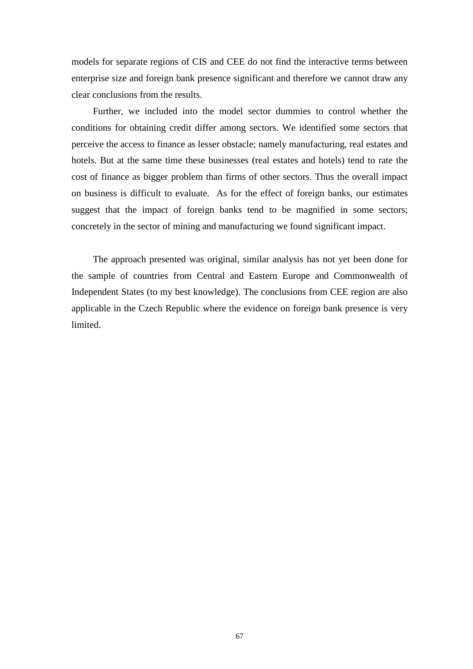models for separate regions of CIS and CEE do not find the interactive terms between enterprise size and foreign bank presence significant and therefore we cannot draw any clear conclusions from the results.

Further, we included into the model sector dummies to control whether the conditions for obtaining credit differ among sectors. We identified some sectors that perceive the access to finance as lesser obstacle; namely manufacturing, real estates and hotels. But at the same time these businesses (real estates and hotels) tend to rate the cost of finance as bigger problem than firms of other sectors. Thus the overall impact on business is difficult to evaluate. As for the effect of foreign banks, our estimates suggest that the impact of foreign banks tend to be magnified in some sectors; concretely in the sector of mining and manufacturing we found significant impact.

The approach presented was original, similar analysis has not yet been done for the sample of countries from Central and Eastern Europe and Commonwealth of Independent States (to my best knowledge). The conclusions from CEE region are also applicable in the Czech Republic where the evidence on foreign bank presence is very limited.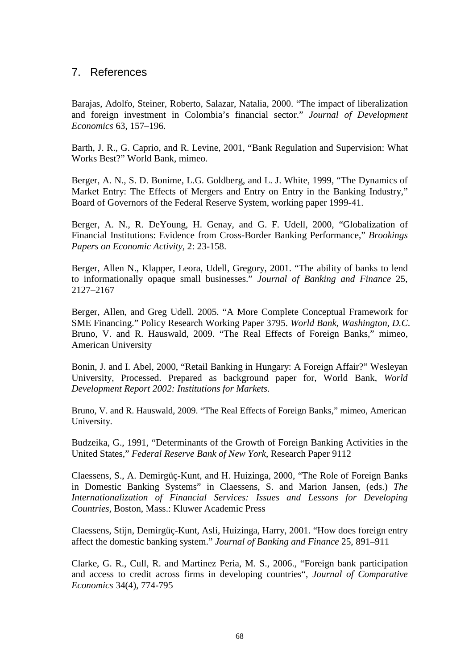## 7. References

Barajas, Adolfo, Steiner, Roberto, Salazar, Natalia, 2000. "The impact of liberalization and foreign investment in Colombia's financial sector." *Journal of Development Economics* 63, 157–196.

Barth, J. R., G. Caprio, and R. Levine, 2001, "Bank Regulation and Supervision: What Works Best?" World Bank, mimeo.

Berger, A. N., S. D. Bonime, L.G. Goldberg, and L. J. White, 1999, "The Dynamics of Market Entry: The Effects of Mergers and Entry on Entry in the Banking Industry," Board of Governors of the Federal Reserve System, working paper 1999-41.

Berger, A. N., R. DeYoung, H. Genay, and G. F. Udell, 2000, "Globalization of Financial Institutions: Evidence from Cross-Border Banking Performance," *Brookings Papers on Economic Activity*, 2: 23-158.

Berger, Allen N., Klapper, Leora, Udell, Gregory, 2001. "The ability of banks to lend to informationally opaque small businesses." *Journal of Banking and Finance* 25, 2127–2167

Berger, Allen, and Greg Udell. 2005. "A More Complete Conceptual Framework for SME Financing." Policy Research Working Paper 3795. *World Bank, Washington, D.C*. Bruno, V. and R. Hauswald, 2009. "The Real Effects of Foreign Banks," mimeo, American University

Bonin, J. and I. Abel, 2000, "Retail Banking in Hungary: A Foreign Affair?" Wesleyan University, Processed. Prepared as background paper for, World Bank, *World Development Report 2002: Institutions for Markets*.

Bruno, V. and R. Hauswald, 2009. "The Real Effects of Foreign Banks," mimeo, American University.

Budzeika, G., 1991, "Determinants of the Growth of Foreign Banking Activities in the United States," *Federal Reserve Bank of New York*, Research Paper 9112

Claessens, S., A. Demirgüç-Kunt, and H. Huizinga, 2000, "The Role of Foreign Banks in Domestic Banking Systems" in Claessens, S. and Marion Jansen, (eds.) *The Internationalization of Financial Services: Issues and Lessons for Developing Countries*, Boston, Mass.: Kluwer Academic Press

Claessens, Stijn, Demirgüç-Kunt, Asli, Huizinga, Harry, 2001. "How does foreign entry affect the domestic banking system." *Journal of Banking and Finance* 25, 891–911

Clarke, G. R., Cull, R. and Martinez Peria, M. S., 2006., "Foreign bank participation and access to credit across firms in developing countries", *Journal of Comparative Economics* 34(4), 774-795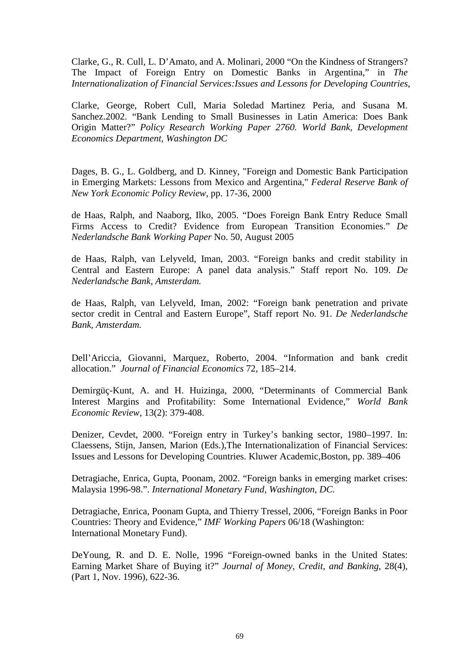Clarke, G., R. Cull, L. D'Amato, and A. Molinari, 2000 "On the Kindness of Strangers? The Impact of Foreign Entry on Domestic Banks in Argentina," in *The Internationalization of Financial Services:Issues and Lessons for Developing Countries*,

Clarke, George, Robert Cull, Maria Soledad Martinez Peria, and Susana M. Sanchez.2002. "Bank Lending to Small Businesses in Latin America: Does Bank Origin Matter?" *Policy Research Working Paper 2760. World Bank, Development Economics Department, Washington DC* 

Dages, B. G., L. Goldberg, and D. Kinney, "Foreign and Domestic Bank Participation in Emerging Markets: Lessons from Mexico and Argentina," *Federal Reserve Bank of New York Economic Policy Review*, pp. 17-36, 2000

de Haas, Ralph, and Naaborg, Ilko, 2005. "Does Foreign Bank Entry Reduce Small Firms Access to Credit? Evidence from European Transition Economies." *De Nederlandsche Bank Working Paper* No. 50, August 2005

de Haas, Ralph, van Lelyveld, Iman, 2003. "Foreign banks and credit stability in Central and Eastern Europe: A panel data analysis." Staff report No. 109. *De Nederlandsche Bank, Amsterdam.* 

de Haas, Ralph, van Lelyveld, Iman, 2002: "Foreign bank penetration and private sector credit in Central and Eastern Europe", Staff report No. 91. *De Nederlandsche Bank, Amsterdam.* 

Dell'Ariccia, Giovanni, Marquez, Roberto, 2004. "Information and bank credit allocation." *Journal of Financial Economics* 72, 185–214.

Demirgüç-Kunt, A. and H. Huizinga, 2000, "Determinants of Commercial Bank Interest Margins and Profitability: Some International Evidence," *World Bank Economic Review*, 13(2): 379-408.

Denizer, Cevdet, 2000. "Foreign entry in Turkey's banking sector, 1980–1997. In: Claessens, Stijn, Jansen, Marion (Eds.),The Internationalization of Financial Services: Issues and Lessons for Developing Countries. Kluwer Academic,Boston, pp. 389–406

Detragiache, Enrica, Gupta, Poonam, 2002. "Foreign banks in emerging market crises: Malaysia 1996-98.". *International Monetary Fund, Washington, DC.* 

Detragiache, Enrica, Poonam Gupta, and Thierry Tressel, 2006, "Foreign Banks in Poor Countries: Theory and Evidence," *IMF Working Papers* 06/18 (Washington: International Monetary Fund).

DeYoung, R. and D. E. Nolle, 1996 "Foreign-owned banks in the United States: Earning Market Share of Buying it?" *Journal of Money, Credit, and Banking*, 28(4), (Part 1, Nov. 1996), 622-36.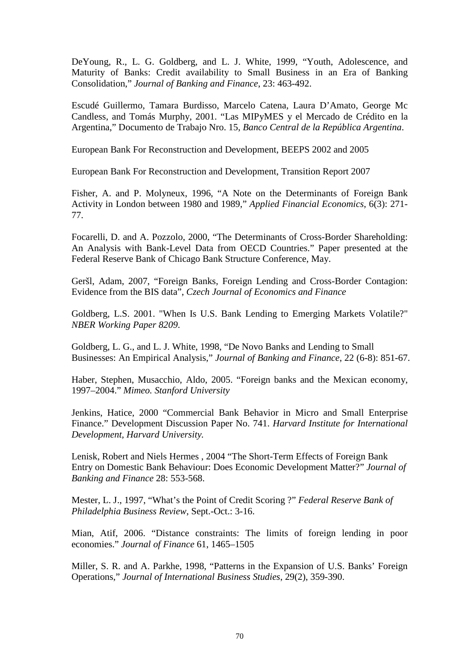DeYoung, R., L. G. Goldberg, and L. J. White, 1999, "Youth, Adolescence, and Maturity of Banks: Credit availability to Small Business in an Era of Banking Consolidation," *Journal of Banking and Finance*, 23: 463-492.

Escudé Guillermo, Tamara Burdisso, Marcelo Catena, Laura D'Amato, George Mc Candless, and Tomás Murphy, 2001. "Las MIPyMES y el Mercado de Crédito en la Argentina," Documento de Trabajo Nro. 15, *Banco Central de la República Argentina*.

European Bank For Reconstruction and Development, BEEPS 2002 and 2005

European Bank For Reconstruction and Development, Transition Report 2007

Fisher, A. and P. Molyneux, 1996, "A Note on the Determinants of Foreign Bank Activity in London between 1980 and 1989," *Applied Financial Economics*, 6(3): 271- 77.

Focarelli, D. and A. Pozzolo, 2000, "The Determinants of Cross-Border Shareholding: An Analysis with Bank-Level Data from OECD Countries." Paper presented at the Federal Reserve Bank of Chicago Bank Structure Conference, May.

Geršl, Adam, 2007, "Foreign Banks, Foreign Lending and Cross-Border Contagion: Evidence from the BIS data", *Czech Journal of Economics and Finance*

Goldberg, L.S. 2001. "When Is U.S. Bank Lending to Emerging Markets Volatile?" *NBER Working Paper 8209*.

Goldberg, L. G., and L. J. White, 1998, "De Novo Banks and Lending to Small Businesses: An Empirical Analysis," *Journal of Banking and Finance*, 22 (6-8): 851-67.

Haber, Stephen, Musacchio, Aldo, 2005. "Foreign banks and the Mexican economy, 1997–2004." *Mimeo. Stanford University* 

Jenkins, Hatice, 2000 "Commercial Bank Behavior in Micro and Small Enterprise Finance." Development Discussion Paper No. 741. *Harvard Institute for International Development, Harvard University.* 

Lenisk, Robert and Niels Hermes , 2004 "The Short-Term Effects of Foreign Bank Entry on Domestic Bank Behaviour: Does Economic Development Matter?" *Journal of Banking and Finance* 28: 553-568.

Mester, L. J., 1997, "What's the Point of Credit Scoring ?" *Federal Reserve Bank of Philadelphia Business Review*, Sept.-Oct.: 3-16.

Mian, Atif, 2006. "Distance constraints: The limits of foreign lending in poor economies." *Journal of Finance* 61, 1465–1505

Miller, S. R. and A. Parkhe, 1998, "Patterns in the Expansion of U.S. Banks' Foreign Operations," *Journal of International Business Studies*, 29(2), 359-390.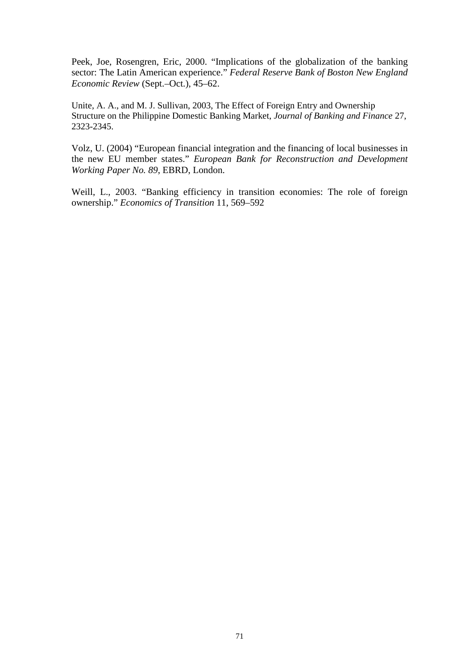Peek, Joe, Rosengren, Eric, 2000. "Implications of the globalization of the banking sector: The Latin American experience." *Federal Reserve Bank of Boston New England Economic Review* (Sept.–Oct.), 45–62.

Unite, A. A., and M. J. Sullivan, 2003, The Effect of Foreign Entry and Ownership Structure on the Philippine Domestic Banking Market, *Journal of Banking and Finance* 27, 2323-2345.

Volz, U. (2004) "European financial integration and the financing of local businesses in the new EU member states." *European Bank for Reconstruction and Development Working Paper No. 89*, EBRD, London.

Weill, L., 2003. "Banking efficiency in transition economies: The role of foreign ownership." *Economics of Transition* 11, 569–592